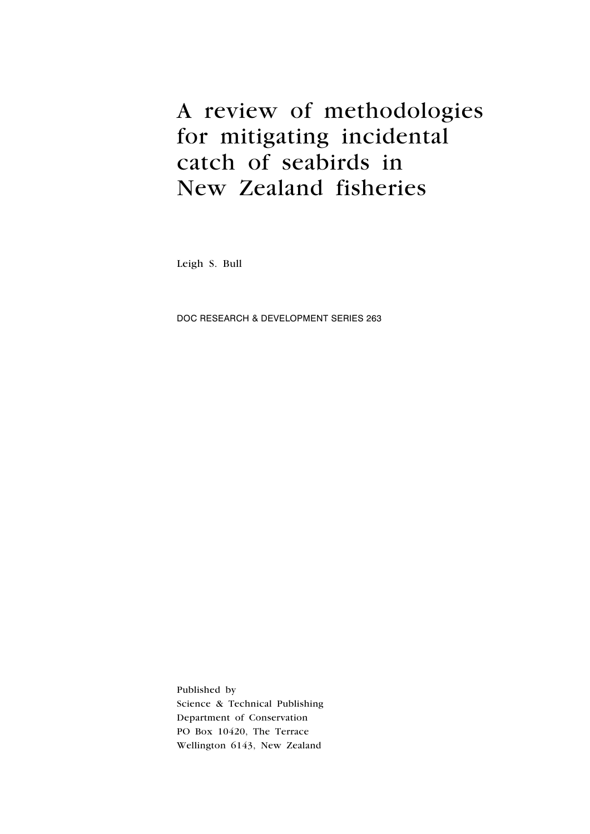# A review of methodologies for mitigating incidental catch of seabirds in New Zealand fisheries

Leigh S. Bull

DOC Research & Development Series 263

Published by Science & Technical Publishing Department of Conservation PO Box 10420, The Terrace Wellington 6143, New Zealand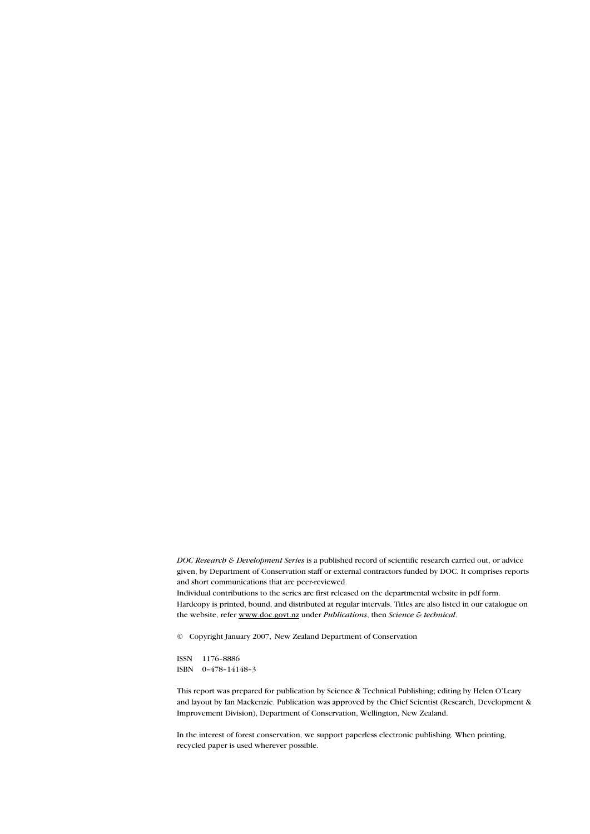DOC Research & Development Series is a published record of scientific research carried out, or advice given, by Department of Conservation staff or external contractors funded by DOC. It comprises reports and short communications that are peer-reviewed.

Individual contributions to the series are first released on the departmental website in pdf form. Hardcopy is printed, bound, and distributed at regular intervals. Titles are also listed in our catalogue on the website, refer www.doc.govt.nz under Publications, then Science & technical.

© Copyright January 2007, New Zealand Department of Conservation

ISSN 1176–8886 ISBN 0–478–14148–3

This report was prepared for publication by Science & Technical Publishing; editing by Helen O'Leary and layout by Ian Mackenzie. Publication was approved by the Chief Scientist (Research, Development & Improvement Division), Department of Conservation, Wellington, New Zealand.

In the interest of forest conservation, we support paperless electronic publishing. When printing, recycled paper is used wherever possible.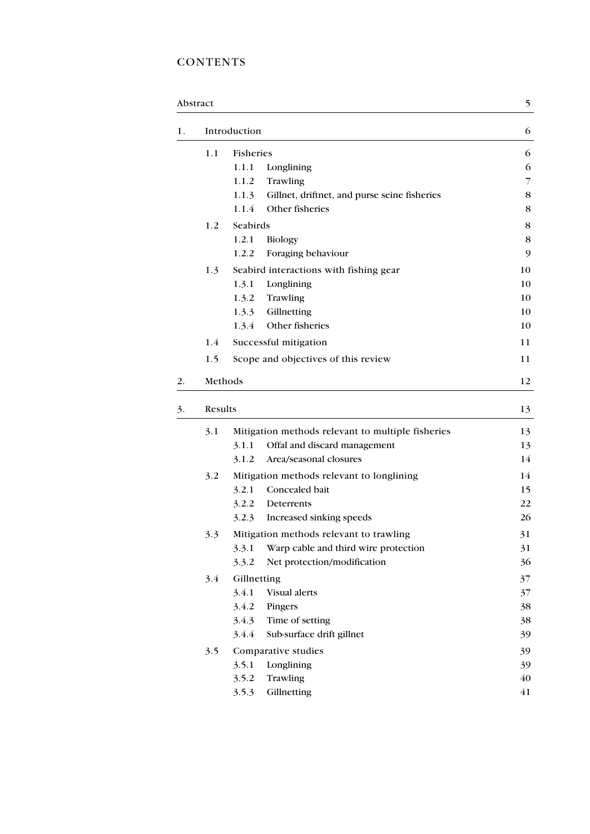## **CONTENTS**

|    | Abstract     |                                                       |    |  |
|----|--------------|-------------------------------------------------------|----|--|
| 1. | Introduction |                                                       |    |  |
|    | 1.1          | Fisheries                                             | 6  |  |
|    |              | 1.1.1<br>Longlining                                   | 6  |  |
|    |              | 1.1.2<br>Trawling                                     | 7  |  |
|    |              | 1.1.3<br>Gillnet, driftnet, and purse seine fisheries | 8  |  |
|    |              | Other fisheries<br>1.1.4                              | 8  |  |
|    | 1.2          | Seabirds                                              |    |  |
|    |              | 1.2.1<br><b>Biology</b>                               | 8  |  |
|    |              | Foraging behaviour<br>1.2.2                           | 9  |  |
|    | 1.3          | Seabird interactions with fishing gear                | 10 |  |
|    |              | 1.3.1<br>Longlining                                   | 10 |  |
|    |              | 1.3.2<br>Trawling                                     | 10 |  |
|    |              | Gillnetting<br>1.3.3                                  | 10 |  |
|    |              | Other fisheries<br>1.3.4                              | 10 |  |
|    | 1.4          | Successful mitigation                                 | 11 |  |
|    | 1.5          | Scope and objectives of this review                   | 11 |  |
| 2. |              | Methods                                               |    |  |
| 3. | Results      |                                                       | 13 |  |
|    | 3.1          | Mitigation methods relevant to multiple fisheries     | 13 |  |
|    |              | 3.1.1<br>Offal and discard management                 | 13 |  |
|    |              | 3.1.2<br>Area/seasonal closures                       | 14 |  |
|    | 3.2          | Mitigation methods relevant to longlining             |    |  |
|    |              | Concealed bait<br>3.2.1                               | 15 |  |
|    |              | 3.2.2<br>Deterrents                                   | 22 |  |
|    |              | Increased sinking speeds<br>3.2.3                     | 26 |  |
|    | 3.3          | Mitigation methods relevant to trawling               |    |  |
|    |              | 3.3.1<br>Warp cable and third wire protection         | 31 |  |
|    |              | Net protection/modification<br>3.3.2                  | 36 |  |
|    | 3.4          | Gillnetting                                           | 37 |  |
|    |              | 3.4.1<br>Visual alerts                                | 37 |  |
|    |              | 3.4.2<br>Pingers                                      | 38 |  |
|    |              | 3.4.3<br>Time of setting                              | 38 |  |
|    |              | 3.4.4<br>Sub-surface drift gillnet                    | 39 |  |
|    | 3.5          | Comparative studies                                   | 39 |  |
|    |              | Longlining<br>3.5.1                                   | 39 |  |
|    |              | 3.5.2<br>Trawling                                     | 40 |  |
|    |              | Gillnetting<br>3.5.3                                  | 41 |  |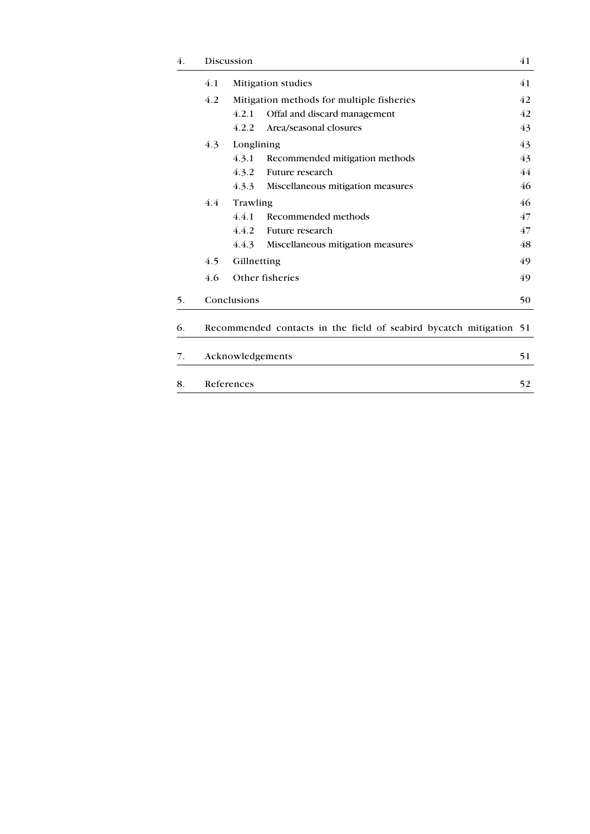| 4. |                        | Discussion                                                         |                                   |    |  |  |
|----|------------------------|--------------------------------------------------------------------|-----------------------------------|----|--|--|
|    | 4.1                    | Mitigation studies                                                 |                                   |    |  |  |
|    | 4.2                    | Mitigation methods for multiple fisheries                          |                                   |    |  |  |
|    |                        | 4.2.1                                                              | Offal and discard management      | 42 |  |  |
|    |                        | 4.2.2                                                              | Area/seasonal closures            | 43 |  |  |
|    | 4.3                    | Longlining                                                         |                                   |    |  |  |
|    |                        | 4.3.1                                                              | Recommended mitigation methods    | 43 |  |  |
|    |                        | 4.3.2                                                              | Future research                   | 44 |  |  |
|    |                        | 4.3.3                                                              | Miscellaneous mitigation measures | 46 |  |  |
|    | 4.4<br>Trawling        |                                                                    |                                   | 46 |  |  |
|    |                        | 4.4.1                                                              | Recommended methods               | 47 |  |  |
|    |                        | 4.4.2                                                              | Future research                   | 47 |  |  |
|    |                        | 4.4.3                                                              | Miscellaneous mitigation measures | 48 |  |  |
|    | 4.5                    | Gillnetting                                                        |                                   |    |  |  |
|    | 4.6                    |                                                                    | Other fisheries                   | 49 |  |  |
| 5. |                        | Conclusions<br>50                                                  |                                   |    |  |  |
| 6. |                        | Recommended contacts in the field of seabird bycatch mitigation 51 |                                   |    |  |  |
| 7. | Acknowledgements<br>51 |                                                                    |                                   |    |  |  |
| 8. |                        | References<br>52                                                   |                                   |    |  |  |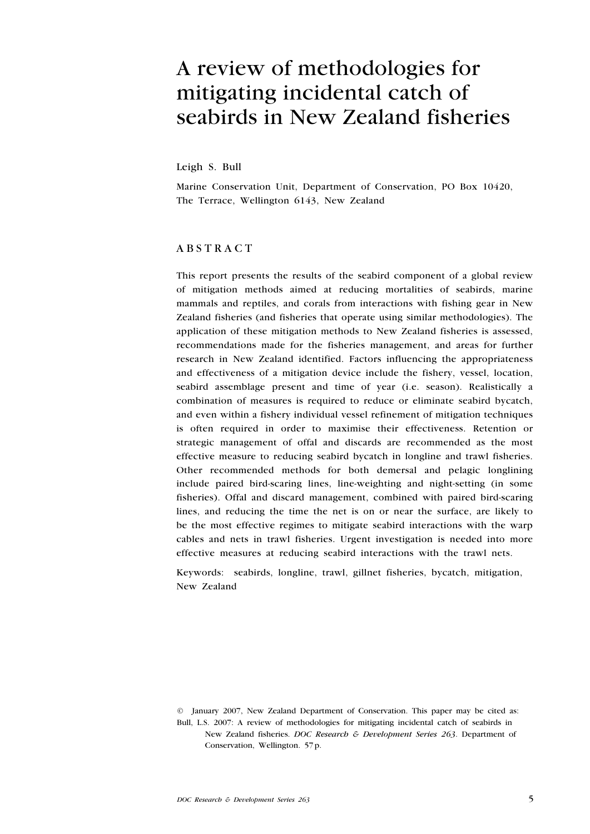# A review of methodologies for mitigating incidental catch of seabirds in New Zealand fisheries

Leigh S. Bull

Marine Conservation Unit, Department of Conservation, PO Box 10420, The Terrace, Wellington 6143, New Zealand

## **ABSTRACT**

This report presents the results of the seabird component of a global review of mitigation methods aimed at reducing mortalities of seabirds, marine mammals and reptiles, and corals from interactions with fishing gear in New Zealand fisheries (and fisheries that operate using similar methodologies). The application of these mitigation methods to New Zealand fisheries is assessed, recommendations made for the fisheries management, and areas for further research in New Zealand identified. Factors influencing the appropriateness and effectiveness of a mitigation device include the fishery, vessel, location, seabird assemblage present and time of year (i.e. season). Realistically a combination of measures is required to reduce or eliminate seabird bycatch, and even within a fishery individual vessel refinement of mitigation techniques is often required in order to maximise their effectiveness. Retention or strategic management of offal and discards are recommended as the most effective measure to reducing seabird bycatch in longline and trawl fisheries. Other recommended methods for both demersal and pelagic longlining include paired bird-scaring lines, line-weighting and night-setting (in some fisheries). Offal and discard management, combined with paired bird-scaring lines, and reducing the time the net is on or near the surface, are likely to be the most effective regimes to mitigate seabird interactions with the warp cables and nets in trawl fisheries. Urgent investigation is needed into more effective measures at reducing seabird interactions with the trawl nets.

Keywords: seabirds, longline, trawl, gillnet fisheries, bycatch, mitigation, New Zealand

<sup>©</sup> January 2007, New Zealand Department of Conservation. This paper may be cited as: Bull, L.S. 2007: A review of methodologies for mitigating incidental catch of seabirds in New Zealand fisheries. DOC Research & Development Series 263. Department of Conservation, Wellington. 57p.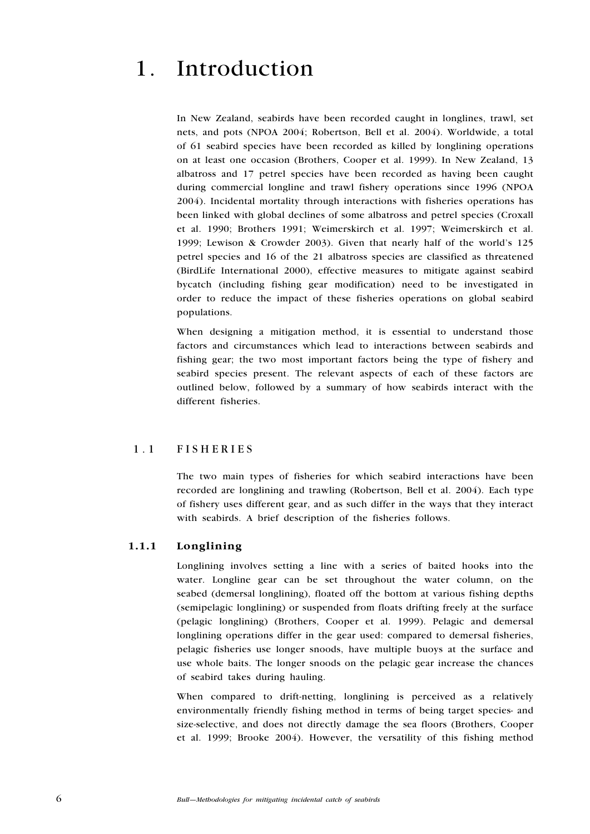## 1. Introduction

In New Zealand, seabirds have been recorded caught in longlines, trawl, set nets, and pots (NPOA 2004; Robertson, Bell et al. 2004). Worldwide, a total of 61 seabird species have been recorded as killed by longlining operations on at least one occasion (Brothers, Cooper et al. 1999). In New Zealand, 13 albatross and 17 petrel species have been recorded as having been caught during commercial longline and trawl fishery operations since 1996 (NPOA 2004). Incidental mortality through interactions with fisheries operations has been linked with global declines of some albatross and petrel species (Croxall et al. 1990; Brothers 1991; Weimerskirch et al. 1997; Weimerskirch et al. 1999; Lewison & Crowder 2003). Given that nearly half of the world's 125 petrel species and 16 of the 21 albatross species are classified as threatened (BirdLife International 2000), effective measures to mitigate against seabird bycatch (including fishing gear modification) need to be investigated in order to reduce the impact of these fisheries operations on global seabird populations.

When designing a mitigation method, it is essential to understand those factors and circumstances which lead to interactions between seabirds and fishing gear; the two most important factors being the type of fishery and seabird species present. The relevant aspects of each of these factors are outlined below, followed by a summary of how seabirds interact with the different fisheries.

## 1.1 FISHERIES

The two main types of fisheries for which seabird interactions have been recorded are longlining and trawling (Robertson, Bell et al. 2004). Each type of fishery uses different gear, and as such differ in the ways that they interact with seabirds. A brief description of the fisheries follows.

## 1.1.1 Longlining

Longlining involves setting a line with a series of baited hooks into the water. Longline gear can be set throughout the water column, on the seabed (demersal longlining), floated off the bottom at various fishing depths (semipelagic longlining) or suspended from floats drifting freely at the surface (pelagic longlining) (Brothers, Cooper et al. 1999). Pelagic and demersal longlining operations differ in the gear used: compared to demersal fisheries, pelagic fisheries use longer snoods, have multiple buoys at the surface and use whole baits. The longer snoods on the pelagic gear increase the chances of seabird takes during hauling.

When compared to drift-netting, longlining is perceived as a relatively environmentally friendly fishing method in terms of being target species- and size-selective, and does not directly damage the sea floors (Brothers, Cooper et al. 1999; Brooke 2004). However, the versatility of this fishing method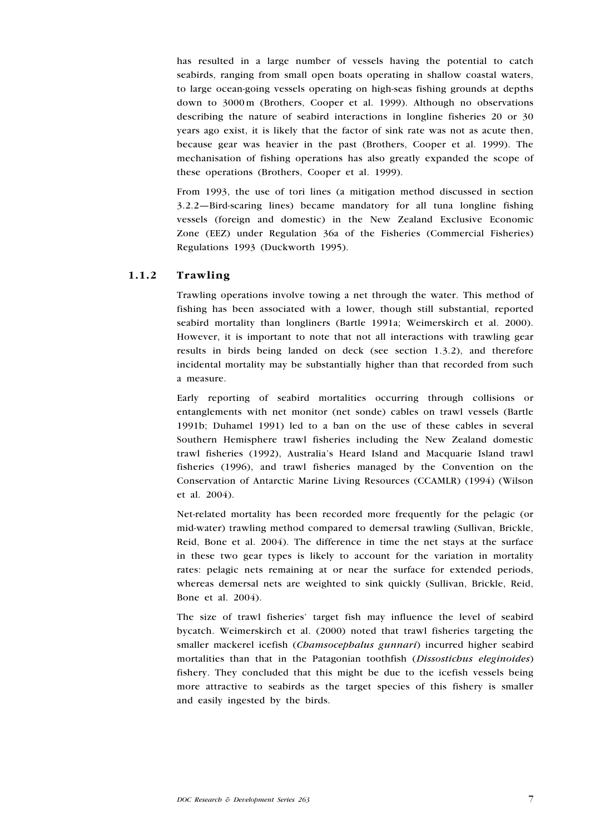has resulted in a large number of vessels having the potential to catch seabirds, ranging from small open boats operating in shallow coastal waters, to large ocean-going vessels operating on high-seas fishing grounds at depths down to 3000 m (Brothers, Cooper et al. 1999). Although no observations describing the nature of seabird interactions in longline fisheries 20 or 30 years ago exist, it is likely that the factor of sink rate was not as acute then, because gear was heavier in the past (Brothers, Cooper et al. 1999). The mechanisation of fishing operations has also greatly expanded the scope of these operations (Brothers, Cooper et al. 1999).

From 1993, the use of tori lines (a mitigation method discussed in section 3.2.2—Bird-scaring lines) became mandatory for all tuna longline fishing vessels (foreign and domestic) in the New Zealand Exclusive Economic Zone (EEZ) under Regulation 36a of the Fisheries (Commercial Fisheries) Regulations 1993 (Duckworth 1995).

## 1.1.2 Trawling

Trawling operations involve towing a net through the water. This method of fishing has been associated with a lower, though still substantial, reported seabird mortality than longliners (Bartle 1991a; Weimerskirch et al. 2000). However, it is important to note that not all interactions with trawling gear results in birds being landed on deck (see section 1.3.2), and therefore incidental mortality may be substantially higher than that recorded from such a measure.

Early reporting of seabird mortalities occurring through collisions or entanglements with net monitor (net sonde) cables on trawl vessels (Bartle 1991b; Duhamel 1991) led to a ban on the use of these cables in several Southern Hemisphere trawl fisheries including the New Zealand domestic trawl fisheries (1992), Australia's Heard Island and Macquarie Island trawl fisheries (1996), and trawl fisheries managed by the Convention on the Conservation of Antarctic Marine Living Resources (CCAMLR) (1994) (Wilson et al. 2004).

Net-related mortality has been recorded more frequently for the pelagic (or mid-water) trawling method compared to demersal trawling (Sullivan, Brickle, Reid, Bone et al. 2004). The difference in time the net stays at the surface in these two gear types is likely to account for the variation in mortality rates: pelagic nets remaining at or near the surface for extended periods, whereas demersal nets are weighted to sink quickly (Sullivan, Brickle, Reid, Bone et al. 2004).

The size of trawl fisheries' target fish may influence the level of seabird bycatch. Weimerskirch et al. (2000) noted that trawl fisheries targeting the smaller mackerel icefish (Chamsocephalus gunnari) incurred higher seabird mortalities than that in the Patagonian toothfish (Dissostichus eleginoides) fishery. They concluded that this might be due to the icefish vessels being more attractive to seabirds as the target species of this fishery is smaller and easily ingested by the birds.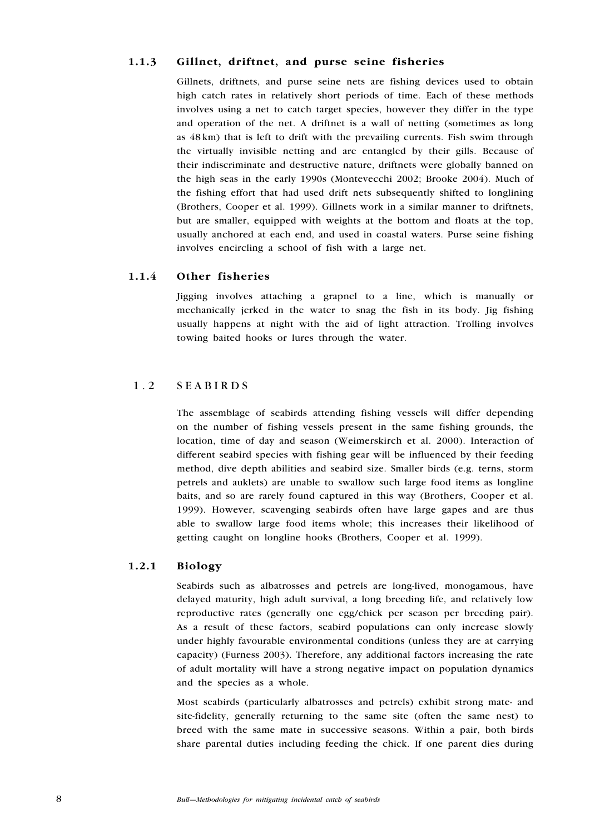## 1.1.3 Gillnet, driftnet, and purse seine fisheries

Gillnets, driftnets, and purse seine nets are fishing devices used to obtain high catch rates in relatively short periods of time. Each of these methods involves using a net to catch target species, however they differ in the type and operation of the net. A driftnet is a wall of netting (sometimes as long as 48 km) that is left to drift with the prevailing currents. Fish swim through the virtually invisible netting and are entangled by their gills. Because of their indiscriminate and destructive nature, driftnets were globally banned on the high seas in the early 1990s (Montevecchi 2002; Brooke 2004). Much of the fishing effort that had used drift nets subsequently shifted to longlining (Brothers, Cooper et al. 1999). Gillnets work in a similar manner to driftnets, but are smaller, equipped with weights at the bottom and floats at the top, usually anchored at each end, and used in coastal waters. Purse seine fishing involves encircling a school of fish with a large net.

## 1.1.4 Other fisheries

Jigging involves attaching a grapnel to a line, which is manually or mechanically jerked in the water to snag the fish in its body. Jig fishing usually happens at night with the aid of light attraction. Trolling involves towing baited hooks or lures through the water.

## 1.2 SEABIRDS

The assemblage of seabirds attending fishing vessels will differ depending on the number of fishing vessels present in the same fishing grounds, the location, time of day and season (Weimerskirch et al. 2000). Interaction of different seabird species with fishing gear will be influenced by their feeding method, dive depth abilities and seabird size. Smaller birds (e.g. terns, storm petrels and auklets) are unable to swallow such large food items as longline baits, and so are rarely found captured in this way (Brothers, Cooper et al. 1999). However, scavenging seabirds often have large gapes and are thus able to swallow large food items whole; this increases their likelihood of getting caught on longline hooks (Brothers, Cooper et al. 1999).

### 1.2.1 Biology

Seabirds such as albatrosses and petrels are long-lived, monogamous, have delayed maturity, high adult survival, a long breeding life, and relatively low reproductive rates (generally one egg/chick per season per breeding pair). As a result of these factors, seabird populations can only increase slowly under highly favourable environmental conditions (unless they are at carrying capacity) (Furness 2003). Therefore, any additional factors increasing the rate of adult mortality will have a strong negative impact on population dynamics and the species as a whole.

Most seabirds (particularly albatrosses and petrels) exhibit strong mate- and site-fidelity, generally returning to the same site (often the same nest) to breed with the same mate in successive seasons. Within a pair, both birds share parental duties including feeding the chick. If one parent dies during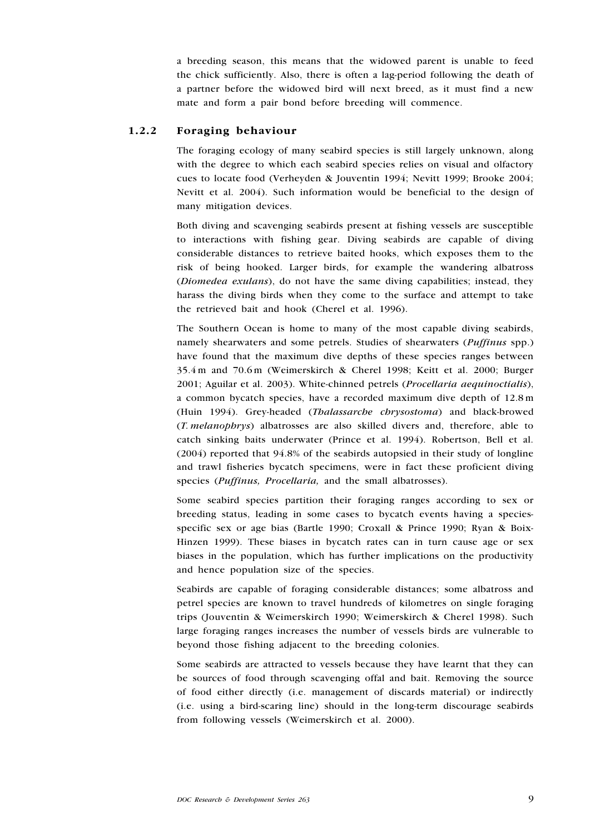a breeding season, this means that the widowed parent is unable to feed the chick sufficiently. Also, there is often a lag-period following the death of a partner before the widowed bird will next breed, as it must find a new mate and form a pair bond before breeding will commence.

## 1.2.2 Foraging behaviour

The foraging ecology of many seabird species is still largely unknown, along with the degree to which each seabird species relies on visual and olfactory cues to locate food (Verheyden & Jouventin 1994; Nevitt 1999; Brooke 2004; Nevitt et al. 2004). Such information would be beneficial to the design of many mitigation devices.

Both diving and scavenging seabirds present at fishing vessels are susceptible to interactions with fishing gear. Diving seabirds are capable of diving considerable distances to retrieve baited hooks, which exposes them to the risk of being hooked. Larger birds, for example the wandering albatross (Diomedea exulans), do not have the same diving capabilities; instead, they harass the diving birds when they come to the surface and attempt to take the retrieved bait and hook (Cherel et al. 1996).

The Southern Ocean is home to many of the most capable diving seabirds, namely shearwaters and some petrels. Studies of shearwaters (Puffinus spp.) have found that the maximum dive depths of these species ranges between 35.4 m and 70.6 m (Weimerskirch & Cherel 1998; Keitt et al. 2000; Burger 2001; Aguilar et al. 2003). White-chinned petrels (Procellaria aequinoctialis), a common bycatch species, have a recorded maximum dive depth of 12.8 m (Huin 1994). Grey-headed (Thalassarche chrysostoma) and black-browed (T. melanophrys) albatrosses are also skilled divers and, therefore, able to catch sinking baits underwater (Prince et al. 1994). Robertson, Bell et al. (2004) reported that 94.8% of the seabirds autopsied in their study of longline and trawl fisheries bycatch specimens, were in fact these proficient diving species (Puffinus, Procellaria, and the small albatrosses).

Some seabird species partition their foraging ranges according to sex or breeding status, leading in some cases to bycatch events having a speciesspecific sex or age bias (Bartle 1990; Croxall & Prince 1990; Ryan & Boix-Hinzen 1999). These biases in bycatch rates can in turn cause age or sex biases in the population, which has further implications on the productivity and hence population size of the species.

Seabirds are capable of foraging considerable distances; some albatross and petrel species are known to travel hundreds of kilometres on single foraging trips (Jouventin & Weimerskirch 1990; Weimerskirch & Cherel 1998). Such large foraging ranges increases the number of vessels birds are vulnerable to beyond those fishing adjacent to the breeding colonies.

Some seabirds are attracted to vessels because they have learnt that they can be sources of food through scavenging offal and bait. Removing the source of food either directly (i.e. management of discards material) or indirectly (i.e. using a bird-scaring line) should in the long-term discourage seabirds from following vessels (Weimerskirch et al. 2000).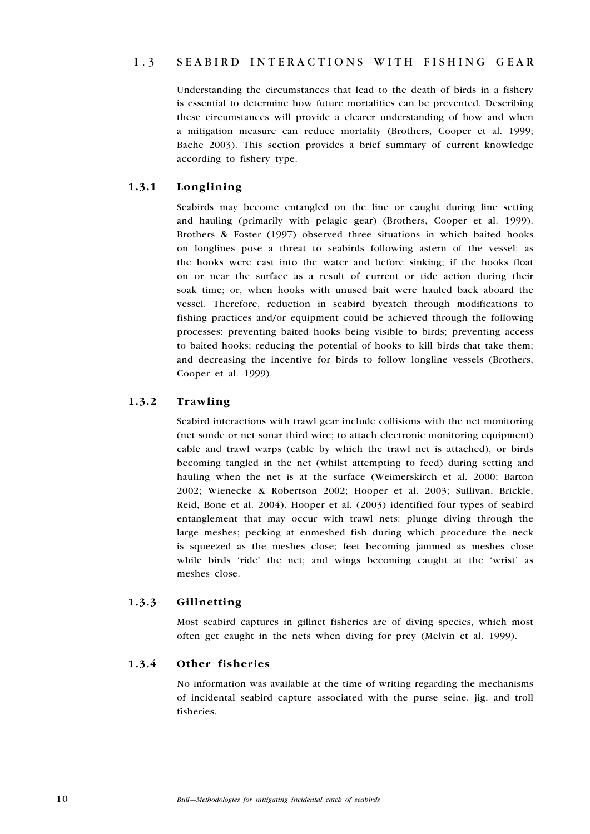## 1.3 SEABIRD INTERACTIONS WITH FISHING GEAR

Understanding the circumstances that lead to the death of birds in a fishery is essential to determine how future mortalities can be prevented. Describing these circumstances will provide a clearer understanding of how and when a mitigation measure can reduce mortality (Brothers, Cooper et al. 1999; Bache 2003). This section provides a brief summary of current knowledge according to fishery type.

## 1.3.1 Longlining

Seabirds may become entangled on the line or caught during line setting and hauling (primarily with pelagic gear) (Brothers, Cooper et al. 1999). Brothers & Foster (1997) observed three situations in which baited hooks on longlines pose a threat to seabirds following astern of the vessel: as the hooks were cast into the water and before sinking; if the hooks float on or near the surface as a result of current or tide action during their soak time; or, when hooks with unused bait were hauled back aboard the vessel. Therefore, reduction in seabird bycatch through modifications to fishing practices and/or equipment could be achieved through the following processes: preventing baited hooks being visible to birds; preventing access to baited hooks; reducing the potential of hooks to kill birds that take them; and decreasing the incentive for birds to follow longline vessels (Brothers, Cooper et al. 1999).

## 1.3.2 Trawling

Seabird interactions with trawl gear include collisions with the net monitoring (net sonde or net sonar third wire; to attach electronic monitoring equipment) cable and trawl warps (cable by which the trawl net is attached), or birds becoming tangled in the net (whilst attempting to feed) during setting and hauling when the net is at the surface (Weimerskirch et al. 2000; Barton 2002; Wienecke & Robertson 2002; Hooper et al. 2003; Sullivan, Brickle, Reid, Bone et al. 2004). Hooper et al. (2003) identified four types of seabird entanglement that may occur with trawl nets: plunge diving through the large meshes; pecking at enmeshed fish during which procedure the neck is squeezed as the meshes close; feet becoming jammed as meshes close while birds 'ride' the net; and wings becoming caught at the 'wrist' as meshes close.

## 1.3.3 Gillnetting

Most seabird captures in gillnet fisheries are of diving species, which most often get caught in the nets when diving for prey (Melvin et al. 1999).

### 1.3.4 Other fisheries

No information was available at the time of writing regarding the mechanisms of incidental seabird capture associated with the purse seine, jig, and troll fisheries.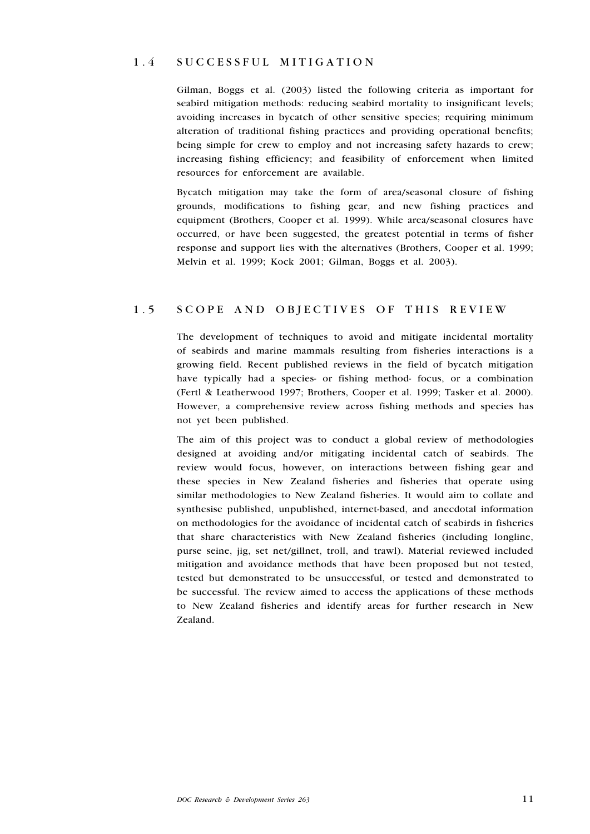## 1 . 4 S ucc e ssful mitigation

Gilman, Boggs et al. (2003) listed the following criteria as important for seabird mitigation methods: reducing seabird mortality to insignificant levels; avoiding increases in bycatch of other sensitive species; requiring minimum alteration of traditional fishing practices and providing operational benefits; being simple for crew to employ and not increasing safety hazards to crew; increasing fishing efficiency; and feasibility of enforcement when limited resources for enforcement are available.

Bycatch mitigation may take the form of area/seasonal closure of fishing grounds, modifications to fishing gear, and new fishing practices and equipment (Brothers, Cooper et al. 1999). While area/seasonal closures have occurred, or have been suggested, the greatest potential in terms of fisher response and support lies with the alternatives (Brothers, Cooper et al. 1999; Melvin et al. 1999; Kock 2001; Gilman, Boggs et al. 2003).

## 1.5 SCOPE AND OBJECTIVES OF THIS REVIEW

The development of techniques to avoid and mitigate incidental mortality of seabirds and marine mammals resulting from fisheries interactions is a growing field. Recent published reviews in the field of bycatch mitigation have typically had a species- or fishing method- focus, or a combination (Fertl & Leatherwood 1997; Brothers, Cooper et al. 1999; Tasker et al. 2000). However, a comprehensive review across fishing methods and species has not yet been published.

The aim of this project was to conduct a global review of methodologies designed at avoiding and/or mitigating incidental catch of seabirds. The review would focus, however, on interactions between fishing gear and these species in New Zealand fisheries and fisheries that operate using similar methodologies to New Zealand fisheries. It would aim to collate and synthesise published, unpublished, internet-based, and anecdotal information on methodologies for the avoidance of incidental catch of seabirds in fisheries that share characteristics with New Zealand fisheries (including longline, purse seine, jig, set net/gillnet, troll, and trawl). Material reviewed included mitigation and avoidance methods that have been proposed but not tested, tested but demonstrated to be unsuccessful, or tested and demonstrated to be successful. The review aimed to access the applications of these methods to New Zealand fisheries and identify areas for further research in New Zealand.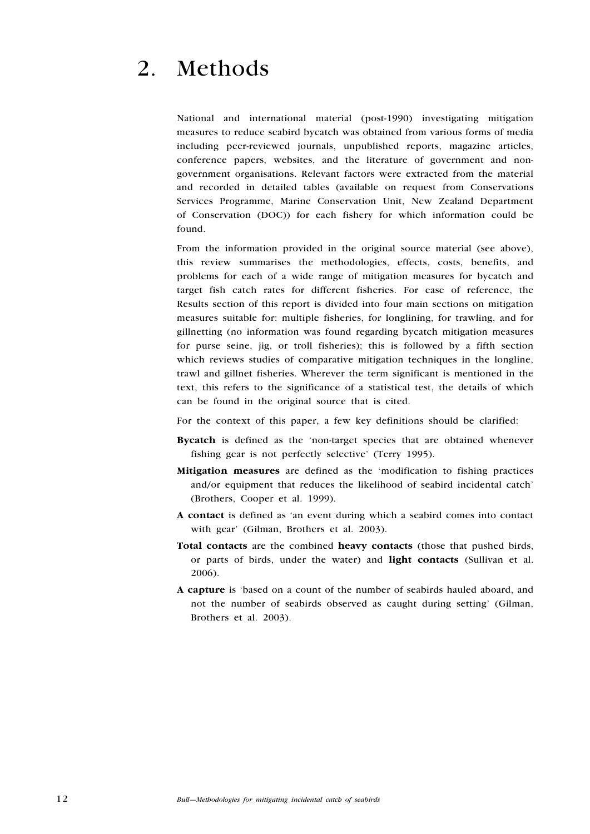# 2. Methods

National and international material (post-1990) investigating mitigation measures to reduce seabird bycatch was obtained from various forms of media including peer-reviewed journals, unpublished reports, magazine articles, conference papers, websites, and the literature of government and nongovernment organisations. Relevant factors were extracted from the material and recorded in detailed tables (available on request from Conservations Services Programme, Marine Conservation Unit, New Zealand Department of Conservation (DOC)) for each fishery for which information could be found.

From the information provided in the original source material (see above), this review summarises the methodologies, effects, costs, benefits, and problems for each of a wide range of mitigation measures for bycatch and target fish catch rates for different fisheries. For ease of reference, the Results section of this report is divided into four main sections on mitigation measures suitable for: multiple fisheries, for longlining, for trawling, and for gillnetting (no information was found regarding bycatch mitigation measures for purse seine, jig, or troll fisheries); this is followed by a fifth section which reviews studies of comparative mitigation techniques in the longline, trawl and gillnet fisheries. Wherever the term significant is mentioned in the text, this refers to the significance of a statistical test, the details of which can be found in the original source that is cited.

For the context of this paper, a few key definitions should be clarified:

- Bycatch is defined as the 'non-target species that are obtained whenever fishing gear is not perfectly selective' (Terry 1995).
- Mitigation measures are defined as the 'modification to fishing practices and/or equipment that reduces the likelihood of seabird incidental catch' (Brothers, Cooper et al. 1999).
- A contact is defined as 'an event during which a seabird comes into contact with gear' (Gilman, Brothers et al. 2003).
- Total contacts are the combined heavy contacts (those that pushed birds, or parts of birds, under the water) and light contacts (Sullivan et al. 2006).
- A capture is 'based on a count of the number of seabirds hauled aboard, and not the number of seabirds observed as caught during setting' (Gilman, Brothers et al. 2003).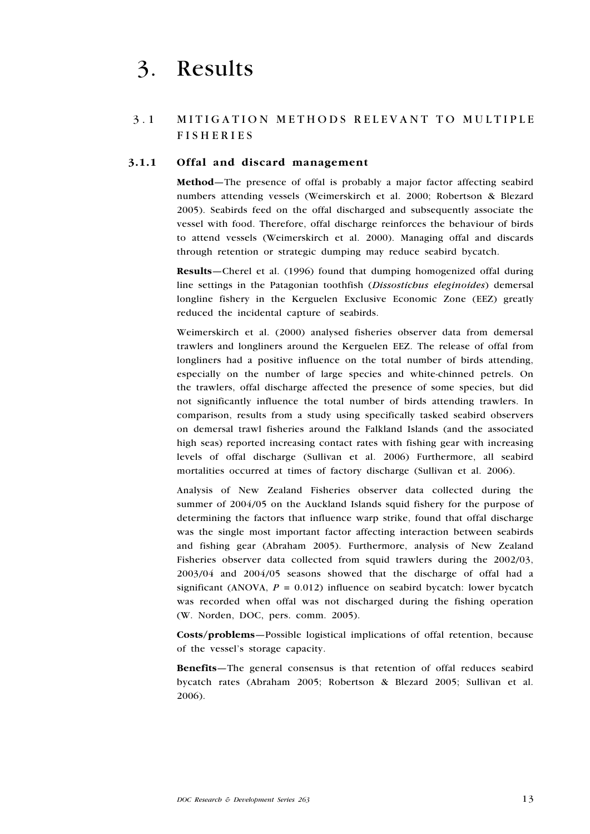## 3. Results

## 3.1 MITIGATION METHODS RELEVANT TO MULTIPLE **FISHERIES**

## 3.1.1 Offal and discard management

Method—The presence of offal is probably a major factor affecting seabird numbers attending vessels (Weimerskirch et al. 2000; Robertson & Blezard 2005). Seabirds feed on the offal discharged and subsequently associate the vessel with food. Therefore, offal discharge reinforces the behaviour of birds to attend vessels (Weimerskirch et al. 2000). Managing offal and discards through retention or strategic dumping may reduce seabird bycatch.

Results—Cherel et al. (1996) found that dumping homogenized offal during line settings in the Patagonian toothfish (Dissostichus eleginoides) demersal longline fishery in the Kerguelen Exclusive Economic Zone (EEZ) greatly reduced the incidental capture of seabirds.

Weimerskirch et al. (2000) analysed fisheries observer data from demersal trawlers and longliners around the Kerguelen EEZ. The release of offal from longliners had a positive influence on the total number of birds attending, especially on the number of large species and white-chinned petrels. On the trawlers, offal discharge affected the presence of some species, but did not significantly influence the total number of birds attending trawlers. In comparison, results from a study using specifically tasked seabird observers on demersal trawl fisheries around the Falkland Islands (and the associated high seas) reported increasing contact rates with fishing gear with increasing levels of offal discharge (Sullivan et al. 2006) Furthermore, all seabird mortalities occurred at times of factory discharge (Sullivan et al. 2006).

Analysis of New Zealand Fisheries observer data collected during the summer of 2004/05 on the Auckland Islands squid fishery for the purpose of determining the factors that influence warp strike, found that offal discharge was the single most important factor affecting interaction between seabirds and fishing gear (Abraham 2005). Furthermore, analysis of New Zealand Fisheries observer data collected from squid trawlers during the 2002/03, 2003/04 and 2004/05 seasons showed that the discharge of offal had a significant (ANOVA,  $P = 0.012$ ) influence on seabird bycatch: lower bycatch was recorded when offal was not discharged during the fishing operation (W. Norden, DOC, pers. comm. 2005).

Costs/problems—Possible logistical implications of offal retention, because of the vessel's storage capacity.

Benefits—The general consensus is that retention of offal reduces seabird bycatch rates (Abraham 2005; Robertson & Blezard 2005; Sullivan et al. 2006).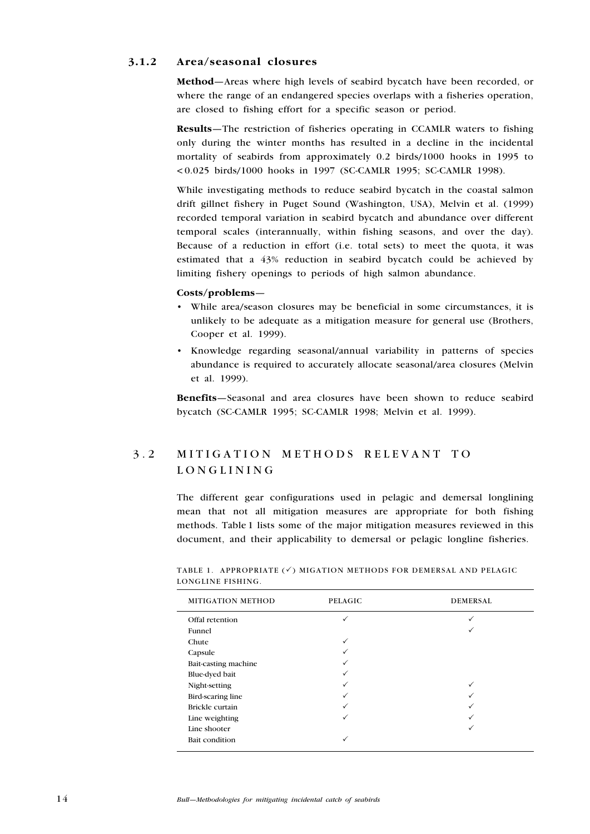## 3.1.2 Area/seasonal closures

Method—Areas where high levels of seabird bycatch have been recorded, or where the range of an endangered species overlaps with a fisheries operation, are closed to fishing effort for a specific season or period.

Results—The restriction of fisheries operating in CCAMLR waters to fishing only during the winter months has resulted in a decline in the incidental mortality of seabirds from approximately 0.2 birds/1000 hooks in 1995 to < 0.025 birds/1000 hooks in 1997 (SC-CAMLR 1995; SC-CAMLR 1998).

While investigating methods to reduce seabird bycatch in the coastal salmon drift gillnet fishery in Puget Sound (Washington, USA), Melvin et al. (1999) recorded temporal variation in seabird bycatch and abundance over different temporal scales (interannually, within fishing seasons, and over the day). Because of a reduction in effort (i.e. total sets) to meet the quota, it was estimated that a 43% reduction in seabird bycatch could be achieved by limiting fishery openings to periods of high salmon abundance.

#### Costs/problems—

- While area/season closures may be beneficial in some circumstances, it is unlikely to be adequate as a mitigation measure for general use (Brothers, Cooper et al. 1999).
- Knowledge regarding seasonal/annual variability in patterns of species abundance is required to accurately allocate seasonal/area closures (Melvin et al. 1999).

Benefits—Seasonal and area closures have been shown to reduce seabird bycatch (SC-CAMLR 1995; SC-CAMLR 1998; Melvin et al. 1999).

## 3.2 MITIGATION METHODS RELEVANT TO longlining

The different gear configurations used in pelagic and demersal longlining mean that not all mitigation measures are appropriate for both fishing methods. Table 1 lists some of the major mitigation measures reviewed in this document, and their applicability to demersal or pelagic longline fisheries.

| <b>MITIGATION METHOD</b> | <b>PELAGIC</b> | <b>DEMERSAL</b> |
|--------------------------|----------------|-----------------|
| Offal retention          | ✓              |                 |
| Funnel                   |                |                 |
| Chute                    | ✓              |                 |
| Capsule                  |                |                 |
| Bait-casting machine     | $\checkmark$   |                 |
| Blue-dyed bait           | ✓              |                 |
| Night-setting            | ✓              |                 |
| Bird-scaring line        | ✓              |                 |
| Brickle curtain          | ✓              |                 |
| Line weighting           | $\checkmark$   |                 |
| Line shooter             |                |                 |
| Bait condition           | $\checkmark$   |                 |

TABLE 1. APPROPRIATE  $(\checkmark)$  MIGATION METHODS FOR DEMERSAL AND PELAGIC longline fishing.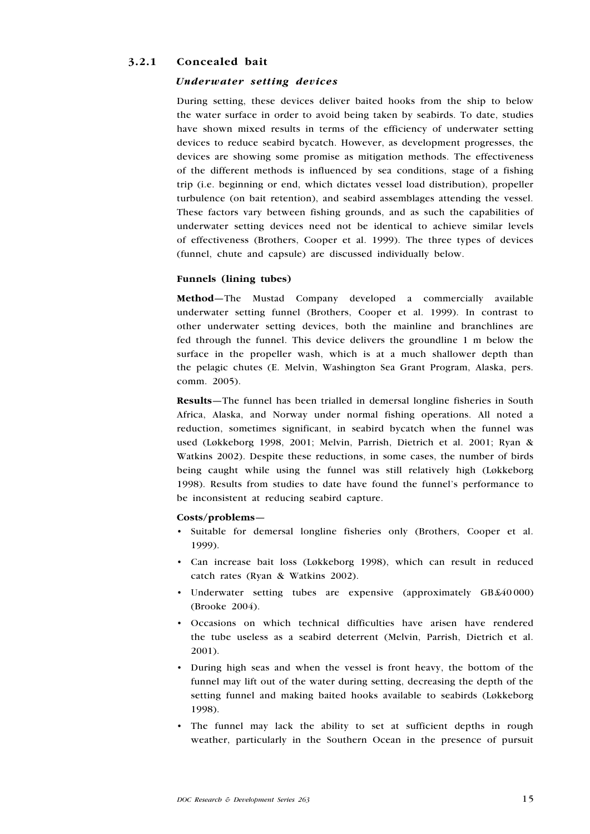## 3.2.1 Concealed bait

### Underwater setting devices

During setting, these devices deliver baited hooks from the ship to below the water surface in order to avoid being taken by seabirds. To date, studies have shown mixed results in terms of the efficiency of underwater setting devices to reduce seabird bycatch. However, as development progresses, the devices are showing some promise as mitigation methods. The effectiveness of the different methods is influenced by sea conditions, stage of a fishing trip (i.e. beginning or end, which dictates vessel load distribution), propeller turbulence (on bait retention), and seabird assemblages attending the vessel. These factors vary between fishing grounds, and as such the capabilities of underwater setting devices need not be identical to achieve similar levels of effectiveness (Brothers, Cooper et al. 1999). The three types of devices (funnel, chute and capsule) are discussed individually below.

## Funnels (lining tubes)

Method—The Mustad Company developed a commercially available underwater setting funnel (Brothers, Cooper et al. 1999). In contrast to other underwater setting devices, both the mainline and branchlines are fed through the funnel. This device delivers the groundline 1 m below the surface in the propeller wash, which is at a much shallower depth than the pelagic chutes (E. Melvin, Washington Sea Grant Program, Alaska, pers. comm. 2005).

Results—The funnel has been trialled in demersal longline fisheries in South Africa, Alaska, and Norway under normal fishing operations. All noted a reduction, sometimes significant, in seabird bycatch when the funnel was used (Løkkeborg 1998, 2001; Melvin, Parrish, Dietrich et al. 2001; Ryan & Watkins 2002). Despite these reductions, in some cases, the number of birds being caught while using the funnel was still relatively high (Løkkeborg 1998). Results from studies to date have found the funnel's performance to be inconsistent at reducing seabird capture.

#### Costs/problems—

- Suitable for demersal longline fisheries only (Brothers, Cooper et al. 1999).
- Can increase bait loss (Løkkeborg 1998), which can result in reduced catch rates (Ryan & Watkins 2002).
- Underwater setting tubes are expensive (approximately GB £40000) (Brooke 2004).
- Occasions on which technical difficulties have arisen have rendered the tube useless as a seabird deterrent (Melvin, Parrish, Dietrich et al. 2001). •
- During high seas and when the vessel is front heavy, the bottom of the funnel may lift out of the water during setting, decreasing the depth of the setting funnel and making baited hooks available to seabirds (Løkkeborg 1998).
- The funnel may lack the ability to set at sufficient depths in rough weather, particularly in the Southern Ocean in the presence of pursuit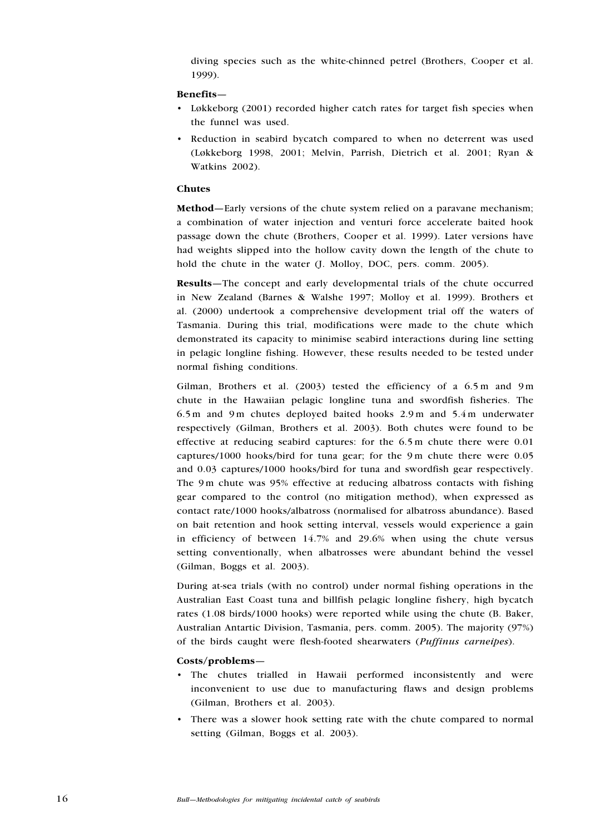diving species such as the white-chinned petrel (Brothers, Cooper et al. 1999).

#### Benefits—

- Løkkeborg (2001) recorded higher catch rates for target fish species when the funnel was used.
- Reduction in seabird bycatch compared to when no deterrent was used (Løkkeborg 1998, 2001; Melvin, Parrish, Dietrich et al. 2001; Ryan & Watkins 2002).

#### Chutes

Method—Early versions of the chute system relied on a paravane mechanism; a combination of water injection and venturi force accelerate baited hook passage down the chute (Brothers, Cooper et al. 1999). Later versions have had weights slipped into the hollow cavity down the length of the chute to hold the chute in the water (J. Molloy, DOC, pers. comm. 2005).

Results—The concept and early developmental trials of the chute occurred in New Zealand (Barnes & Walshe 1997; Molloy et al. 1999). Brothers et al. (2000) undertook a comprehensive development trial off the waters of Tasmania. During this trial, modifications were made to the chute which demonstrated its capacity to minimise seabird interactions during line setting in pelagic longline fishing. However, these results needed to be tested under normal fishing conditions.

Gilman, Brothers et al. (2003) tested the efficiency of a 6.5 m and 9 m chute in the Hawaiian pelagic longline tuna and swordfish fisheries. The 6.5 m and 9 m chutes deployed baited hooks  $2.9 \text{ m}$  and  $5.4 \text{ m}$  underwater respectively (Gilman, Brothers et al. 2003). Both chutes were found to be effective at reducing seabird captures: for the 6.5 m chute there were 0.01 captures/1000 hooks/bird for tuna gear; for the 9 m chute there were 0.05 and 0.03 captures/1000 hooks/bird for tuna and swordfish gear respectively. The 9 m chute was 95% effective at reducing albatross contacts with fishing gear compared to the control (no mitigation method), when expressed as contact rate/1000 hooks/albatross (normalised for albatross abundance). Based on bait retention and hook setting interval, vessels would experience a gain in efficiency of between 14.7% and 29.6% when using the chute versus setting conventionally, when albatrosses were abundant behind the vessel (Gilman, Boggs et al. 2003).

During at-sea trials (with no control) under normal fishing operations in the Australian East Coast tuna and billfish pelagic longline fishery, high bycatch rates (1.08 birds/1000 hooks) were reported while using the chute (B. Baker, Australian Antartic Division, Tasmania, pers. comm. 2005). The majority (97%) of the birds caught were flesh-footed shearwaters (Puffinus carneipes).

#### Costs/problems—

- The chutes trialled in Hawaii performed inconsistently and were inconvenient to use due to manufacturing flaws and design problems (Gilman, Brothers et al. 2003).
- There was a slower hook setting rate with the chute compared to normal •setting (Gilman, Boggs et al. 2003).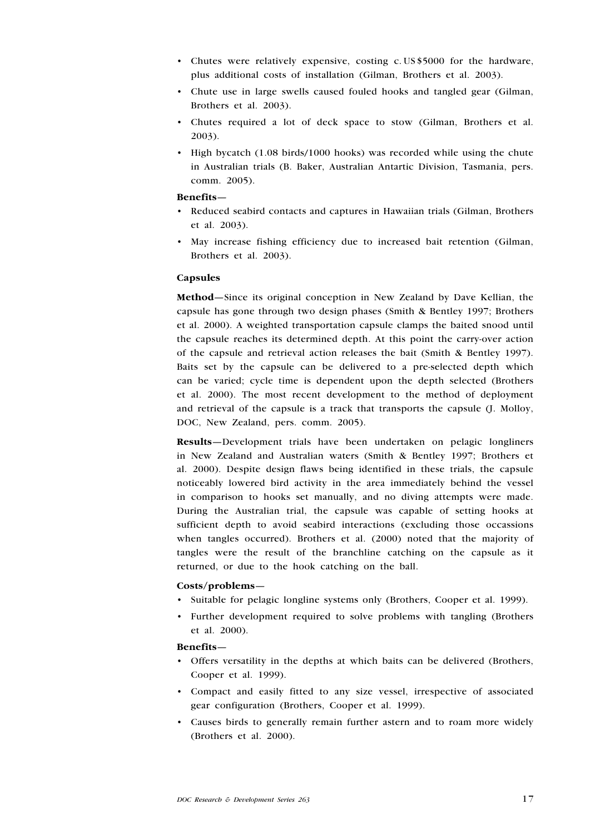- Chutes were relatively expensive, costing c. US\$5000 for the hardware, plus additional costs of installation (Gilman, Brothers et al. 2003).
- Chute use in large swells caused fouled hooks and tangled gear (Gilman, Brothers et al. 2003).
- Chutes required a lot of deck space to stow (Gilman, Brothers et al. 2003).
- High bycatch (1.08 birds/1000 hooks) was recorded while using the chute in Australian trials (B. Baker, Australian Antartic Division, Tasmania, pers. comm. 2005).

#### Benefits—

- Reduced seabird contacts and captures in Hawaiian trials (Gilman, Brothers et al. 2003).
- May increase fishing efficiency due to increased bait retention (Gilman, Brothers et al. 2003).

#### Capsules

Method—Since its original conception in New Zealand by Dave Kellian, the capsule has gone through two design phases (Smith & Bentley 1997; Brothers et al. 2000). A weighted transportation capsule clamps the baited snood until the capsule reaches its determined depth. At this point the carry-over action of the capsule and retrieval action releases the bait (Smith & Bentley 1997). Baits set by the capsule can be delivered to a pre-selected depth which can be varied; cycle time is dependent upon the depth selected (Brothers et al. 2000). The most recent development to the method of deployment and retrieval of the capsule is a track that transports the capsule (J. Molloy, DOC, New Zealand, pers. comm. 2005).

Results—Development trials have been undertaken on pelagic longliners in New Zealand and Australian waters (Smith & Bentley 1997; Brothers et al. 2000). Despite design flaws being identified in these trials, the capsule noticeably lowered bird activity in the area immediately behind the vessel in comparison to hooks set manually, and no diving attempts were made. During the Australian trial, the capsule was capable of setting hooks at sufficient depth to avoid seabird interactions (excluding those occassions when tangles occurred). Brothers et al. (2000) noted that the majority of tangles were the result of the branchline catching on the capsule as it returned, or due to the hook catching on the ball.

## Costs/problems—

- Suitable for pelagic longline systems only (Brothers, Cooper et al. 1999).
- Further development required to solve problems with tangling (Brothers et al. 2000).

#### Benefits—

- Offers versatility in the depths at which baits can be delivered (Brothers, Cooper et al. 1999).
- Compact and easily fitted to any size vessel, irrespective of associated gear configuration (Brothers, Cooper et al. 1999).
- Causes birds to generally remain further astern and to roam more widely (Brothers et al. 2000). •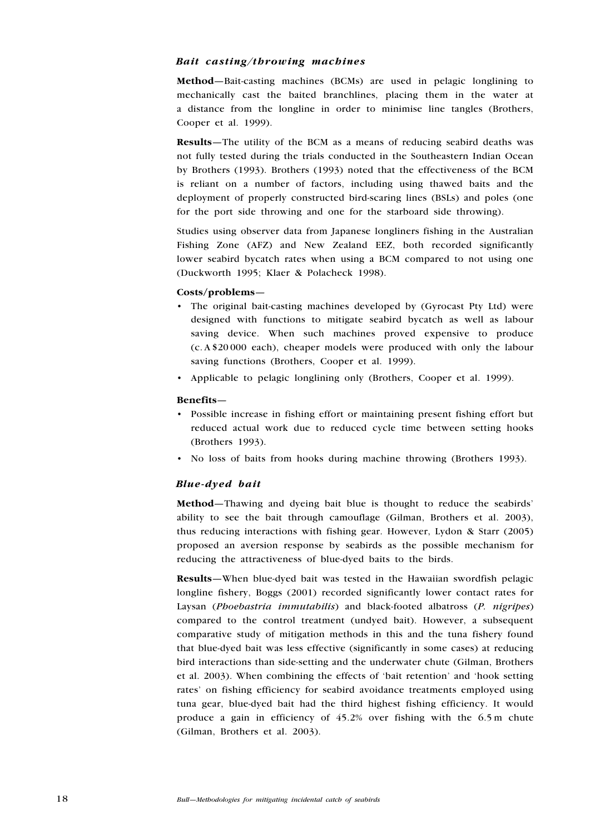#### Bait casting/throwing machines

Method—Bait-casting machines (BCMs) are used in pelagic longlining to mechanically cast the baited branchlines, placing them in the water at a distance from the longline in order to minimise line tangles (Brothers, Cooper et al. 1999).

Results—The utility of the BCM as a means of reducing seabird deaths was not fully tested during the trials conducted in the Southeastern Indian Ocean by Brothers (1993). Brothers (1993) noted that the effectiveness of the BCM is reliant on a number of factors, including using thawed baits and the deployment of properly constructed bird-scaring lines (BSLs) and poles (one for the port side throwing and one for the starboard side throwing).

Studies using observer data from Japanese longliners fishing in the Australian Fishing Zone (AFZ) and New Zealand EEZ, both recorded significantly lower seabird bycatch rates when using a BCM compared to not using one (Duckworth 1995; Klaer & Polacheck 1998).

#### Costs/problems—

- The original bait-casting machines developed by (Gyrocast Pty Ltd) were designed with functions to mitigate seabird bycatch as well as labour saving device. When such machines proved expensive to produce (c. A \$20 000 each), cheaper models were produced with only the labour saving functions (Brothers, Cooper et al. 1999).
- Applicable to pelagic longlining only (Brothers, Cooper et al. 1999).

#### Benefits—

- Possible increase in fishing effort or maintaining present fishing effort but reduced actual work due to reduced cycle time between setting hooks (Brothers 1993).
- No loss of baits from hooks during machine throwing (Brothers 1993).

### Blue-dyed bait

Method—Thawing and dyeing bait blue is thought to reduce the seabirds' ability to see the bait through camouflage (Gilman, Brothers et al. 2003), thus reducing interactions with fishing gear. However, Lydon & Starr (2005) proposed an aversion response by seabirds as the possible mechanism for reducing the attractiveness of blue-dyed baits to the birds.

Results—When blue-dyed bait was tested in the Hawaiian swordfish pelagic longline fishery, Boggs (2001) recorded significantly lower contact rates for Laysan (Phoebastria immutabilis) and black-footed albatross (P. nigripes) compared to the control treatment (undyed bait). However, a subsequent comparative study of mitigation methods in this and the tuna fishery found that blue-dyed bait was less effective (significantly in some cases) at reducing bird interactions than side-setting and the underwater chute (Gilman, Brothers et al. 2003). When combining the effects of 'bait retention' and 'hook setting rates' on fishing efficiency for seabird avoidance treatments employed using tuna gear, blue-dyed bait had the third highest fishing efficiency. It would produce a gain in efficiency of 45.2% over fishing with the 6.5 m chute (Gilman, Brothers et al. 2003).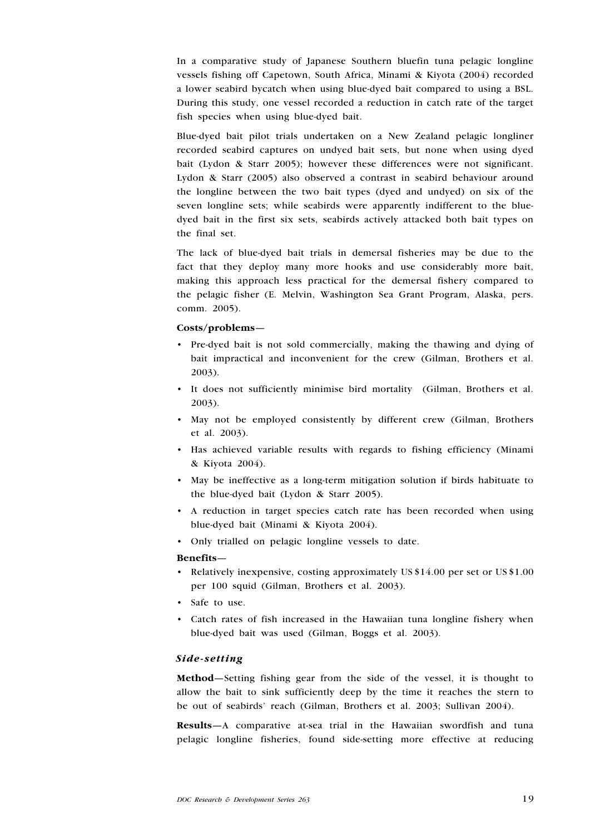In a comparative study of Japanese Southern bluefin tuna pelagic longline vessels fishing off Capetown, South Africa, Minami & Kiyota (2004) recorded a lower seabird bycatch when using blue-dyed bait compared to using a BSL. During this study, one vessel recorded a reduction in catch rate of the target fish species when using blue-dyed bait.

Blue-dyed bait pilot trials undertaken on a New Zealand pelagic longliner recorded seabird captures on undyed bait sets, but none when using dyed bait (Lydon & Starr 2005); however these differences were not significant. Lydon & Starr (2005) also observed a contrast in seabird behaviour around the longline between the two bait types (dyed and undyed) on six of the seven longline sets; while seabirds were apparently indifferent to the bluedyed bait in the first six sets, seabirds actively attacked both bait types on the final set.

The lack of blue-dyed bait trials in demersal fisheries may be due to the fact that they deploy many more hooks and use considerably more bait, making this approach less practical for the demersal fishery compared to the pelagic fisher (E. Melvin, Washington Sea Grant Program, Alaska, pers. comm. 2005).

#### Costs/problems—

- Pre-dyed bait is not sold commercially, making the thawing and dying of bait impractical and inconvenient for the crew (Gilman, Brothers et al. 2003).
- It does not sufficiently minimise bird mortality (Gilman, Brothers et al. 2003).
- May not be employed consistently by different crew (Gilman, Brothers et al. 2003).
- Has achieved variable results with regards to fishing efficiency (Minami & Kiyota 2004).
- May be ineffective as a long-term mitigation solution if birds habituate to the blue-dyed bait (Lydon & Starr 2005).
- A reduction in target species catch rate has been recorded when using blue-dyed bait (Minami & Kiyota 2004).
- Only trialled on pelagic longline vessels to date.

#### Benefits—

- Relatively inexpensive, costing approximately US \$14.00 per set or US \$1.00 per 100 squid (Gilman, Brothers et al. 2003).
- Safe to use.
- Catch rates of fish increased in the Hawaiian tuna longline fishery when •blue-dyed bait was used (Gilman, Boggs et al. 2003).

### Side-setting

Method—Setting fishing gear from the side of the vessel, it is thought to allow the bait to sink sufficiently deep by the time it reaches the stern to be out of seabirds' reach (Gilman, Brothers et al. 2003; Sullivan 2004).

Results—A comparative at-sea trial in the Hawaiian swordfish and tuna pelagic longline fisheries, found side-setting more effective at reducing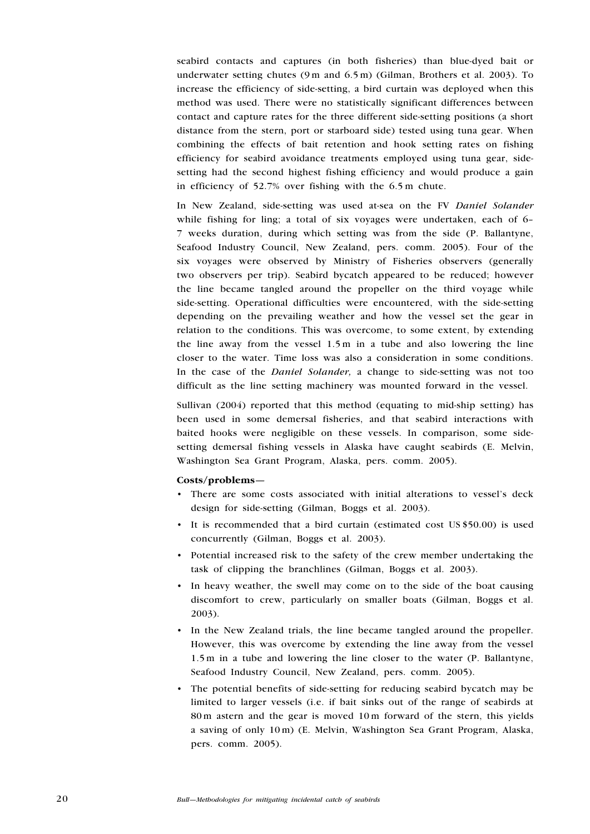seabird contacts and captures (in both fisheries) than blue-dyed bait or underwater setting chutes (9 m and 6.5 m) (Gilman, Brothers et al. 2003). To increase the efficiency of side-setting, a bird curtain was deployed when this method was used. There were no statistically significant differences between contact and capture rates for the three different side-setting positions (a short distance from the stern, port or starboard side) tested using tuna gear. When combining the effects of bait retention and hook setting rates on fishing efficiency for seabird avoidance treatments employed using tuna gear, sidesetting had the second highest fishing efficiency and would produce a gain in efficiency of 52.7% over fishing with the 6.5 m chute.

In New Zealand, side-setting was used at-sea on the FV Daniel Solander while fishing for ling; a total of six voyages were undertaken, each of 6-7 weeks duration, during which setting was from the side (P. Ballantyne, Seafood Industry Council, New Zealand, pers. comm. 2005). Four of the six voyages were observed by Ministry of Fisheries observers (generally two observers per trip). Seabird bycatch appeared to be reduced; however the line became tangled around the propeller on the third voyage while side-setting. Operational difficulties were encountered, with the side-setting depending on the prevailing weather and how the vessel set the gear in relation to the conditions. This was overcome, to some extent, by extending the line away from the vessel 1.5 m in a tube and also lowering the line closer to the water. Time loss was also a consideration in some conditions. In the case of the Daniel Solander, a change to side-setting was not too difficult as the line setting machinery was mounted forward in the vessel.

Sullivan (2004) reported that this method (equating to mid-ship setting) has been used in some demersal fisheries, and that seabird interactions with baited hooks were negligible on these vessels. In comparison, some sidesetting demersal fishing vessels in Alaska have caught seabirds (E. Melvin, Washington Sea Grant Program, Alaska, pers. comm. 2005).

#### Costs/problems—

- There are some costs associated with initial alterations to vessel's deck design for side-setting (Gilman, Boggs et al. 2003).
- It is recommended that a bird curtain (estimated cost US \$50.00) is used concurrently (Gilman, Boggs et al. 2003).
- Potential increased risk to the safety of the crew member undertaking the task of clipping the branchlines (Gilman, Boggs et al. 2003).
- In heavy weather, the swell may come on to the side of the boat causing discomfort to crew, particularly on smaller boats (Gilman, Boggs et al. 2003).
- In the New Zealand trials, the line became tangled around the propeller. However, this was overcome by extending the line away from the vessel 1.5 m in a tube and lowering the line closer to the water (P. Ballantyne, Seafood Industry Council, New Zealand, pers. comm. 2005).
- The potential benefits of side-setting for reducing seabird bycatch may be •limited to larger vessels (i.e. if bait sinks out of the range of seabirds at 80 m astern and the gear is moved 10 m forward of the stern, this yields a saving of only 10 m) (E. Melvin, Washington Sea Grant Program, Alaska, pers. comm. 2005).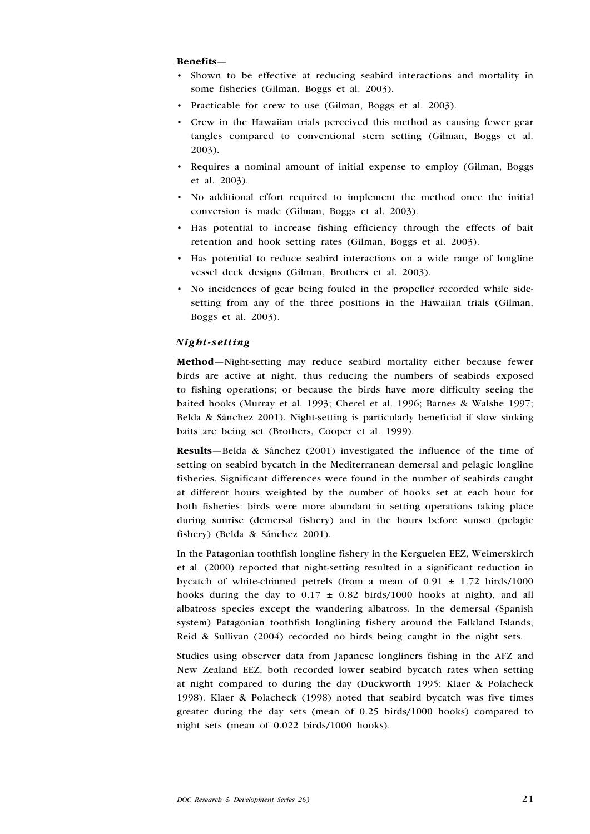#### Benefits—

- Shown to be effective at reducing seabird interactions and mortality in some fisheries (Gilman, Boggs et al. 2003). •
- Practicable for crew to use (Gilman, Boggs et al. 2003).
- Crew in the Hawaiian trials perceived this method as causing fewer gear tangles compared to conventional stern setting (Gilman, Boggs et al. 2003). •
- Requires a nominal amount of initial expense to employ (Gilman, Boggs et al. 2003). •
- No additional effort required to implement the method once the initial conversion is made (Gilman, Boggs et al. 2003).
- Has potential to increase fishing efficiency through the effects of bait retention and hook setting rates (Gilman, Boggs et al. 2003).
- Has potential to reduce seabird interactions on a wide range of longline vessel deck designs (Gilman, Brothers et al. 2003).
- No incidences of gear being fouled in the propeller recorded while side-•setting from any of the three positions in the Hawaiian trials (Gilman, Boggs et al. 2003).

## Night-setting

Method—Night-setting may reduce seabird mortality either because fewer birds are active at night, thus reducing the numbers of seabirds exposed to fishing operations; or because the birds have more difficulty seeing the baited hooks (Murray et al. 1993; Cherel et al. 1996; Barnes & Walshe 1997; Belda & Sánchez 2001). Night-setting is particularly beneficial if slow sinking baits are being set (Brothers, Cooper et al. 1999).

Results—Belda & Sánchez (2001) investigated the influence of the time of setting on seabird bycatch in the Mediterranean demersal and pelagic longline fisheries. Significant differences were found in the number of seabirds caught at different hours weighted by the number of hooks set at each hour for both fisheries: birds were more abundant in setting operations taking place during sunrise (demersal fishery) and in the hours before sunset (pelagic fishery) (Belda & Sánchez 2001).

In the Patagonian toothfish longline fishery in the Kerguelen EEZ, Weimerskirch et al. (2000) reported that night-setting resulted in a significant reduction in bycatch of white-chinned petrels (from a mean of  $0.91 \pm 1.72$  birds/1000 hooks during the day to  $0.17 \pm 0.82$  birds/1000 hooks at night), and all albatross species except the wandering albatross. In the demersal (Spanish system) Patagonian toothfish longlining fishery around the Falkland Islands, Reid & Sullivan (2004) recorded no birds being caught in the night sets.

Studies using observer data from Japanese longliners fishing in the AFZ and New Zealand EEZ, both recorded lower seabird bycatch rates when setting at night compared to during the day (Duckworth 1995; Klaer & Polacheck 1998). Klaer & Polacheck (1998) noted that seabird bycatch was five times greater during the day sets (mean of 0.25 birds/1000 hooks) compared to night sets (mean of 0.022 birds/1000 hooks).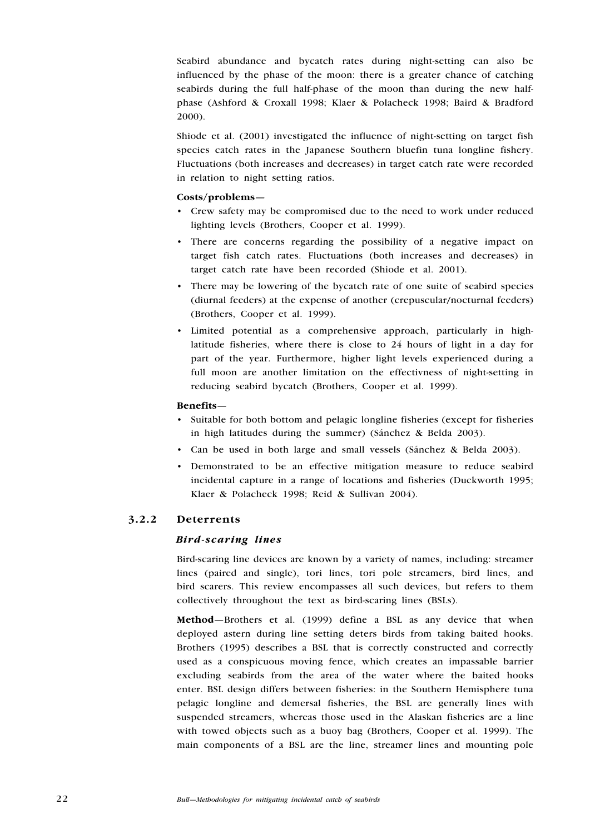Seabird abundance and bycatch rates during night-setting can also be influenced by the phase of the moon: there is a greater chance of catching seabirds during the full half-phase of the moon than during the new halfphase (Ashford & Croxall 1998; Klaer & Polacheck 1998; Baird & Bradford 2000).

Shiode et al. (2001) investigated the influence of night-setting on target fish species catch rates in the Japanese Southern bluefin tuna longline fishery. Fluctuations (both increases and decreases) in target catch rate were recorded in relation to night setting ratios.

### Costs/problems—

- Crew safety may be compromised due to the need to work under reduced lighting levels (Brothers, Cooper et al. 1999).
- There are concerns regarding the possibility of a negative impact on target fish catch rates. Fluctuations (both increases and decreases) in target catch rate have been recorded (Shiode et al. 2001).
- There may be lowering of the bycatch rate of one suite of seabird species (diurnal feeders) at the expense of another (crepuscular/nocturnal feeders) (Brothers, Cooper et al. 1999).
- Limited potential as a comprehensive approach, particularly in highlatitude fisheries, where there is close to 24 hours of light in a day for part of the year. Furthermore, higher light levels experienced during a full moon are another limitation on the effectivness of night-setting in reducing seabird bycatch (Brothers, Cooper et al. 1999).

## Benefits—

- Suitable for both bottom and pelagic longline fisheries (except for fisheries in high latitudes during the summer) (Sánchez & Belda 2003).
- Can be used in both large and small vessels (Sánchez & Belda 2003). •
- Demonstrated to be an effective mitigation measure to reduce seabird incidental capture in a range of locations and fisheries (Duckworth 1995; Klaer & Polacheck 1998; Reid & Sullivan 2004). •

## 3.2.2 Deterrents

### Bird-scaring lines

Bird-scaring line devices are known by a variety of names, including: streamer lines (paired and single), tori lines, tori pole streamers, bird lines, and bird scarers. This review encompasses all such devices, but refers to them collectively throughout the text as bird-scaring lines (BSLs).

Method—Brothers et al. (1999) define a BSL as any device that when deployed astern during line setting deters birds from taking baited hooks. Brothers (1995) describes a BSL that is correctly constructed and correctly used as a conspicuous moving fence, which creates an impassable barrier excluding seabirds from the area of the water where the baited hooks enter. BSL design differs between fisheries: in the Southern Hemisphere tuna pelagic longline and demersal fisheries, the BSL are generally lines with suspended streamers, whereas those used in the Alaskan fisheries are a line with towed objects such as a buoy bag (Brothers, Cooper et al. 1999). The main components of a BSL are the line, streamer lines and mounting pole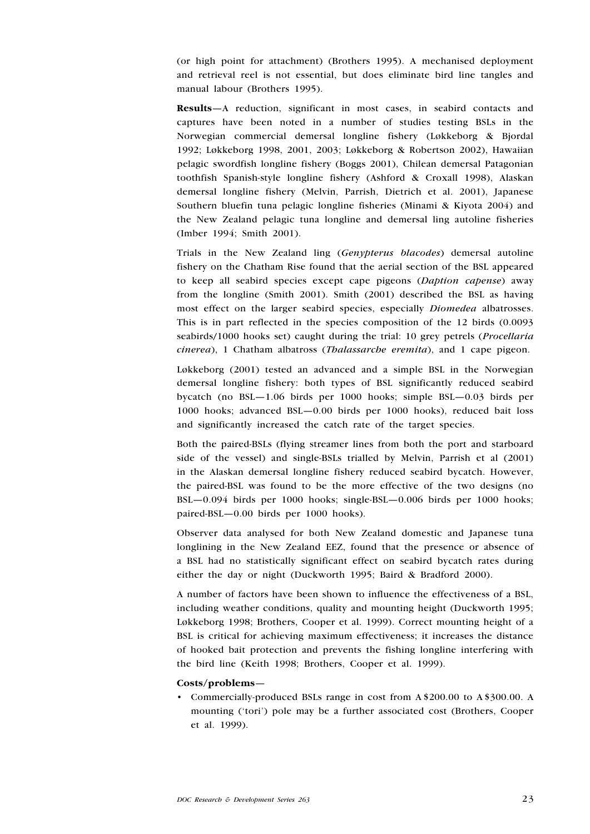(or high point for attachment) (Brothers 1995). A mechanised deployment and retrieval reel is not essential, but does eliminate bird line tangles and manual labour (Brothers 1995).

Results—A reduction, significant in most cases, in seabird contacts and captures have been noted in a number of studies testing BSLs in the Norwegian commercial demersal longline fishery (Løkkeborg & Bjordal 1992; Løkkeborg 1998, 2001, 2003; Løkkeborg & Robertson 2002), Hawaiian pelagic swordfish longline fishery (Boggs 2001), Chilean demersal Patagonian toothfish Spanish-style longline fishery (Ashford & Croxall 1998), Alaskan demersal longline fishery (Melvin, Parrish, Dietrich et al. 2001), Japanese Southern bluefin tuna pelagic longline fisheries (Minami & Kiyota 2004) and the New Zealand pelagic tuna longline and demersal ling autoline fisheries (Imber 1994; Smith 2001).

Trials in the New Zealand ling (Genypterus blacodes) demersal autoline fishery on the Chatham Rise found that the aerial section of the BSL appeared to keep all seabird species except cape pigeons (Daption capense) away from the longline (Smith 2001). Smith (2001) described the BSL as having most effect on the larger seabird species, especially Diomedea albatrosses. This is in part reflected in the species composition of the 12 birds (0.0093 seabirds/1000 hooks set) caught during the trial: 10 grey petrels (*Procellaria* cinerea), 1 Chatham albatross (Thalassarche eremita), and 1 cape pigeon.

Løkkeborg (2001) tested an advanced and a simple BSL in the Norwegian demersal longline fishery: both types of BSL significantly reduced seabird bycatch (no BSL—1.06 birds per 1000 hooks; simple BSL—0.03 birds per 1000 hooks; advanced BSL—0.00 birds per 1000 hooks), reduced bait loss and significantly increased the catch rate of the target species.

Both the paired-BSLs (flying streamer lines from both the port and starboard side of the vessel) and single-BSLs trialled by Melvin, Parrish et al (2001) in the Alaskan demersal longline fishery reduced seabird bycatch. However, the paired-BSL was found to be the more effective of the two designs (no BSL—0.094 birds per 1000 hooks; single-BSL—0.006 birds per 1000 hooks; paired-BSL—0.00 birds per 1000 hooks).

Observer data analysed for both New Zealand domestic and Japanese tuna longlining in the New Zealand EEZ, found that the presence or absence of a BSL had no statistically significant effect on seabird bycatch rates during either the day or night (Duckworth 1995; Baird & Bradford 2000).

A number of factors have been shown to influence the effectiveness of a BSL, including weather conditions, quality and mounting height (Duckworth 1995; Løkkeborg 1998; Brothers, Cooper et al. 1999). Correct mounting height of a BSL is critical for achieving maximum effectiveness; it increases the distance of hooked bait protection and prevents the fishing longline interfering with the bird line (Keith 1998; Brothers, Cooper et al. 1999).

#### Costs/problems—

• Commercially-produced BSLs range in cost from A\$200.00 to A\$300.00. A mounting ('tori') pole may be a further associated cost (Brothers, Cooper et al. 1999).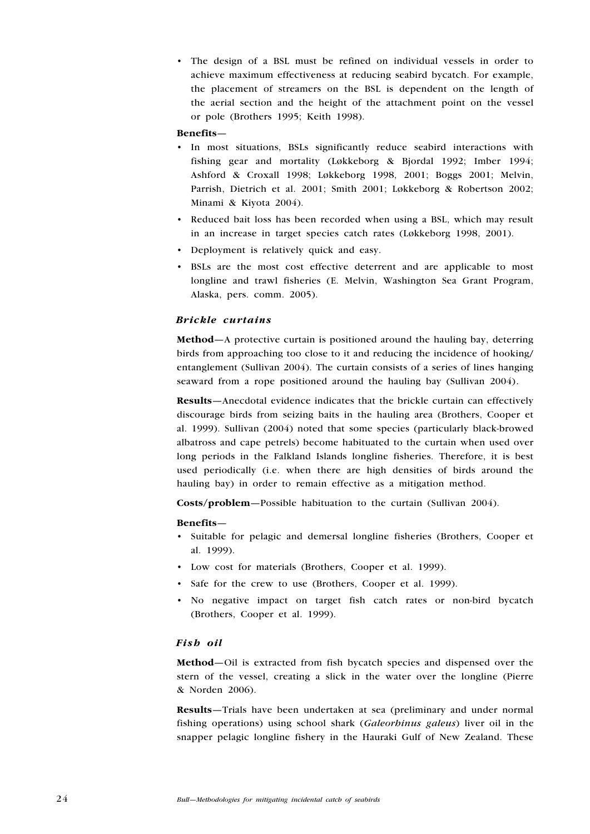The design of a BSL must be refined on individual vessels in order to • achieve maximum effectiveness at reducing seabird bycatch. For example, the placement of streamers on the BSL is dependent on the length of the aerial section and the height of the attachment point on the vessel or pole (Brothers 1995; Keith 1998).

#### Benefits—

- In most situations, BSLs significantly reduce seabird interactions with fishing gear and mortality (Løkkeborg & Bjordal 1992; Imber 1994; Ashford & Croxall 1998; Løkkeborg 1998, 2001; Boggs 2001; Melvin, Parrish, Dietrich et al. 2001; Smith 2001; Løkkeborg & Robertson 2002; Minami & Kiyota 2004).
- Reduced bait loss has been recorded when using a BSL, which may result in an increase in target species catch rates (Løkkeborg 1998, 2001).
- Deployment is relatively quick and easy.
- BSLs are the most cost effective deterrent and are applicable to most longline and trawl fisheries (E. Melvin, Washington Sea Grant Program, Alaska, pers. comm. 2005).

#### Brickle curtains

Method—A protective curtain is positioned around the hauling bay, deterring birds from approaching too close to it and reducing the incidence of hooking/ entanglement (Sullivan 2004). The curtain consists of a series of lines hanging seaward from a rope positioned around the hauling bay (Sullivan 2004).

Results—Anecdotal evidence indicates that the brickle curtain can effectively discourage birds from seizing baits in the hauling area (Brothers, Cooper et al. 1999). Sullivan (2004) noted that some species (particularly black-browed albatross and cape petrels) become habituated to the curtain when used over long periods in the Falkland Islands longline fisheries. Therefore, it is best used periodically (i.e. when there are high densities of birds around the hauling bay) in order to remain effective as a mitigation method.

Costs/problem—Possible habituation to the curtain (Sullivan 2004).

#### Benefits—

- Suitable for pelagic and demersal longline fisheries (Brothers, Cooper et al. 1999).
- Low cost for materials (Brothers, Cooper et al. 1999). •
- Safe for the crew to use (Brothers, Cooper et al. 1999).
- No negative impact on target fish catch rates or non-bird bycatch (Brothers, Cooper et al. 1999).

#### Fish oil

Method—Oil is extracted from fish bycatch species and dispensed over the stern of the vessel, creating a slick in the water over the longline (Pierre & Norden 2006).

Results—Trials have been undertaken at sea (preliminary and under normal fishing operations) using school shark (Galeorhinus galeus) liver oil in the snapper pelagic longline fishery in the Hauraki Gulf of New Zealand. These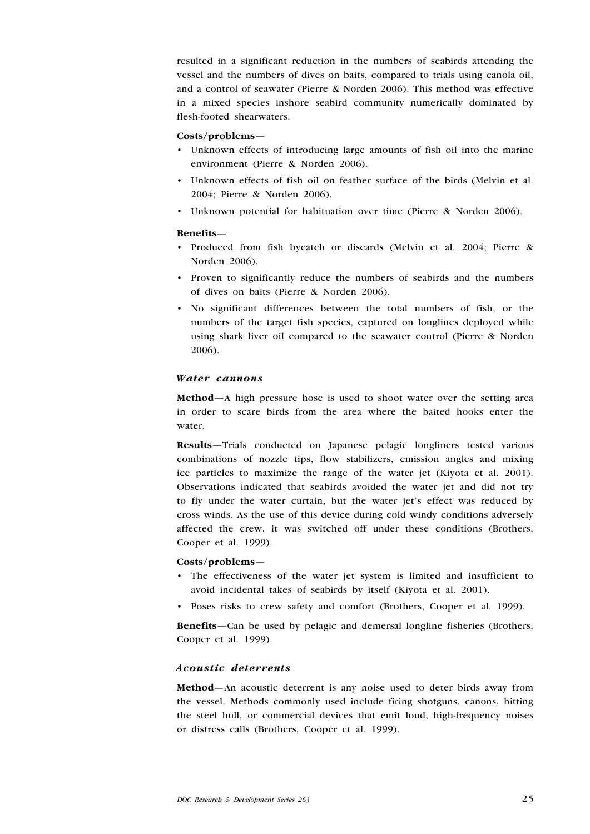resulted in a significant reduction in the numbers of seabirds attending the vessel and the numbers of dives on baits, compared to trials using canola oil, and a control of seawater (Pierre & Norden 2006). This method was effective in a mixed species inshore seabird community numerically dominated by flesh-footed shearwaters.

#### Costs/problems—

- Unknown effects of introducing large amounts of fish oil into the marine environment (Pierre & Norden 2006).
- Unknown effects of fish oil on feather surface of the birds (Melvin et al. 2004; Pierre & Norden 2006).
- Unknown potential for habituation over time (Pierre & Norden 2006).

## Benefits—

- Produced from fish bycatch or discards (Melvin et al. 2004; Pierre & Norden 2006).
- Proven to significantly reduce the numbers of seabirds and the numbers of dives on baits (Pierre & Norden 2006).
- No significant differences between the total numbers of fish, or the numbers of the target fish species, captured on longlines deployed while using shark liver oil compared to the seawater control (Pierre & Norden 2006).

#### Water cannons

Method—A high pressure hose is used to shoot water over the setting area in order to scare birds from the area where the baited hooks enter the water.

Results—Trials conducted on Japanese pelagic longliners tested various combinations of nozzle tips, flow stabilizers, emission angles and mixing ice particles to maximize the range of the water jet (Kiyota et al. 2001). Observations indicated that seabirds avoided the water jet and did not try to fly under the water curtain, but the water jet's effect was reduced by cross winds. As the use of this device during cold windy conditions adversely affected the crew, it was switched off under these conditions (Brothers, Cooper et al. 1999).

#### Costs/problems—

- The effectiveness of the water jet system is limited and insufficient to avoid incidental takes of seabirds by itself (Kiyota et al. 2001).
- Poses risks to crew safety and comfort (Brothers, Cooper et al. 1999).

Benefits—Can be used by pelagic and demersal longline fisheries (Brothers, Cooper et al. 1999).

### Acoustic deterrents

Method—An acoustic deterrent is any noise used to deter birds away from the vessel. Methods commonly used include firing shotguns, canons, hitting the steel hull, or commercial devices that emit loud, high-frequency noises or distress calls (Brothers, Cooper et al. 1999).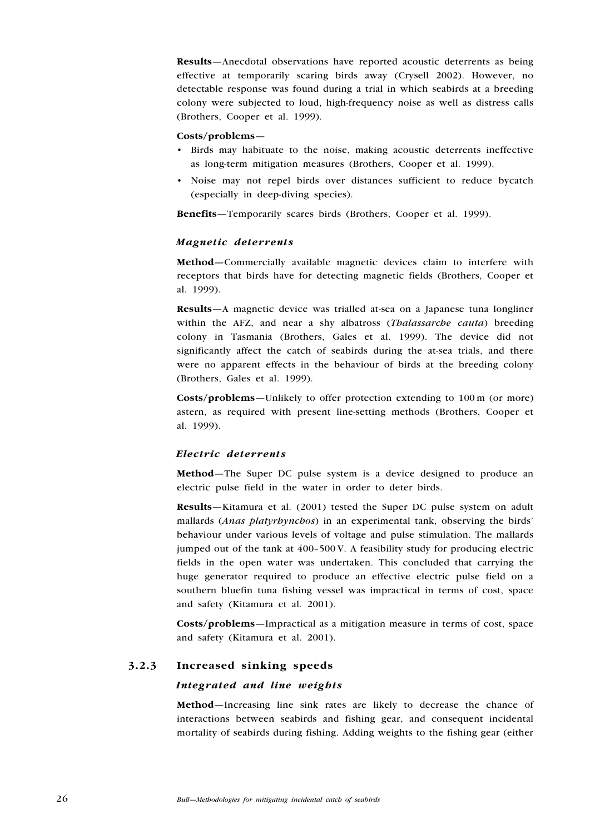Results—Anecdotal observations have reported acoustic deterrents as being effective at temporarily scaring birds away (Crysell 2002). However, no detectable response was found during a trial in which seabirds at a breeding colony were subjected to loud, high-frequency noise as well as distress calls (Brothers, Cooper et al. 1999).

#### Costs/problems—

- Birds may habituate to the noise, making acoustic deterrents ineffective as long-term mitigation measures (Brothers, Cooper et al. 1999).
- Noise may not repel birds over distances sufficient to reduce bycatch •(especially in deep-diving species).

Benefits—Temporarily scares birds (Brothers, Cooper et al. 1999).

#### Magnetic deterrents

Method—Commercially available magnetic devices claim to interfere with receptors that birds have for detecting magnetic fields (Brothers, Cooper et al. 1999).

Results—A magnetic device was trialled at-sea on a Japanese tuna longliner within the AFZ, and near a shy albatross (*Thalassarche cauta*) breeding colony in Tasmania (Brothers, Gales et al. 1999). The device did not significantly affect the catch of seabirds during the at-sea trials, and there were no apparent effects in the behaviour of birds at the breeding colony (Brothers, Gales et al. 1999).

Costs/problems—Unlikely to offer protection extending to 100 m (or more) astern, as required with present line-setting methods (Brothers, Cooper et al. 1999).

#### Electric deterrents

Method—The Super DC pulse system is a device designed to produce an electric pulse field in the water in order to deter birds.

Results—Kitamura et al. (2001) tested the Super DC pulse system on adult mallards (Anas platyrhynchos) in an experimental tank, observing the birds' behaviour under various levels of voltage and pulse stimulation. The mallards jumped out of the tank at 400–500 V. A feasibility study for producing electric fields in the open water was undertaken. This concluded that carrying the huge generator required to produce an effective electric pulse field on a southern bluefin tuna fishing vessel was impractical in terms of cost, space and safety (Kitamura et al. 2001).

Costs/problems—Impractical as a mitigation measure in terms of cost, space and safety (Kitamura et al. 2001).

## 3.2.3 Increased sinking speeds

#### Integrated and line weights

Method—Increasing line sink rates are likely to decrease the chance of interactions between seabirds and fishing gear, and consequent incidental mortality of seabirds during fishing. Adding weights to the fishing gear (either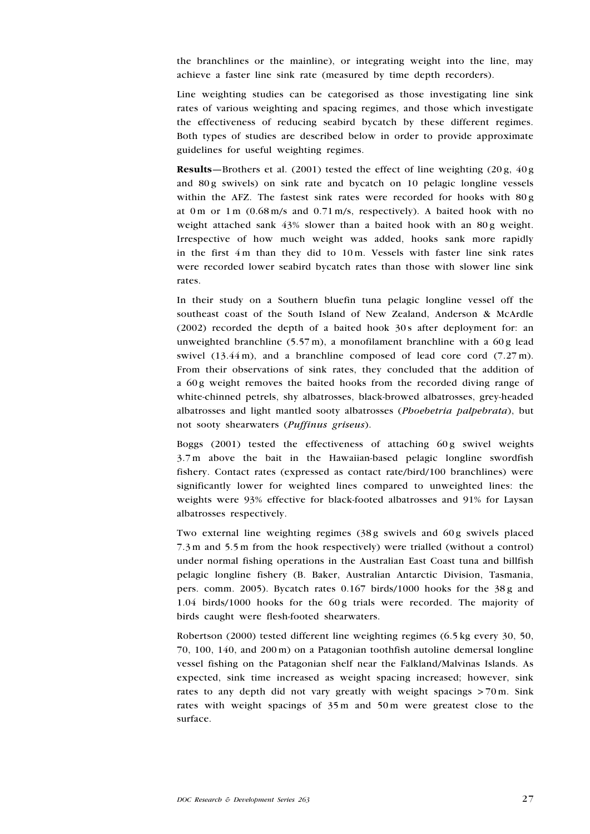the branchlines or the mainline), or integrating weight into the line, may achieve a faster line sink rate (measured by time depth recorders).

Line weighting studies can be categorised as those investigating line sink rates of various weighting and spacing regimes, and those which investigate the effectiveness of reducing seabird bycatch by these different regimes. Both types of studies are described below in order to provide approximate guidelines for useful weighting regimes.

**Results**—Brothers et al. (2001) tested the effect of line weighting (20 g,  $40 g$ ) and 80 g swivels) on sink rate and bycatch on 10 pelagic longline vessels within the AFZ. The fastest sink rates were recorded for hooks with 80 g at 0 m or 1 m (0.68 m/s and 0.71 m/s, respectively). A baited hook with no weight attached sank 43% slower than a baited hook with an 80g weight. Irrespective of how much weight was added, hooks sank more rapidly in the first 4 m than they did to 10 m. Vessels with faster line sink rates were recorded lower seabird bycatch rates than those with slower line sink rates.

In their study on a Southern bluefin tuna pelagic longline vessel off the southeast coast of the South Island of New Zealand, Anderson & McArdle (2002) recorded the depth of a baited hook 30 s after deployment for: an unweighted branchline  $(5.57 \text{ m})$ , a monofilament branchline with a 60 g lead swivel  $(13.44 \text{ m})$ , and a branchline composed of lead core cord  $(7.27 \text{ m})$ . From their observations of sink rates, they concluded that the addition of a 60g weight removes the baited hooks from the recorded diving range of white-chinned petrels, shy albatrosses, black-browed albatrosses, grey-headed albatrosses and light mantled sooty albatrosses (Phoebetria palpebrata), but not sooty shearwaters (Puffinus griseus).

Boggs  $(2001)$  tested the effectiveness of attaching  $60g$  swivel weights 3.7 m above the bait in the Hawaiian-based pelagic longline swordfish fishery. Contact rates (expressed as contact rate/bird/100 branchlines) were significantly lower for weighted lines compared to unweighted lines: the weights were 93% effective for black-footed albatrosses and 91% for Laysan albatrosses respectively.

Two external line weighting regimes (38g swivels and 60g swivels placed 7.3 m and 5.5 m from the hook respectively) were trialled (without a control) under normal fishing operations in the Australian East Coast tuna and billfish pelagic longline fishery (B. Baker, Australian Antarctic Division, Tasmania, pers. comm. 2005). Bycatch rates  $0.167$  birds/1000 hooks for the 38g and 1.04 birds/1000 hooks for the 60g trials were recorded. The majority of birds caught were flesh-footed shearwaters.

Robertson (2000) tested different line weighting regimes (6.5 kg every 30, 50, 70, 100, 140, and 200 m) on a Patagonian toothfish autoline demersal longline vessel fishing on the Patagonian shelf near the Falkland/Malvinas Islands. As expected, sink time increased as weight spacing increased; however, sink rates to any depth did not vary greatly with weight spacings  $> 70 \text{ m}$ . Sink rates with weight spacings of 35 m and 50 m were greatest close to the surface.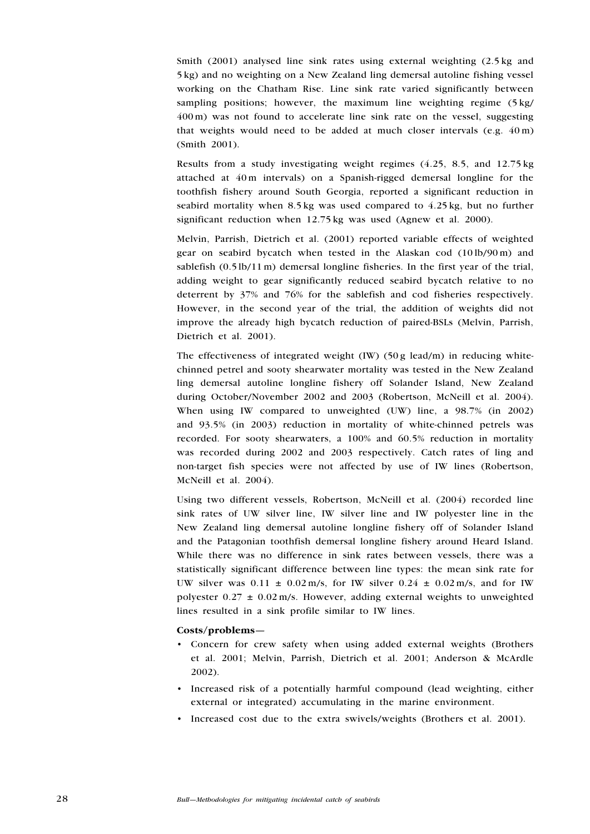Smith (2001) analysed line sink rates using external weighting (2.5 kg and 5 kg) and no weighting on a New Zealand ling demersal autoline fishing vessel working on the Chatham Rise. Line sink rate varied significantly between sampling positions; however, the maximum line weighting regime (5 kg/ 400 m) was not found to accelerate line sink rate on the vessel, suggesting that weights would need to be added at much closer intervals  $(e.g. 40 \text{ m})$ (Smith 2001).

Results from a study investigating weight regimes (4.25, 8.5, and 12.75 kg attached at 40 m intervals) on a Spanish-rigged demersal longline for the toothfish fishery around South Georgia, reported a significant reduction in seabird mortality when 8.5 kg was used compared to 4.25 kg, but no further significant reduction when 12.75 kg was used (Agnew et al. 2000).

Melvin, Parrish, Dietrich et al. (2001) reported variable effects of weighted gear on seabird bycatch when tested in the Alaskan cod (10 lb/90 m) and sablefish  $(0.5 \text{ lb}/11 \text{ m})$  demersal longline fisheries. In the first year of the trial, adding weight to gear significantly reduced seabird bycatch relative to no deterrent by 37% and 76% for the sablefish and cod fisheries respectively. However, in the second year of the trial, the addition of weights did not improve the already high bycatch reduction of paired-BSLs (Melvin, Parrish, Dietrich et al. 2001).

The effectiveness of integrated weight  $(IW)$  (50 g lead/m) in reducing whitechinned petrel and sooty shearwater mortality was tested in the New Zealand ling demersal autoline longline fishery off Solander Island, New Zealand during October/November 2002 and 2003 (Robertson, McNeill et al. 2004). When using IW compared to unweighted (UW) line, a 98.7% (in 2002) and 93.5% (in 2003) reduction in mortality of white-chinned petrels was recorded. For sooty shearwaters, a 100% and 60.5% reduction in mortality was recorded during 2002 and 2003 respectively. Catch rates of ling and non-target fish species were not affected by use of IW lines (Robertson, McNeill et al. 2004).

Using two different vessels, Robertson, McNeill et al. (2004) recorded line sink rates of UW silver line, IW silver line and IW polyester line in the New Zealand ling demersal autoline longline fishery off of Solander Island and the Patagonian toothfish demersal longline fishery around Heard Island. While there was no difference in sink rates between vessels, there was a statistically significant difference between line types: the mean sink rate for UW silver was  $0.11 \pm 0.02$  m/s, for IW silver  $0.24 \pm 0.02$  m/s, and for IW polyester  $0.27 \pm 0.02$  m/s. However, adding external weights to unweighted lines resulted in a sink profile similar to IW lines.

#### Costs/problems—

- Concern for crew safety when using added external weights (Brothers et al. 2001; Melvin, Parrish, Dietrich et al. 2001; Anderson & McArdle 2002). •
- Increased risk of a potentially harmful compound (lead weighting, either external or integrated) accumulating in the marine environment.
- Increased cost due to the extra swivels/weights (Brothers et al. 2001).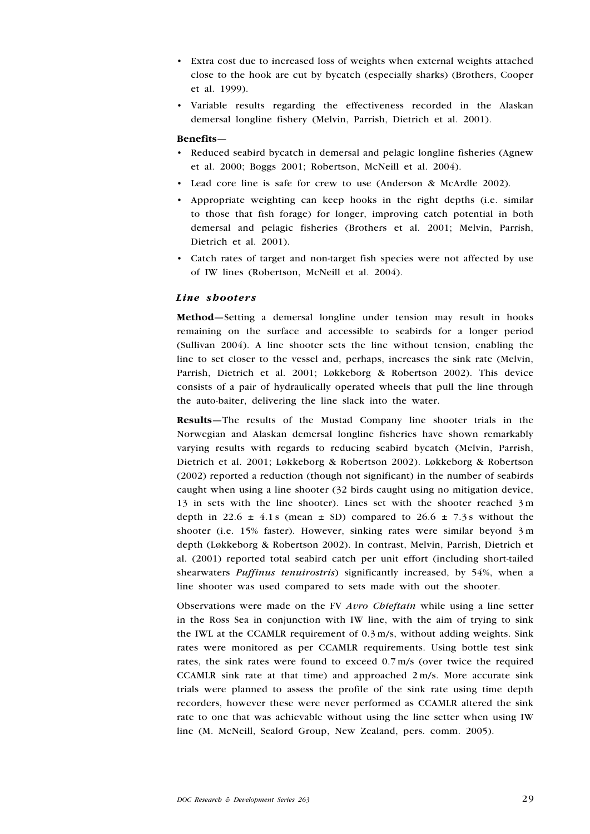- Extra cost due to increased loss of weights when external weights attached close to the hook are cut by bycatch (especially sharks) (Brothers, Cooper et al. 1999).
- Variable results regarding the effectiveness recorded in the Alaskan demersal longline fishery (Melvin, Parrish, Dietrich et al. 2001).

#### Benefits—

- Reduced seabird bycatch in demersal and pelagic longline fisheries (Agnew et al. 2000; Boggs 2001; Robertson, McNeill et al. 2004).
- Lead core line is safe for crew to use (Anderson & McArdle 2002). •
- Appropriate weighting can keep hooks in the right depths (i.e. similar to those that fish forage) for longer, improving catch potential in both demersal and pelagic fisheries (Brothers et al. 2001; Melvin, Parrish, Dietrich et al. 2001). •
- Catch rates of target and non-target fish species were not affected by use •of IW lines (Robertson, McNeill et al. 2004).

#### Line shooters

Method—Setting a demersal longline under tension may result in hooks remaining on the surface and accessible to seabirds for a longer period (Sullivan 2004). A line shooter sets the line without tension, enabling the line to set closer to the vessel and, perhaps, increases the sink rate (Melvin, Parrish, Dietrich et al. 2001; Løkkeborg & Robertson 2002). This device consists of a pair of hydraulically operated wheels that pull the line through the auto-baiter, delivering the line slack into the water.

Results—The results of the Mustad Company line shooter trials in the Norwegian and Alaskan demersal longline fisheries have shown remarkably varying results with regards to reducing seabird bycatch (Melvin, Parrish, Dietrich et al. 2001; Løkkeborg & Robertson 2002). Løkkeborg & Robertson (2002) reported a reduction (though not significant) in the number of seabirds caught when using a line shooter (32 birds caught using no mitigation device, 13 in sets with the line shooter). Lines set with the shooter reached 3 m depth in 22.6  $\pm$  4.1 s (mean  $\pm$  SD) compared to 26.6  $\pm$  7.3 s without the shooter (i.e. 15% faster). However, sinking rates were similar beyond 3 m depth (Løkkeborg & Robertson 2002). In contrast, Melvin, Parrish, Dietrich et al. (2001) reported total seabird catch per unit effort (including short-tailed shearwaters *Puffinus tenuirostris*) significantly increased, by 54%, when a line shooter was used compared to sets made with out the shooter.

Observations were made on the FV Avro Chieftain while using a line setter in the Ross Sea in conjunction with IW line, with the aim of trying to sink the IWL at the CCAMLR requirement of 0.3 m/s, without adding weights. Sink rates were monitored as per CCAMLR requirements. Using bottle test sink rates, the sink rates were found to exceed 0.7 m/s (over twice the required CCAMLR sink rate at that time) and approached 2 m/s. More accurate sink trials were planned to assess the profile of the sink rate using time depth recorders, however these were never performed as CCAMLR altered the sink rate to one that was achievable without using the line setter when using IW line (M. McNeill, Sealord Group, New Zealand, pers. comm. 2005).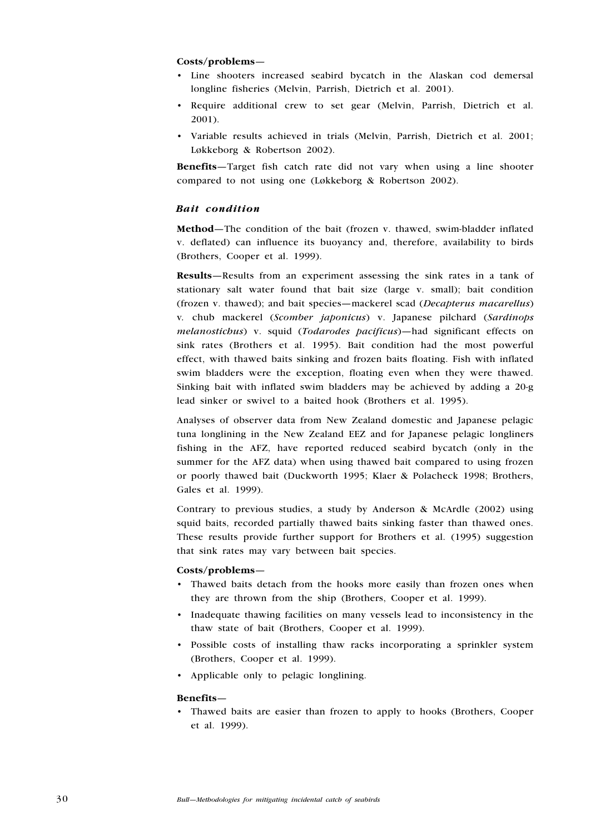#### Costs/problems—

- Line shooters increased seabird bycatch in the Alaskan cod demersal longline fisheries (Melvin, Parrish, Dietrich et al. 2001).
- Require additional crew to set gear (Melvin, Parrish, Dietrich et al. 2001).
- Variable results achieved in trials (Melvin, Parrish, Dietrich et al. 2001; Løkkeborg & Robertson 2002).

Benefits—Target fish catch rate did not vary when using a line shooter compared to not using one (Løkkeborg & Robertson 2002).

#### Bait condition

Method—The condition of the bait (frozen v. thawed, swim-bladder inflated v. deflated) can influence its buoyancy and, therefore, availability to birds (Brothers, Cooper et al. 1999).

Results—Results from an experiment assessing the sink rates in a tank of stationary salt water found that bait size (large v. small); bait condition (frozen v. thawed); and bait species—mackerel scad (Decapterus macarellus) v. chub mackerel (Scomber japonicus) v. Japanese pilchard (Sardinops melanostichus) v. squid (Todarodes pacificus)—had significant effects on sink rates (Brothers et al. 1995). Bait condition had the most powerful effect, with thawed baits sinking and frozen baits floating. Fish with inflated swim bladders were the exception, floating even when they were thawed. Sinking bait with inflated swim bladders may be achieved by adding a 20-g lead sinker or swivel to a baited hook (Brothers et al. 1995).

Analyses of observer data from New Zealand domestic and Japanese pelagic tuna longlining in the New Zealand EEZ and for Japanese pelagic longliners fishing in the AFZ, have reported reduced seabird bycatch (only in the summer for the AFZ data) when using thawed bait compared to using frozen or poorly thawed bait (Duckworth 1995; Klaer & Polacheck 1998; Brothers, Gales et al. 1999).

Contrary to previous studies, a study by Anderson & McArdle (2002) using squid baits, recorded partially thawed baits sinking faster than thawed ones. These results provide further support for Brothers et al. (1995) suggestion that sink rates may vary between bait species.

#### Costs/problems—

- Thawed baits detach from the hooks more easily than frozen ones when they are thrown from the ship (Brothers, Cooper et al. 1999).
- Inadequate thawing facilities on many vessels lead to inconsistency in the thaw state of bait (Brothers, Cooper et al. 1999).
- Possible costs of installing thaw racks incorporating a sprinkler system (Brothers, Cooper et al. 1999).
- Applicable only to pelagic longlining.

#### Benefits—

Thawed baits are easier than frozen to apply to hooks (Brothers, Cooper •et al. 1999).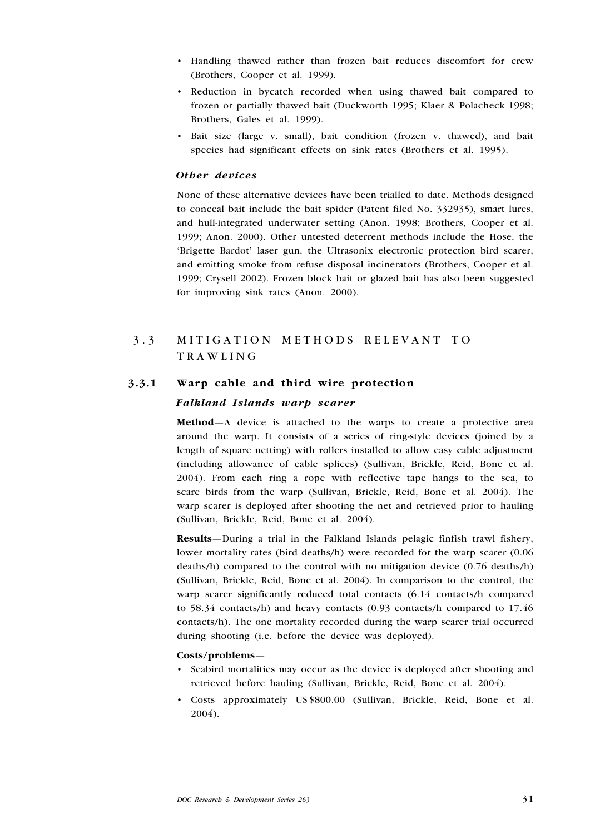- Handling thawed rather than frozen bait reduces discomfort for crew (Brothers, Cooper et al. 1999).
- Reduction in bycatch recorded when using thawed bait compared to frozen or partially thawed bait (Duckworth 1995; Klaer & Polacheck 1998; Brothers, Gales et al. 1999).
- Bait size (large v. small), bait condition (frozen v. thawed), and bait species had significant effects on sink rates (Brothers et al. 1995).

#### Other devices

None of these alternative devices have been trialled to date. Methods designed to conceal bait include the bait spider (Patent filed No. 332935), smart lures, and hull-integrated underwater setting (Anon. 1998; Brothers, Cooper et al. 1999; Anon. 2000). Other untested deterrent methods include the Hose, the 'Brigette Bardot' laser gun, the Ultrasonix electronic protection bird scarer, and emitting smoke from refuse disposal incinerators (Brothers, Cooper et al. 1999; Crysell 2002). Frozen block bait or glazed bait has also been suggested for improving sink rates (Anon. 2000).

## 3.3 MITIGATION METHODS RELEVANT TO **TRAWLING**

## 3.3.1 Warp cable and third wire protection

#### Falkland Islands warp scarer

Method—A device is attached to the warps to create a protective area around the warp. It consists of a series of ring-style devices (joined by a length of square netting) with rollers installed to allow easy cable adjustment (including allowance of cable splices) (Sullivan, Brickle, Reid, Bone et al. 2004). From each ring a rope with reflective tape hangs to the sea, to scare birds from the warp (Sullivan, Brickle, Reid, Bone et al. 2004). The warp scarer is deployed after shooting the net and retrieved prior to hauling (Sullivan, Brickle, Reid, Bone et al. 2004).

Results—During a trial in the Falkland Islands pelagic finfish trawl fishery, lower mortality rates (bird deaths/h) were recorded for the warp scarer (0.06 deaths/h) compared to the control with no mitigation device (0.76 deaths/h) (Sullivan, Brickle, Reid, Bone et al. 2004). In comparison to the control, the warp scarer significantly reduced total contacts (6.14 contacts/h compared to 58.34 contacts/h) and heavy contacts (0.93 contacts/h compared to 17.46 contacts/h). The one mortality recorded during the warp scarer trial occurred during shooting (i.e. before the device was deployed).

#### Costs/problems—

- Seabird mortalities may occur as the device is deployed after shooting and retrieved before hauling (Sullivan, Brickle, Reid, Bone et al. 2004).
- Costs approximately US \$800.00 (Sullivan, Brickle, Reid, Bone et al. 2004). •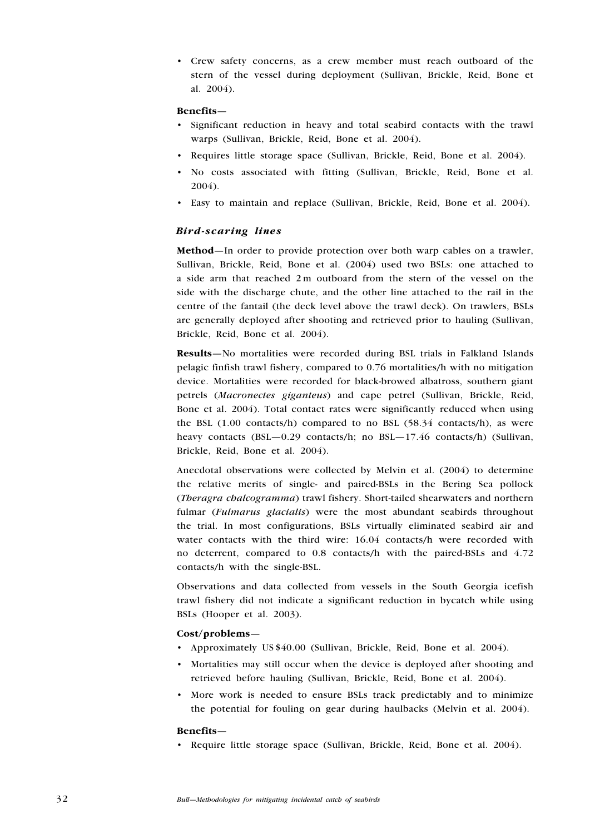Crew safety concerns, as a crew member must reach outboard of the • stern of the vessel during deployment (Sullivan, Brickle, Reid, Bone et al. 2004).

#### Benefits—

- Significant reduction in heavy and total seabird contacts with the trawl warps (Sullivan, Brickle, Reid, Bone et al. 2004).
- Requires little storage space (Sullivan, Brickle, Reid, Bone et al. 2004).
- No costs associated with fitting (Sullivan, Brickle, Reid, Bone et al. 2004).
- Easy to maintain and replace (Sullivan, Brickle, Reid, Bone et al. 2004). •

#### Bird-scaring lines

Method—In order to provide protection over both warp cables on a trawler, Sullivan, Brickle, Reid, Bone et al. (2004) used two BSLs: one attached to a side arm that reached 2 m outboard from the stern of the vessel on the side with the discharge chute, and the other line attached to the rail in the centre of the fantail (the deck level above the trawl deck). On trawlers, BSLs are generally deployed after shooting and retrieved prior to hauling (Sullivan, Brickle, Reid, Bone et al. 2004).

Results—No mortalities were recorded during BSL trials in Falkland Islands pelagic finfish trawl fishery, compared to 0.76 mortalities/h with no mitigation device. Mortalities were recorded for black-browed albatross, southern giant petrels (Macronectes giganteus) and cape petrel (Sullivan, Brickle, Reid, Bone et al. 2004). Total contact rates were significantly reduced when using the BSL  $(1.00 \text{ contacts/h})$  compared to no BSL  $(58.34 \text{ contacts/h})$ , as were heavy contacts (BSL—0.29 contacts/h; no BSL—17.46 contacts/h) (Sullivan, Brickle, Reid, Bone et al. 2004).

Anecdotal observations were collected by Melvin et al. (2004) to determine the relative merits of single- and paired-BSLs in the Bering Sea pollock (Theragra chalcogramma) trawl fishery. Short-tailed shearwaters and northern fulmar (Fulmarus glacialis) were the most abundant seabirds throughout the trial. In most configurations, BSLs virtually eliminated seabird air and water contacts with the third wire: 16.04 contacts/h were recorded with no deterrent, compared to 0.8 contacts/h with the paired-BSLs and 4.72 contacts/h with the single-BSL.

Observations and data collected from vessels in the South Georgia icefish trawl fishery did not indicate a significant reduction in bycatch while using BSLs (Hooper et al. 2003).

## Cost/problems—

- Approximately US \$40.00 (Sullivan, Brickle, Reid, Bone et al. 2004).
- Mortalities may still occur when the device is deployed after shooting and retrieved before hauling (Sullivan, Brickle, Reid, Bone et al. 2004).
- More work is needed to ensure BSLs track predictably and to minimize the potential for fouling on gear during haulbacks (Melvin et al. 2004).

#### Benefits—

• Require little storage space (Sullivan, Brickle, Reid, Bone et al. 2004).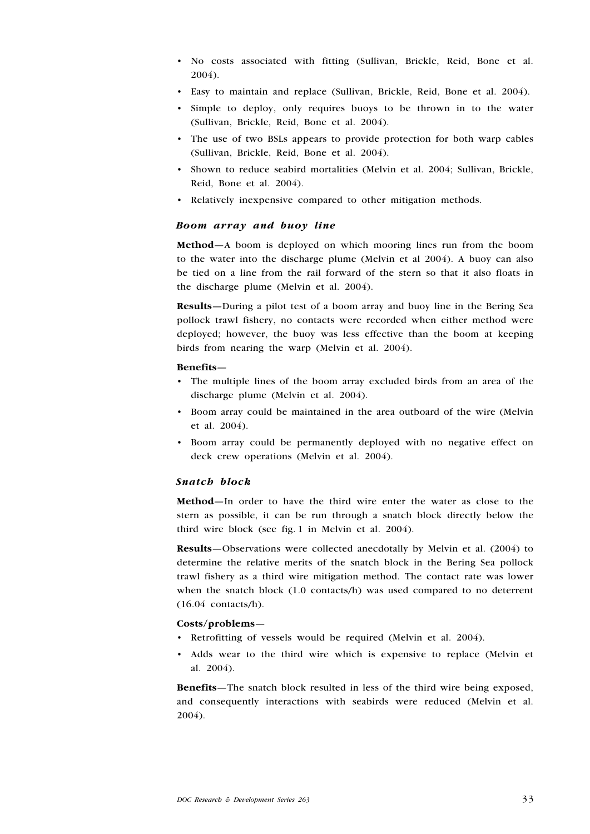- No costs associated with fitting (Sullivan, Brickle, Reid, Bone et al. 2004).
- Easy to maintain and replace (Sullivan, Brickle, Reid, Bone et al. 2004).
- Simple to deploy, only requires buoys to be thrown in to the water (Sullivan, Brickle, Reid, Bone et al. 2004).
- The use of two BSLs appears to provide protection for both warp cables (Sullivan, Brickle, Reid, Bone et al. 2004).
- Shown to reduce seabird mortalities (Melvin et al. 2004; Sullivan, Brickle, Reid, Bone et al. 2004).
- Relatively inexpensive compared to other mitigation methods.

#### Boom array and buoy line

Method—A boom is deployed on which mooring lines run from the boom to the water into the discharge plume (Melvin et al 2004). A buoy can also be tied on a line from the rail forward of the stern so that it also floats in the discharge plume (Melvin et al. 2004).

Results—During a pilot test of a boom array and buoy line in the Bering Sea pollock trawl fishery, no contacts were recorded when either method were deployed; however, the buoy was less effective than the boom at keeping birds from nearing the warp (Melvin et al. 2004).

#### Benefits—

- The multiple lines of the boom array excluded birds from an area of the discharge plume (Melvin et al. 2004).
- Boom array could be maintained in the area outboard of the wire (Melvin et al. 2004).
- Boom array could be permanently deployed with no negative effect on deck crew operations (Melvin et al. 2004).

#### Snatch block

Method—In order to have the third wire enter the water as close to the stern as possible, it can be run through a snatch block directly below the third wire block (see fig. 1 in Melvin et al. 2004).

Results—Observations were collected anecdotally by Melvin et al. (2004) to determine the relative merits of the snatch block in the Bering Sea pollock trawl fishery as a third wire mitigation method. The contact rate was lower when the snatch block (1.0 contacts/h) was used compared to no deterrent (16.04 contacts/h).

#### Costs/problems—

- Retrofitting of vessels would be required (Melvin et al. 2004).
- Adds wear to the third wire which is expensive to replace (Melvin et al. 2004).

Benefits—The snatch block resulted in less of the third wire being exposed, and consequently interactions with seabirds were reduced (Melvin et al. 2004).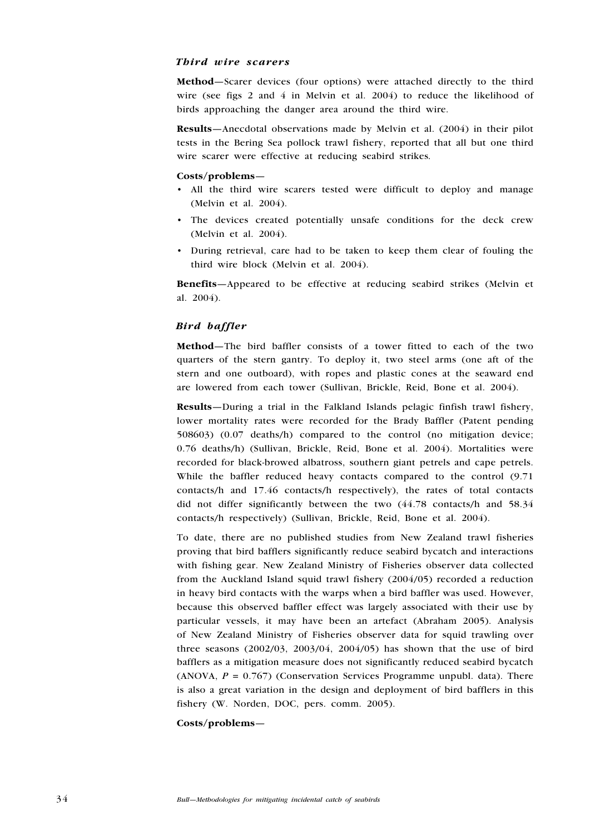#### Third wire scarers

Method—Scarer devices (four options) were attached directly to the third wire (see figs 2 and 4 in Melvin et al. 2004) to reduce the likelihood of birds approaching the danger area around the third wire.

Results—Anecdotal observations made by Melvin et al. (2004) in their pilot tests in the Bering Sea pollock trawl fishery, reported that all but one third wire scarer were effective at reducing seabird strikes.

## Costs/problems—

- All the third wire scarers tested were difficult to deploy and manage (Melvin et al. 2004).
- The devices created potentially unsafe conditions for the deck crew (Melvin et al. 2004).
- During retrieval, care had to be taken to keep them clear of fouling the third wire block (Melvin et al. 2004).

Benefits—Appeared to be effective at reducing seabird strikes (Melvin et al. 2004).

## Bird baffler

Method—The bird baffler consists of a tower fitted to each of the two quarters of the stern gantry. To deploy it, two steel arms (one aft of the stern and one outboard), with ropes and plastic cones at the seaward end are lowered from each tower (Sullivan, Brickle, Reid, Bone et al. 2004).

Results—During a trial in the Falkland Islands pelagic finfish trawl fishery, lower mortality rates were recorded for the Brady Baffler (Patent pending 508603) (0.07 deaths/h) compared to the control (no mitigation device; 0.76 deaths/h) (Sullivan, Brickle, Reid, Bone et al. 2004). Mortalities were recorded for black-browed albatross, southern giant petrels and cape petrels. While the baffler reduced heavy contacts compared to the control (9.71 contacts/h and 17.46 contacts/h respectively), the rates of total contacts did not differ significantly between the two (44.78 contacts/h and 58.34 contacts/h respectively) (Sullivan, Brickle, Reid, Bone et al. 2004).

To date, there are no published studies from New Zealand trawl fisheries proving that bird bafflers significantly reduce seabird bycatch and interactions with fishing gear. New Zealand Ministry of Fisheries observer data collected from the Auckland Island squid trawl fishery (2004/05) recorded a reduction in heavy bird contacts with the warps when a bird baffler was used. However, because this observed baffler effect was largely associated with their use by particular vessels, it may have been an artefact (Abraham 2005). Analysis of New Zealand Ministry of Fisheries observer data for squid trawling over three seasons (2002/03, 2003/04, 2004/05) has shown that the use of bird bafflers as a mitigation measure does not significantly reduced seabird bycatch (ANOVA,  $P = 0.767$ ) (Conservation Services Programme unpubl. data). There is also a great variation in the design and deployment of bird bafflers in this fishery (W. Norden, DOC, pers. comm. 2005).

#### Costs/problems—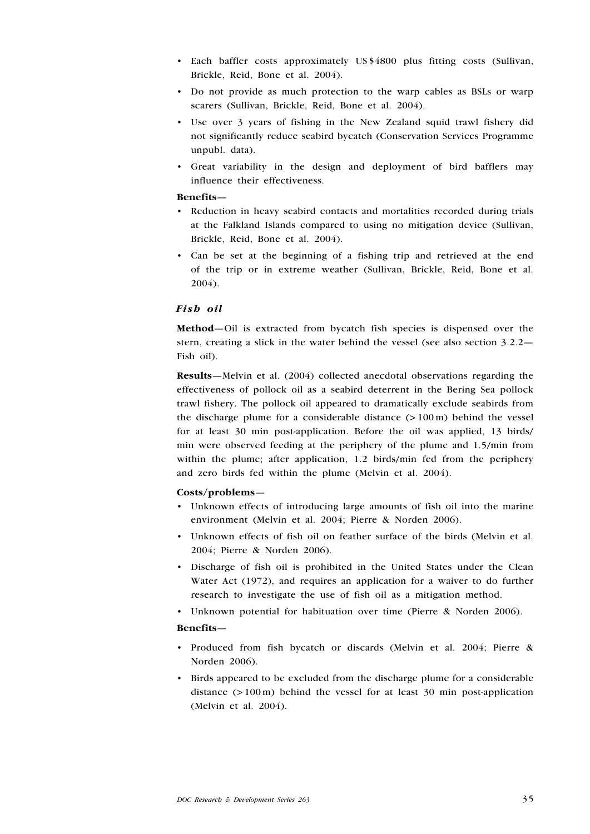- Each baffler costs approximately US \$4800 plus fitting costs (Sullivan, Brickle, Reid, Bone et al. 2004).
- Do not provide as much protection to the warp cables as BSLs or warp scarers (Sullivan, Brickle, Reid, Bone et al. 2004).
- Use over 3 years of fishing in the New Zealand squid trawl fishery did not significantly reduce seabird bycatch (Conservation Services Programme unpubl. data).
- Great variability in the design and deployment of bird bafflers may influence their effectiveness. •

#### Benefits—

- Reduction in heavy seabird contacts and mortalities recorded during trials at the Falkland Islands compared to using no mitigation device (Sullivan, Brickle, Reid, Bone et al. 2004). •
- Can be set at the beginning of a fishing trip and retrieved at the end of the trip or in extreme weather (Sullivan, Brickle, Reid, Bone et al. 2004).

### Fish oil

Method—Oil is extracted from bycatch fish species is dispensed over the stern, creating a slick in the water behind the vessel (see also section 3.2.2— Fish oil).

Results—Melvin et al. (2004) collected anecdotal observations regarding the effectiveness of pollock oil as a seabird deterrent in the Bering Sea pollock trawl fishery. The pollock oil appeared to dramatically exclude seabirds from the discharge plume for a considerable distance  $(>100 \,\mathrm{m})$  behind the vessel for at least 30 min post-application. Before the oil was applied, 13 birds/ min were observed feeding at the periphery of the plume and 1.5/min from within the plume; after application, 1.2 birds/min fed from the periphery and zero birds fed within the plume (Melvin et al. 2004).

#### Costs/problems—

- Unknown effects of introducing large amounts of fish oil into the marine environment (Melvin et al. 2004; Pierre & Norden 2006).
- Unknown effects of fish oil on feather surface of the birds (Melvin et al. 2004; Pierre & Norden 2006).
- Discharge of fish oil is prohibited in the United States under the Clean Water Act (1972), and requires an application for a waiver to do further research to investigate the use of fish oil as a mitigation method.
- Unknown potential for habituation over time (Pierre & Norden 2006).

#### Benefits—

- Produced from fish bycatch or discards (Melvin et al. 2004; Pierre & Norden 2006).
- Birds appeared to be excluded from the discharge plume for a considerable distance  $(> 100 \text{ m})$  behind the vessel for at least 30 min post-application (Melvin et al. 2004). •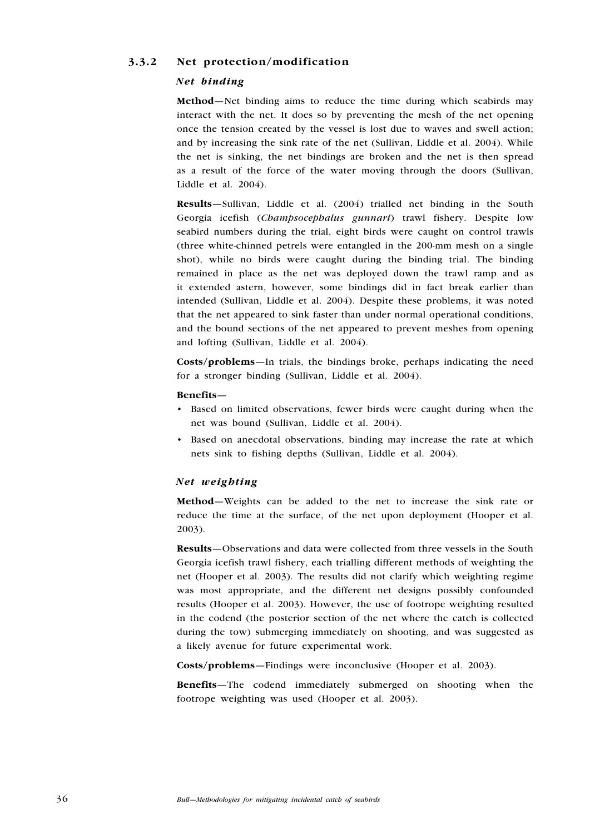## 3.3.2 Net protection/modification

## Net binding

Method—Net binding aims to reduce the time during which seabirds may interact with the net. It does so by preventing the mesh of the net opening once the tension created by the vessel is lost due to waves and swell action; and by increasing the sink rate of the net (Sullivan, Liddle et al. 2004). While the net is sinking, the net bindings are broken and the net is then spread as a result of the force of the water moving through the doors (Sullivan, Liddle et al. 2004).

Results—Sullivan, Liddle et al. (2004) trialled net binding in the South Georgia icefish (Champsocephalus gunnari) trawl fishery. Despite low seabird numbers during the trial, eight birds were caught on control trawls (three white-chinned petrels were entangled in the 200-mm mesh on a single shot), while no birds were caught during the binding trial. The binding remained in place as the net was deployed down the trawl ramp and as it extended astern, however, some bindings did in fact break earlier than intended (Sullivan, Liddle et al. 2004). Despite these problems, it was noted that the net appeared to sink faster than under normal operational conditions, and the bound sections of the net appeared to prevent meshes from opening and lofting (Sullivan, Liddle et al. 2004).

Costs/problems—In trials, the bindings broke, perhaps indicating the need for a stronger binding (Sullivan, Liddle et al. 2004).

#### Benefits—

- Based on limited observations, fewer birds were caught during when the net was bound (Sullivan, Liddle et al. 2004).
- Based on anecdotal observations, binding may increase the rate at which nets sink to fishing depths (Sullivan, Liddle et al. 2004).

#### Net weighting

Method—Weights can be added to the net to increase the sink rate or reduce the time at the surface, of the net upon deployment (Hooper et al. 2003).

Results—Observations and data were collected from three vessels in the South Georgia icefish trawl fishery, each trialling different methods of weighting the net (Hooper et al. 2003). The results did not clarify which weighting regime was most appropriate, and the different net designs possibly confounded results (Hooper et al. 2003). However, the use of footrope weighting resulted in the codend (the posterior section of the net where the catch is collected during the tow) submerging immediately on shooting, and was suggested as a likely avenue for future experimental work.

Costs/problems—Findings were inconclusive (Hooper et al. 2003).

Benefits—The codend immediately submerged on shooting when the footrope weighting was used (Hooper et al. 2003).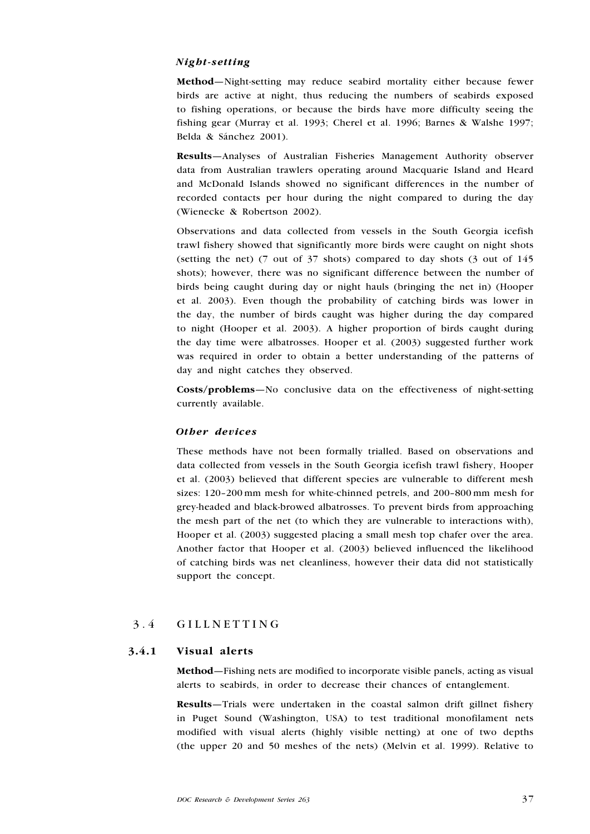## Night-setting

Method—Night-setting may reduce seabird mortality either because fewer birds are active at night, thus reducing the numbers of seabirds exposed to fishing operations, or because the birds have more difficulty seeing the fishing gear (Murray et al. 1993; Cherel et al. 1996; Barnes & Walshe 1997; Belda & Sánchez 2001).

Results—Analyses of Australian Fisheries Management Authority observer data from Australian trawlers operating around Macquarie Island and Heard and McDonald Islands showed no significant differences in the number of recorded contacts per hour during the night compared to during the day (Wienecke & Robertson 2002).

Observations and data collected from vessels in the South Georgia icefish trawl fishery showed that significantly more birds were caught on night shots (setting the net) (7 out of  $37$  shots) compared to day shots (3 out of  $145$ ) shots); however, there was no significant difference between the number of birds being caught during day or night hauls (bringing the net in) (Hooper et al. 2003). Even though the probability of catching birds was lower in the day, the number of birds caught was higher during the day compared to night (Hooper et al. 2003). A higher proportion of birds caught during the day time were albatrosses. Hooper et al. (2003) suggested further work was required in order to obtain a better understanding of the patterns of day and night catches they observed.

Costs/problems—No conclusive data on the effectiveness of night-setting currently available.

### Other devices

These methods have not been formally trialled. Based on observations and data collected from vessels in the South Georgia icefish trawl fishery, Hooper et al. (2003) believed that different species are vulnerable to different mesh sizes: 120–200 mm mesh for white-chinned petrels, and 200–800 mm mesh for grey-headed and black-browed albatrosses. To prevent birds from approaching the mesh part of the net (to which they are vulnerable to interactions with), Hooper et al. (2003) suggested placing a small mesh top chafer over the area. Another factor that Hooper et al. (2003) believed influenced the likelihood of catching birds was net cleanliness, however their data did not statistically support the concept.

## 3.4 GILLNETTING

### 3.4.1 Visual alerts

Method—Fishing nets are modified to incorporate visible panels, acting as visual alerts to seabirds, in order to decrease their chances of entanglement.

Results—Trials were undertaken in the coastal salmon drift gillnet fishery in Puget Sound (Washington, USA) to test traditional monofilament nets modified with visual alerts (highly visible netting) at one of two depths (the upper 20 and 50 meshes of the nets) (Melvin et al. 1999). Relative to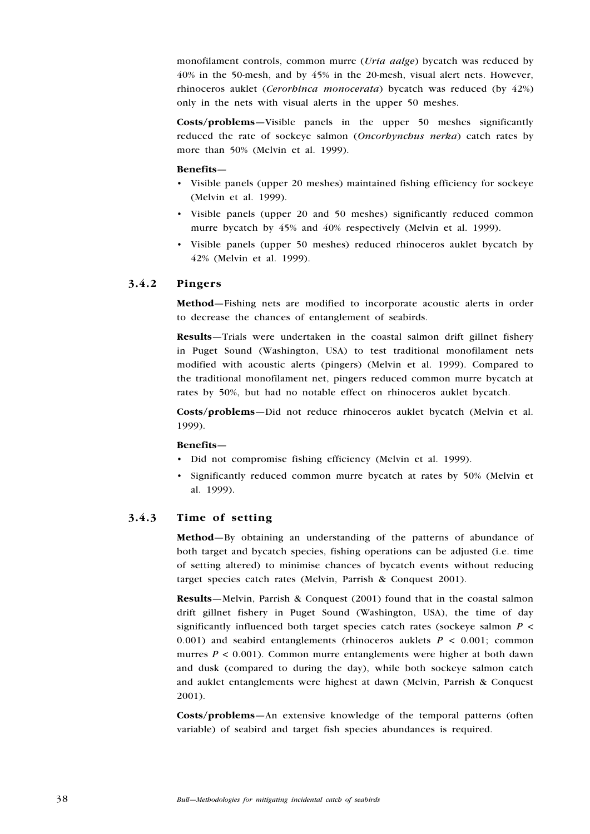monofilament controls, common murre *(Uria aalge)* bycatch was reduced by 40% in the 50-mesh, and by 45% in the 20-mesh, visual alert nets. However, rhinoceros auklet (Cerorhinca monocerata) bycatch was reduced (by 42%) only in the nets with visual alerts in the upper 50 meshes.

Costs/problems—Visible panels in the upper 50 meshes significantly reduced the rate of sockeye salmon (Oncorhynchus nerka) catch rates by more than 50% (Melvin et al. 1999).

#### Benefits—

- Visible panels (upper 20 meshes) maintained fishing efficiency for sockeye (Melvin et al. 1999).
- Visible panels (upper 20 and 50 meshes) significantly reduced common murre bycatch by 45% and 40% respectively (Melvin et al. 1999).
- Visible panels (upper 50 meshes) reduced rhinoceros auklet bycatch by 42% (Melvin et al. 1999). •

## 3.4.2 Pingers

Method—Fishing nets are modified to incorporate acoustic alerts in order to decrease the chances of entanglement of seabirds.

Results—Trials were undertaken in the coastal salmon drift gillnet fishery in Puget Sound (Washington, USA) to test traditional monofilament nets modified with acoustic alerts (pingers) (Melvin et al. 1999). Compared to the traditional monofilament net, pingers reduced common murre bycatch at rates by 50%, but had no notable effect on rhinoceros auklet bycatch.

Costs/problems—Did not reduce rhinoceros auklet bycatch (Melvin et al. 1999).

#### Benefits—

- Did not compromise fishing efficiency (Melvin et al. 1999).
- Significantly reduced common murre bycatch at rates by 50% (Melvin et al. 1999).

## 3.4.3 Time of setting

Method—By obtaining an understanding of the patterns of abundance of both target and bycatch species, fishing operations can be adjusted (i.e. time of setting altered) to minimise chances of bycatch events without reducing target species catch rates (Melvin, Parrish & Conquest 2001).

Results—Melvin, Parrish & Conquest (2001) found that in the coastal salmon drift gillnet fishery in Puget Sound (Washington, USA), the time of day significantly influenced both target species catch rates (sockeye salmon  $P \leq$ 0.001) and seabird entanglements (rhinoceros auklets  $P < 0.001$ ; common murres  $P < 0.001$ ). Common murre entanglements were higher at both dawn and dusk (compared to during the day), while both sockeye salmon catch and auklet entanglements were highest at dawn (Melvin, Parrish & Conquest 2001).

Costs/problems—An extensive knowledge of the temporal patterns (often variable) of seabird and target fish species abundances is required.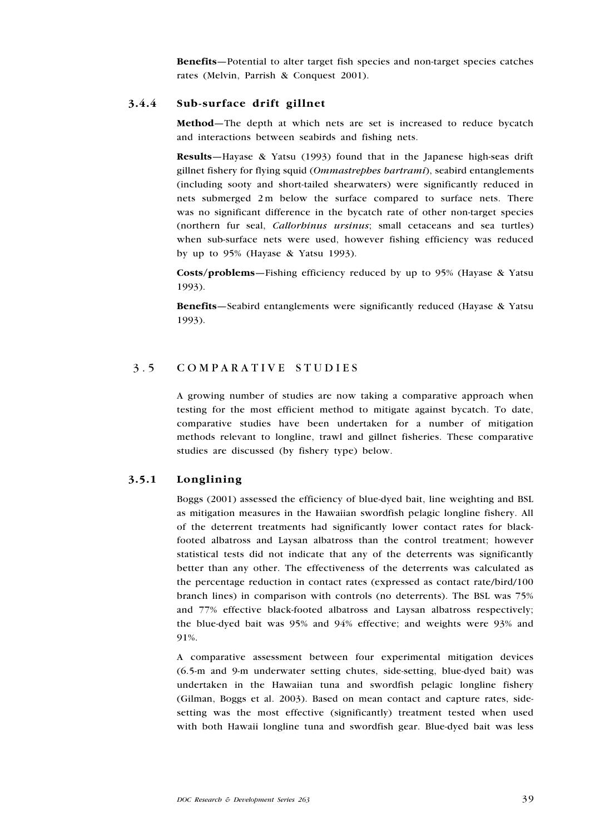Benefits—Potential to alter target fish species and non-target species catches rates (Melvin, Parrish & Conquest 2001).

## 3.4.4 Sub-surface drift gillnet

Method—The depth at which nets are set is increased to reduce bycatch and interactions between seabirds and fishing nets.

Results—Hayase & Yatsu (1993) found that in the Japanese high-seas drift gillnet fishery for flying squid (Ommastrephes bartrami), seabird entanglements (including sooty and short-tailed shearwaters) were significantly reduced in nets submerged 2 m below the surface compared to surface nets. There was no significant difference in the bycatch rate of other non-target species (northern fur seal, *Callorbinus ursinus*; small cetaceans and sea turtles) when sub-surface nets were used, however fishing efficiency was reduced by up to 95% (Hayase & Yatsu 1993).

Costs/problems—Fishing efficiency reduced by up to 95% (Hayase & Yatsu 1993).

Benefits—Seabird entanglements were significantly reduced (Hayase & Yatsu 1993).

## 3.5 COMPARATIVE STUDIES

A growing number of studies are now taking a comparative approach when testing for the most efficient method to mitigate against bycatch. To date, comparative studies have been undertaken for a number of mitigation methods relevant to longline, trawl and gillnet fisheries. These comparative studies are discussed (by fishery type) below.

## 3.5.1 Longlining

Boggs (2001) assessed the efficiency of blue-dyed bait, line weighting and BSL as mitigation measures in the Hawaiian swordfish pelagic longline fishery. All of the deterrent treatments had significantly lower contact rates for blackfooted albatross and Laysan albatross than the control treatment; however statistical tests did not indicate that any of the deterrents was significantly better than any other. The effectiveness of the deterrents was calculated as the percentage reduction in contact rates (expressed as contact rate/bird/100 branch lines) in comparison with controls (no deterrents). The BSL was 75% and 77% effective black-footed albatross and Laysan albatross respectively; the blue-dyed bait was 95% and 94% effective; and weights were 93% and 91%.

A comparative assessment between four experimental mitigation devices (6.5-m and 9-m underwater setting chutes, side-setting, blue-dyed bait) was undertaken in the Hawaiian tuna and swordfish pelagic longline fishery (Gilman, Boggs et al. 2003). Based on mean contact and capture rates, sidesetting was the most effective (significantly) treatment tested when used with both Hawaii longline tuna and swordfish gear. Blue-dyed bait was less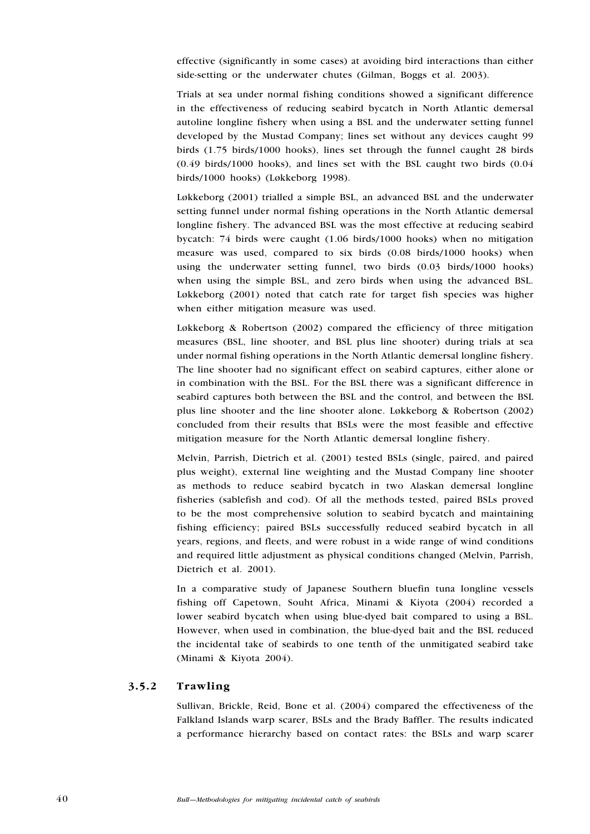effective (significantly in some cases) at avoiding bird interactions than either side-setting or the underwater chutes (Gilman, Boggs et al. 2003).

Trials at sea under normal fishing conditions showed a significant difference in the effectiveness of reducing seabird bycatch in North Atlantic demersal autoline longline fishery when using a BSL and the underwater setting funnel developed by the Mustad Company; lines set without any devices caught 99 birds (1.75 birds/1000 hooks), lines set through the funnel caught 28 birds (0.49 birds/1000 hooks), and lines set with the BSL caught two birds (0.04 birds/1000 hooks) (Løkkeborg 1998).

Løkkeborg (2001) trialled a simple BSL, an advanced BSL and the underwater setting funnel under normal fishing operations in the North Atlantic demersal longline fishery. The advanced BSL was the most effective at reducing seabird bycatch: 74 birds were caught (1.06 birds/1000 hooks) when no mitigation measure was used, compared to six birds (0.08 birds/1000 hooks) when using the underwater setting funnel, two birds (0.03 birds/1000 hooks) when using the simple BSL, and zero birds when using the advanced BSL. Løkkeborg (2001) noted that catch rate for target fish species was higher when either mitigation measure was used.

Løkkeborg & Robertson (2002) compared the efficiency of three mitigation measures (BSL, line shooter, and BSL plus line shooter) during trials at sea under normal fishing operations in the North Atlantic demersal longline fishery. The line shooter had no significant effect on seabird captures, either alone or in combination with the BSL. For the BSL there was a significant difference in seabird captures both between the BSL and the control, and between the BSL plus line shooter and the line shooter alone. Løkkeborg & Robertson (2002) concluded from their results that BSLs were the most feasible and effective mitigation measure for the North Atlantic demersal longline fishery.

Melvin, Parrish, Dietrich et al. (2001) tested BSLs (single, paired, and paired plus weight), external line weighting and the Mustad Company line shooter as methods to reduce seabird bycatch in two Alaskan demersal longline fisheries (sablefish and cod). Of all the methods tested, paired BSLs proved to be the most comprehensive solution to seabird bycatch and maintaining fishing efficiency; paired BSLs successfully reduced seabird bycatch in all years, regions, and fleets, and were robust in a wide range of wind conditions and required little adjustment as physical conditions changed (Melvin, Parrish, Dietrich et al. 2001).

In a comparative study of Japanese Southern bluefin tuna longline vessels fishing off Capetown, Souht Africa, Minami & Kiyota (2004) recorded a lower seabird bycatch when using blue-dyed bait compared to using a BSL. However, when used in combination, the blue-dyed bait and the BSL reduced the incidental take of seabirds to one tenth of the unmitigated seabird take (Minami & Kiyota 2004).

## 3.5.2 Trawling

Sullivan, Brickle, Reid, Bone et al. (2004) compared the effectiveness of the Falkland Islands warp scarer, BSLs and the Brady Baffler. The results indicated a performance hierarchy based on contact rates: the BSLs and warp scarer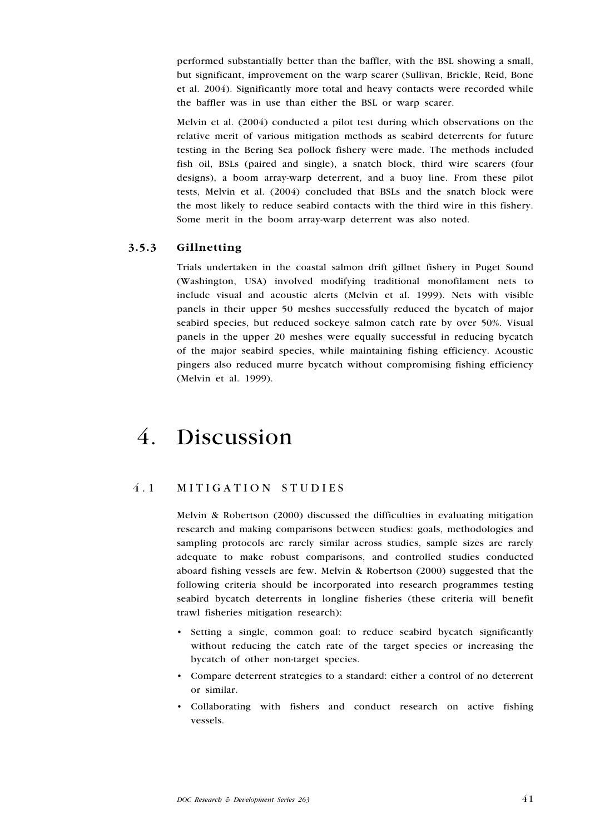performed substantially better than the baffler, with the BSL showing a small, but significant, improvement on the warp scarer (Sullivan, Brickle, Reid, Bone et al. 2004). Significantly more total and heavy contacts were recorded while the baffler was in use than either the BSL or warp scarer.

Melvin et al. (2004) conducted a pilot test during which observations on the relative merit of various mitigation methods as seabird deterrents for future testing in the Bering Sea pollock fishery were made. The methods included fish oil, BSLs (paired and single), a snatch block, third wire scarers (four designs), a boom array-warp deterrent, and a buoy line. From these pilot tests, Melvin et al. (2004) concluded that BSLs and the snatch block were the most likely to reduce seabird contacts with the third wire in this fishery. Some merit in the boom array-warp deterrent was also noted.

## 3.5.3 Gillnetting

Trials undertaken in the coastal salmon drift gillnet fishery in Puget Sound (Washington, USA) involved modifying traditional monofilament nets to include visual and acoustic alerts (Melvin et al. 1999). Nets with visible panels in their upper 50 meshes successfully reduced the bycatch of major seabird species, but reduced sockeye salmon catch rate by over 50%. Visual panels in the upper 20 meshes were equally successful in reducing bycatch of the major seabird species, while maintaining fishing efficiency. Acoustic pingers also reduced murre bycatch without compromising fishing efficiency (Melvin et al. 1999).

# 4. Discussion

## 4.1 MITIGATION STUDIES

Melvin & Robertson (2000) discussed the difficulties in evaluating mitigation research and making comparisons between studies: goals, methodologies and sampling protocols are rarely similar across studies, sample sizes are rarely adequate to make robust comparisons, and controlled studies conducted aboard fishing vessels are few. Melvin & Robertson (2000) suggested that the following criteria should be incorporated into research programmes testing seabird bycatch deterrents in longline fisheries (these criteria will benefit trawl fisheries mitigation research):

- Setting a single, common goal: to reduce seabird bycatch significantly without reducing the catch rate of the target species or increasing the bycatch of other non-target species.
- Compare deterrent strategies to a standard: either a control of no deterrent or similar.
- Collaborating with fishers and conduct research on active fishing vessels.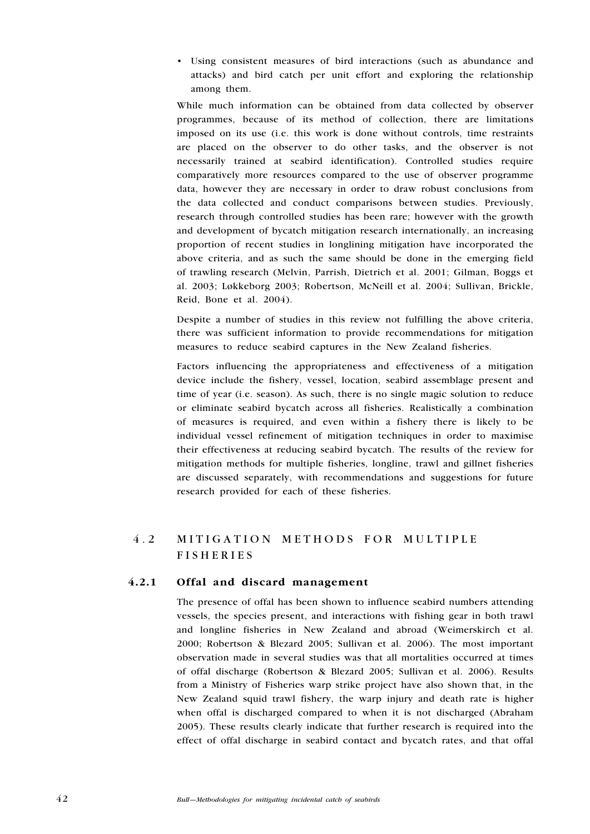Using consistent measures of bird interactions (such as abundance and •attacks) and bird catch per unit effort and exploring the relationship among them.

While much information can be obtained from data collected by observer programmes, because of its method of collection, there are limitations imposed on its use (i.e. this work is done without controls, time restraints are placed on the observer to do other tasks, and the observer is not necessarily trained at seabird identification). Controlled studies require comparatively more resources compared to the use of observer programme data, however they are necessary in order to draw robust conclusions from the data collected and conduct comparisons between studies. Previously, research through controlled studies has been rare; however with the growth and development of bycatch mitigation research internationally, an increasing proportion of recent studies in longlining mitigation have incorporated the above criteria, and as such the same should be done in the emerging field of trawling research (Melvin, Parrish, Dietrich et al. 2001; Gilman, Boggs et al. 2003; Løkkeborg 2003; Robertson, McNeill et al. 2004; Sullivan, Brickle, Reid, Bone et al. 2004).

Despite a number of studies in this review not fulfilling the above criteria, there was sufficient information to provide recommendations for mitigation measures to reduce seabird captures in the New Zealand fisheries.

Factors influencing the appropriateness and effectiveness of a mitigation device include the fishery, vessel, location, seabird assemblage present and time of year (i.e. season). As such, there is no single magic solution to reduce or eliminate seabird bycatch across all fisheries. Realistically a combination of measures is required, and even within a fishery there is likely to be individual vessel refinement of mitigation techniques in order to maximise their effectiveness at reducing seabird bycatch. The results of the review for mitigation methods for multiple fisheries, longline, trawl and gillnet fisheries are discussed separately, with recommendations and suggestions for future research provided for each of these fisheries.

## 4.2 MITIGATION METHODS FOR MULTIPLE **FISHERIES**

## 4.2.1 Offal and discard management

The presence of offal has been shown to influence seabird numbers attending vessels, the species present, and interactions with fishing gear in both trawl and longline fisheries in New Zealand and abroad (Weimerskirch et al. 2000; Robertson & Blezard 2005; Sullivan et al. 2006). The most important observation made in several studies was that all mortalities occurred at times of offal discharge (Robertson & Blezard 2005; Sullivan et al. 2006). Results from a Ministry of Fisheries warp strike project have also shown that, in the New Zealand squid trawl fishery, the warp injury and death rate is higher when offal is discharged compared to when it is not discharged (Abraham 2005). These results clearly indicate that further research is required into the effect of offal discharge in seabird contact and bycatch rates, and that offal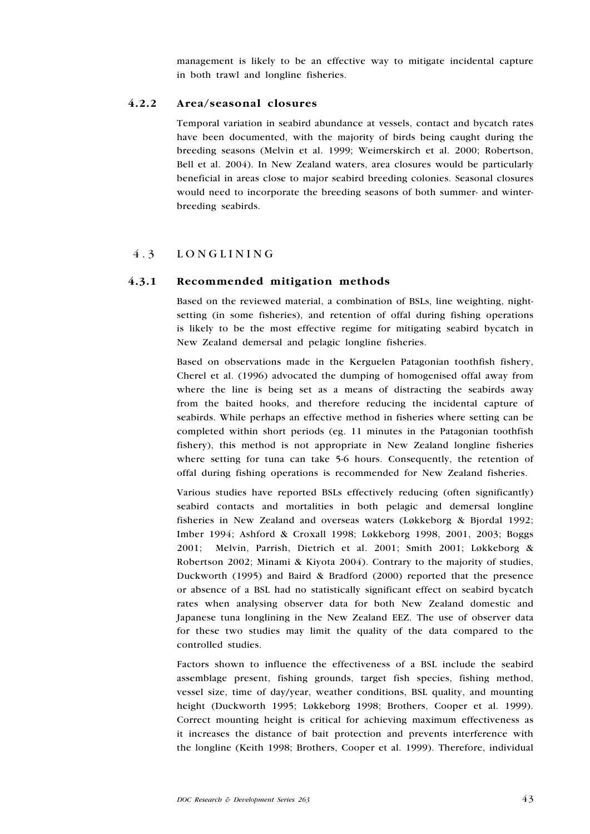management is likely to be an effective way to mitigate incidental capture in both trawl and longline fisheries.

## 4.2.2 Area/seasonal closures

Temporal variation in seabird abundance at vessels, contact and bycatch rates have been documented, with the majority of birds being caught during the breeding seasons (Melvin et al. 1999; Weimerskirch et al. 2000; Robertson, Bell et al. 2004). In New Zealand waters, area closures would be particularly beneficial in areas close to major seabird breeding colonies. Seasonal closures would need to incorporate the breeding seasons of both summer- and winterbreeding seabirds.

## 4.3 LONGLINING

### 4.3.1 Recommended mitigation methods

Based on the reviewed material, a combination of BSLs, line weighting, nightsetting (in some fisheries), and retention of offal during fishing operations is likely to be the most effective regime for mitigating seabird bycatch in New Zealand demersal and pelagic longline fisheries.

Based on observations made in the Kerguelen Patagonian toothfish fishery, Cherel et al. (1996) advocated the dumping of homogenised offal away from where the line is being set as a means of distracting the seabirds away from the baited hooks, and therefore reducing the incidental capture of seabirds. While perhaps an effective method in fisheries where setting can be completed within short periods (eg. 11 minutes in the Patagonian toothfish fishery), this method is not appropriate in New Zealand longline fisheries where setting for tuna can take 5-6 hours. Consequently, the retention of offal during fishing operations is recommended for New Zealand fisheries.

Various studies have reported BSLs effectively reducing (often significantly) seabird contacts and mortalities in both pelagic and demersal longline fisheries in New Zealand and overseas waters (Løkkeborg & Bjordal 1992; Imber 1994; Ashford & Croxall 1998; Løkkeborg 1998, 2001, 2003; Boggs 2001; Melvin, Parrish, Dietrich et al. 2001; Smith 2001; Løkkeborg & Robertson 2002; Minami & Kiyota 2004). Contrary to the majority of studies, Duckworth (1995) and Baird & Bradford (2000) reported that the presence or absence of a BSL had no statistically significant effect on seabird bycatch rates when analysing observer data for both New Zealand domestic and Japanese tuna longlining in the New Zealand EEZ. The use of observer data for these two studies may limit the quality of the data compared to the controlled studies.

Factors shown to influence the effectiveness of a BSL include the seabird assemblage present, fishing grounds, target fish species, fishing method, vessel size, time of day/year, weather conditions, BSL quality, and mounting height (Duckworth 1995; Løkkeborg 1998; Brothers, Cooper et al. 1999). Correct mounting height is critical for achieving maximum effectiveness as it increases the distance of bait protection and prevents interference with the longline (Keith 1998; Brothers, Cooper et al. 1999). Therefore, individual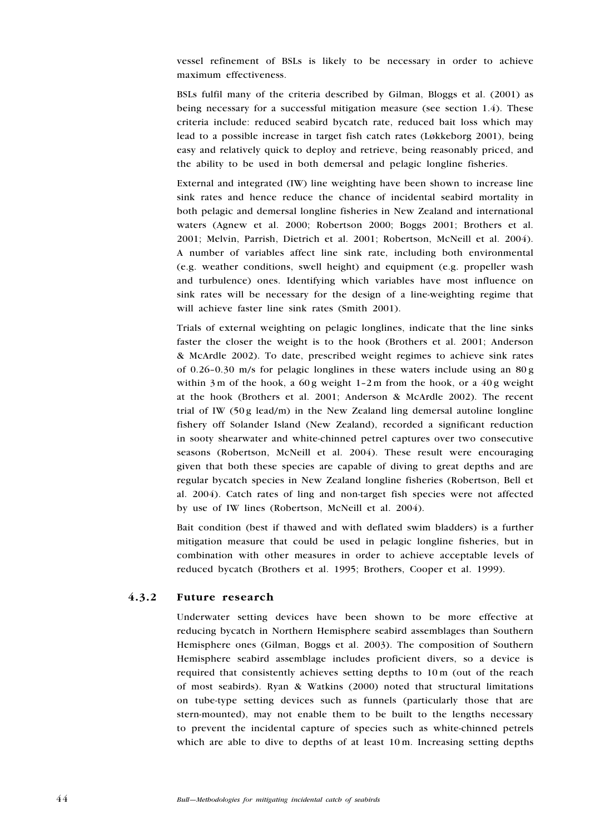vessel refinement of BSLs is likely to be necessary in order to achieve maximum effectiveness.

BSLs fulfil many of the criteria described by Gilman, Bloggs et al. (2001) as being necessary for a successful mitigation measure (see section 1.4). These criteria include: reduced seabird bycatch rate, reduced bait loss which may lead to a possible increase in target fish catch rates (Løkkeborg 2001), being easy and relatively quick to deploy and retrieve, being reasonably priced, and the ability to be used in both demersal and pelagic longline fisheries.

External and integrated (IW) line weighting have been shown to increase line sink rates and hence reduce the chance of incidental seabird mortality in both pelagic and demersal longline fisheries in New Zealand and international waters (Agnew et al. 2000; Robertson 2000; Boggs 2001; Brothers et al. 2001; Melvin, Parrish, Dietrich et al. 2001; Robertson, McNeill et al. 2004). A number of variables affect line sink rate, including both environmental (e.g. weather conditions, swell height) and equipment (e.g. propeller wash and turbulence) ones. Identifying which variables have most influence on sink rates will be necessary for the design of a line-weighting regime that will achieve faster line sink rates (Smith 2001).

Trials of external weighting on pelagic longlines, indicate that the line sinks faster the closer the weight is to the hook (Brothers et al. 2001; Anderson & McArdle 2002). To date, prescribed weight regimes to achieve sink rates of 0.26–0.30 m/s for pelagic longlines in these waters include using an 80 g within 3 m of the hook, a 60 g weight  $1-2m$  from the hook, or a 40 g weight at the hook (Brothers et al. 2001; Anderson & McArdle 2002). The recent trial of IW  $(50g \text{ lead/m})$  in the New Zealand ling demersal autoline longline fishery off Solander Island (New Zealand), recorded a significant reduction in sooty shearwater and white-chinned petrel captures over two consecutive seasons (Robertson, McNeill et al. 2004). These result were encouraging given that both these species are capable of diving to great depths and are regular bycatch species in New Zealand longline fisheries (Robertson, Bell et al. 2004). Catch rates of ling and non-target fish species were not affected by use of IW lines (Robertson, McNeill et al. 2004).

Bait condition (best if thawed and with deflated swim bladders) is a further mitigation measure that could be used in pelagic longline fisheries, but in combination with other measures in order to achieve acceptable levels of reduced bycatch (Brothers et al. 1995; Brothers, Cooper et al. 1999).

## 4.3.2 Future research

Underwater setting devices have been shown to be more effective at reducing bycatch in Northern Hemisphere seabird assemblages than Southern Hemisphere ones (Gilman, Boggs et al. 2003). The composition of Southern Hemisphere seabird assemblage includes proficient divers, so a device is required that consistently achieves setting depths to 10 m (out of the reach of most seabirds). Ryan & Watkins (2000) noted that structural limitations on tube-type setting devices such as funnels (particularly those that are stern-mounted), may not enable them to be built to the lengths necessary to prevent the incidental capture of species such as white-chinned petrels which are able to dive to depths of at least 10 m. Increasing setting depths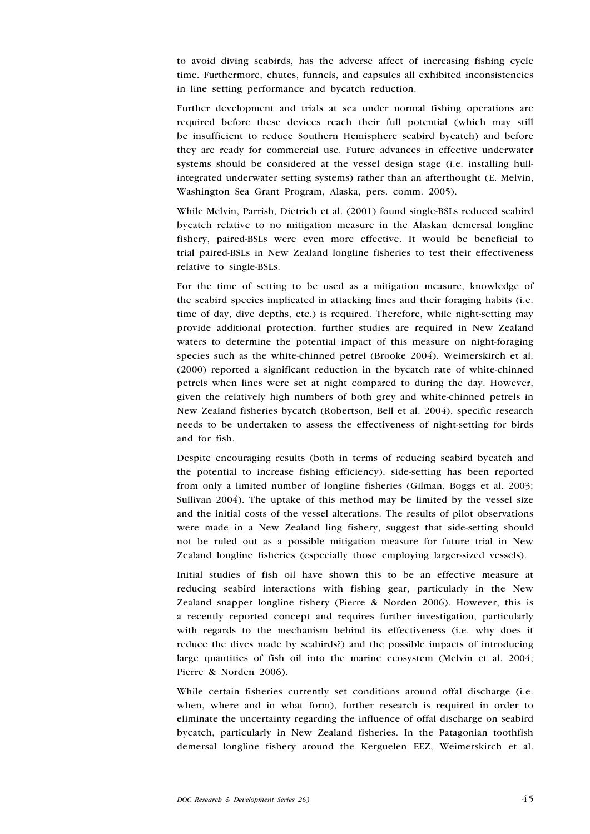to avoid diving seabirds, has the adverse affect of increasing fishing cycle time. Furthermore, chutes, funnels, and capsules all exhibited inconsistencies in line setting performance and bycatch reduction.

Further development and trials at sea under normal fishing operations are required before these devices reach their full potential (which may still be insufficient to reduce Southern Hemisphere seabird bycatch) and before they are ready for commercial use. Future advances in effective underwater systems should be considered at the vessel design stage (i.e. installing hullintegrated underwater setting systems) rather than an afterthought (E. Melvin, Washington Sea Grant Program, Alaska, pers. comm. 2005).

While Melvin, Parrish, Dietrich et al. (2001) found single-BSLs reduced seabird bycatch relative to no mitigation measure in the Alaskan demersal longline fishery, paired-BSLs were even more effective. It would be beneficial to trial paired-BSLs in New Zealand longline fisheries to test their effectiveness relative to single-BSLs.

For the time of setting to be used as a mitigation measure, knowledge of the seabird species implicated in attacking lines and their foraging habits (i.e. time of day, dive depths, etc.) is required. Therefore, while night-setting may provide additional protection, further studies are required in New Zealand waters to determine the potential impact of this measure on night-foraging species such as the white-chinned petrel (Brooke 2004). Weimerskirch et al. (2000) reported a significant reduction in the bycatch rate of white-chinned petrels when lines were set at night compared to during the day. However, given the relatively high numbers of both grey and white-chinned petrels in New Zealand fisheries bycatch (Robertson, Bell et al. 2004), specific research needs to be undertaken to assess the effectiveness of night-setting for birds and for fish.

Despite encouraging results (both in terms of reducing seabird bycatch and the potential to increase fishing efficiency), side-setting has been reported from only a limited number of longline fisheries (Gilman, Boggs et al. 2003; Sullivan 2004). The uptake of this method may be limited by the vessel size and the initial costs of the vessel alterations. The results of pilot observations were made in a New Zealand ling fishery, suggest that side-setting should not be ruled out as a possible mitigation measure for future trial in New Zealand longline fisheries (especially those employing larger-sized vessels).

Initial studies of fish oil have shown this to be an effective measure at reducing seabird interactions with fishing gear, particularly in the New Zealand snapper longline fishery (Pierre & Norden 2006). However, this is a recently reported concept and requires further investigation, particularly with regards to the mechanism behind its effectiveness (i.e. why does it reduce the dives made by seabirds?) and the possible impacts of introducing large quantities of fish oil into the marine ecosystem (Melvin et al. 2004; Pierre & Norden 2006).

While certain fisheries currently set conditions around offal discharge (i.e. when, where and in what form), further research is required in order to eliminate the uncertainty regarding the influence of offal discharge on seabird bycatch, particularly in New Zealand fisheries. In the Patagonian toothfish demersal longline fishery around the Kerguelen EEZ, Weimerskirch et al.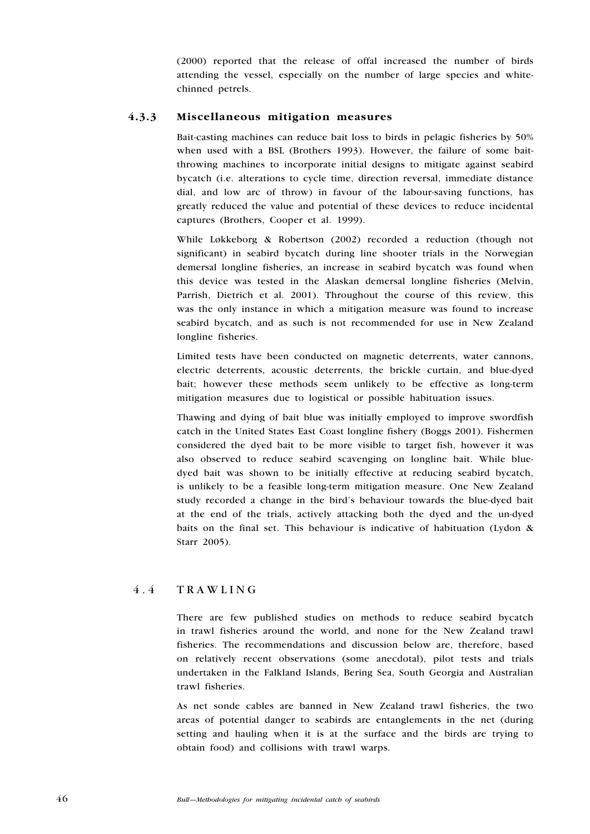(2000) reported that the release of offal increased the number of birds attending the vessel, especially on the number of large species and whitechinned petrels.

## 4.3.3 Miscellaneous mitigation measures

Bait-casting machines can reduce bait loss to birds in pelagic fisheries by 50% when used with a BSL (Brothers 1993). However, the failure of some baitthrowing machines to incorporate initial designs to mitigate against seabird bycatch (i.e. alterations to cycle time, direction reversal, immediate distance dial, and low arc of throw) in favour of the labour-saving functions, has greatly reduced the value and potential of these devices to reduce incidental captures (Brothers, Cooper et al. 1999).

While Løkkeborg & Robertson (2002) recorded a reduction (though not significant) in seabird bycatch during line shooter trials in the Norwegian demersal longline fisheries, an increase in seabird bycatch was found when this device was tested in the Alaskan demersal longline fisheries (Melvin, Parrish, Dietrich et al. 2001). Throughout the course of this review, this was the only instance in which a mitigation measure was found to increase seabird bycatch, and as such is not recommended for use in New Zealand longline fisheries.

Limited tests have been conducted on magnetic deterrents, water cannons, electric deterrents, acoustic deterrents, the brickle curtain, and blue-dyed bait; however these methods seem unlikely to be effective as long-term mitigation measures due to logistical or possible habituation issues.

Thawing and dying of bait blue was initially employed to improve swordfish catch in the United States East Coast longline fishery (Boggs 2001). Fishermen considered the dyed bait to be more visible to target fish, however it was also observed to reduce seabird scavenging on longline bait. While bluedyed bait was shown to be initially effective at reducing seabird bycatch, is unlikely to be a feasible long-term mitigation measure. One New Zealand study recorded a change in the bird's behaviour towards the blue-dyed bait at the end of the trials, actively attacking both the dyed and the un-dyed baits on the final set. This behaviour is indicative of habituation (Lydon & Starr 2005).

## 4 . 4 T rawling

There are few published studies on methods to reduce seabird bycatch in trawl fisheries around the world, and none for the New Zealand trawl fisheries. The recommendations and discussion below are, therefore, based on relatively recent observations (some anecdotal), pilot tests and trials undertaken in the Falkland Islands, Bering Sea, South Georgia and Australian trawl fisheries.

As net sonde cables are banned in New Zealand trawl fisheries, the two areas of potential danger to seabirds are entanglements in the net (during setting and hauling when it is at the surface and the birds are trying to obtain food) and collisions with trawl warps.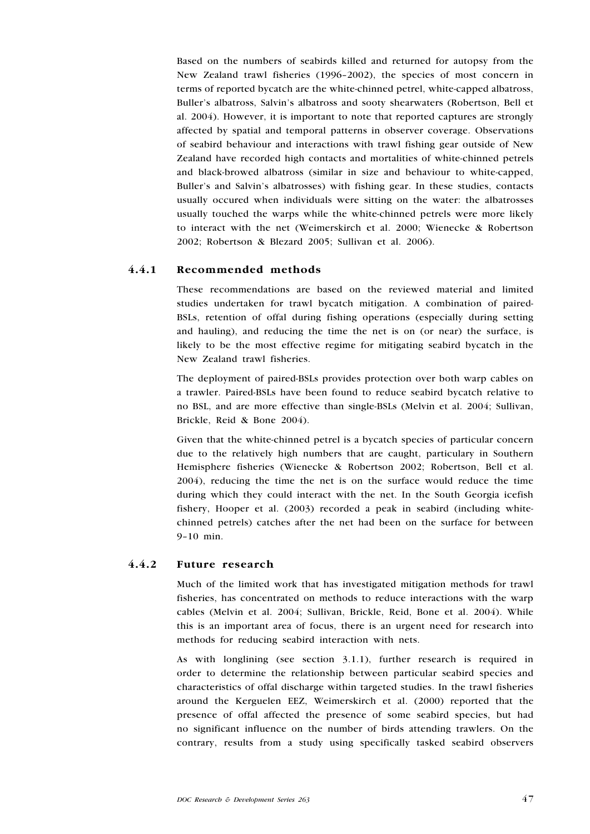Based on the numbers of seabirds killed and returned for autopsy from the New Zealand trawl fisheries (1996–2002), the species of most concern in terms of reported bycatch are the white-chinned petrel, white-capped albatross, Buller's albatross, Salvin's albatross and sooty shearwaters (Robertson, Bell et al. 2004). However, it is important to note that reported captures are strongly affected by spatial and temporal patterns in observer coverage. Observations of seabird behaviour and interactions with trawl fishing gear outside of New Zealand have recorded high contacts and mortalities of white-chinned petrels and black-browed albatross (similar in size and behaviour to white-capped, Buller's and Salvin's albatrosses) with fishing gear. In these studies, contacts usually occured when individuals were sitting on the water: the albatrosses usually touched the warps while the white-chinned petrels were more likely to interact with the net (Weimerskirch et al. 2000; Wienecke & Robertson 2002; Robertson & Blezard 2005; Sullivan et al. 2006).

## 4.4.1 Recommended methods

These recommendations are based on the reviewed material and limited studies undertaken for trawl bycatch mitigation. A combination of paired-BSLs, retention of offal during fishing operations (especially during setting and hauling), and reducing the time the net is on (or near) the surface, is likely to be the most effective regime for mitigating seabird bycatch in the New Zealand trawl fisheries.

The deployment of paired-BSLs provides protection over both warp cables on a trawler. Paired-BSLs have been found to reduce seabird bycatch relative to no BSL, and are more effective than single-BSLs (Melvin et al. 2004; Sullivan, Brickle, Reid & Bone 2004).

Given that the white-chinned petrel is a bycatch species of particular concern due to the relatively high numbers that are caught, particulary in Southern Hemisphere fisheries (Wienecke & Robertson 2002; Robertson, Bell et al. 2004), reducing the time the net is on the surface would reduce the time during which they could interact with the net. In the South Georgia icefish fishery, Hooper et al. (2003) recorded a peak in seabird (including whitechinned petrels) catches after the net had been on the surface for between 9–10 min.

## 4.4.2 Future research

Much of the limited work that has investigated mitigation methods for trawl fisheries, has concentrated on methods to reduce interactions with the warp cables (Melvin et al. 2004; Sullivan, Brickle, Reid, Bone et al. 2004). While this is an important area of focus, there is an urgent need for research into methods for reducing seabird interaction with nets.

As with longlining (see section 3.1.1), further research is required in order to determine the relationship between particular seabird species and characteristics of offal discharge within targeted studies. In the trawl fisheries around the Kerguelen EEZ, Weimerskirch et al. (2000) reported that the presence of offal affected the presence of some seabird species, but had no significant influence on the number of birds attending trawlers. On the contrary, results from a study using specifically tasked seabird observers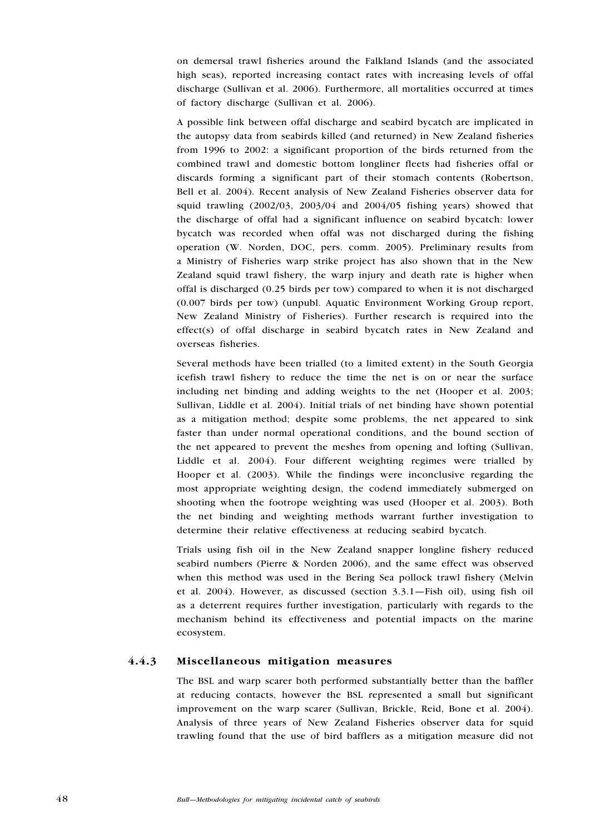on demersal trawl fisheries around the Falkland Islands (and the associated high seas), reported increasing contact rates with increasing levels of offal discharge (Sullivan et al. 2006). Furthermore, all mortalities occurred at times of factory discharge (Sullivan et al. 2006).

A possible link between offal discharge and seabird bycatch are implicated in the autopsy data from seabirds killed (and returned) in New Zealand fisheries from 1996 to 2002: a significant proportion of the birds returned from the combined trawl and domestic bottom longliner fleets had fisheries offal or discards forming a significant part of their stomach contents (Robertson, Bell et al. 2004). Recent analysis of New Zealand Fisheries observer data for squid trawling  $(2002/03, 2003/04$  and  $2004/05$  fishing years) showed that the discharge of offal had a significant influence on seabird bycatch: lower bycatch was recorded when offal was not discharged during the fishing operation (W. Norden, DOC, pers. comm. 2005). Preliminary results from a Ministry of Fisheries warp strike project has also shown that in the New Zealand squid trawl fishery, the warp injury and death rate is higher when offal is discharged (0.25 birds per tow) compared to when it is not discharged (0.007 birds per tow) (unpubl. Aquatic Environment Working Group report, New Zealand Ministry of Fisheries). Further research is required into the effect(s) of offal discharge in seabird bycatch rates in New Zealand and overseas fisheries.

Several methods have been trialled (to a limited extent) in the South Georgia icefish trawl fishery to reduce the time the net is on or near the surface including net binding and adding weights to the net (Hooper et al. 2003; Sullivan, Liddle et al. 2004). Initial trials of net binding have shown potential as a mitigation method; despite some problems, the net appeared to sink faster than under normal operational conditions, and the bound section of the net appeared to prevent the meshes from opening and lofting (Sullivan, Liddle et al. 2004). Four different weighting regimes were trialled by Hooper et al. (2003). While the findings were inconclusive regarding the most appropriate weighting design, the codend immediately submerged on shooting when the footrope weighting was used (Hooper et al. 2003). Both the net binding and weighting methods warrant further investigation to determine their relative effectiveness at reducing seabird bycatch.

Trials using fish oil in the New Zealand snapper longline fishery reduced seabird numbers (Pierre & Norden 2006), and the same effect was observed when this method was used in the Bering Sea pollock trawl fishery (Melvin et al. 2004). However, as discussed (section 3.3.1—Fish oil), using fish oil as a deterrent requires further investigation, particularly with regards to the mechanism behind its effectiveness and potential impacts on the marine ecosystem.

#### 4.4.3 Miscellaneous mitigation measures

The BSL and warp scarer both performed substantially better than the baffler at reducing contacts, however the BSL represented a small but significant improvement on the warp scarer (Sullivan, Brickle, Reid, Bone et al. 2004). Analysis of three years of New Zealand Fisheries observer data for squid trawling found that the use of bird bafflers as a mitigation measure did not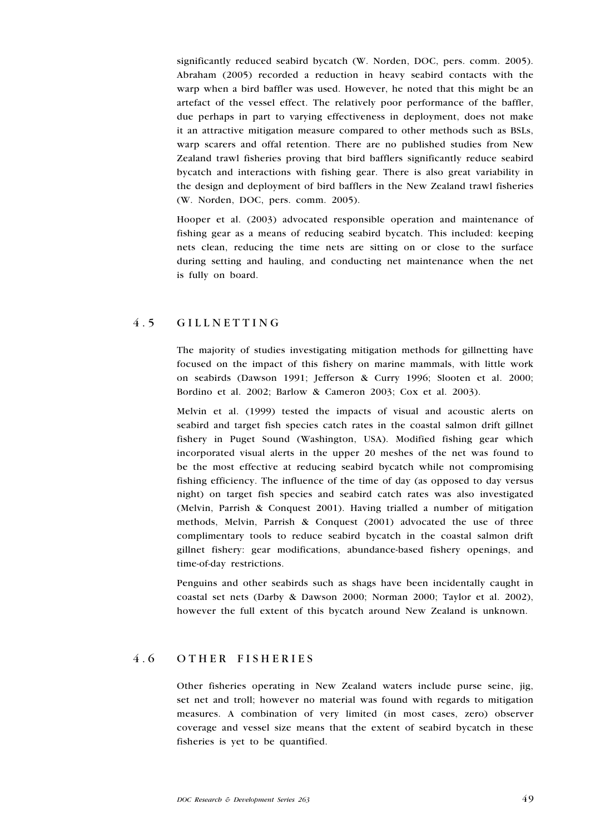significantly reduced seabird bycatch (W. Norden, DOC, pers. comm. 2005). Abraham (2005) recorded a reduction in heavy seabird contacts with the warp when a bird baffler was used. However, he noted that this might be an artefact of the vessel effect. The relatively poor performance of the baffler, due perhaps in part to varying effectiveness in deployment, does not make it an attractive mitigation measure compared to other methods such as BSLs, warp scarers and offal retention. There are no published studies from New Zealand trawl fisheries proving that bird bafflers significantly reduce seabird bycatch and interactions with fishing gear. There is also great variability in the design and deployment of bird bafflers in the New Zealand trawl fisheries (W. Norden, DOC, pers. comm. 2005).

Hooper et al. (2003) advocated responsible operation and maintenance of fishing gear as a means of reducing seabird bycatch. This included: keeping nets clean, reducing the time nets are sitting on or close to the surface during setting and hauling, and conducting net maintenance when the net is fully on board.

## 4.5 GILLNETTING

The majority of studies investigating mitigation methods for gillnetting have focused on the impact of this fishery on marine mammals, with little work on seabirds (Dawson 1991; Jefferson & Curry 1996; Slooten et al. 2000; Bordino et al. 2002; Barlow & Cameron 2003; Cox et al. 2003).

Melvin et al. (1999) tested the impacts of visual and acoustic alerts on seabird and target fish species catch rates in the coastal salmon drift gillnet fishery in Puget Sound (Washington, USA). Modified fishing gear which incorporated visual alerts in the upper 20 meshes of the net was found to be the most effective at reducing seabird bycatch while not compromising fishing efficiency. The influence of the time of day (as opposed to day versus night) on target fish species and seabird catch rates was also investigated (Melvin, Parrish & Conquest 2001). Having trialled a number of mitigation methods, Melvin, Parrish & Conquest (2001) advocated the use of three complimentary tools to reduce seabird bycatch in the coastal salmon drift gillnet fishery: gear modifications, abundance-based fishery openings, and time-of-day restrictions.

Penguins and other seabirds such as shags have been incidentally caught in coastal set nets (Darby & Dawson 2000; Norman 2000; Taylor et al. 2002), however the full extent of this bycatch around New Zealand is unknown.

## 4.6 OTHER FISHERIES

Other fisheries operating in New Zealand waters include purse seine, jig, set net and troll; however no material was found with regards to mitigation measures. A combination of very limited (in most cases, zero) observer coverage and vessel size means that the extent of seabird bycatch in these fisheries is yet to be quantified.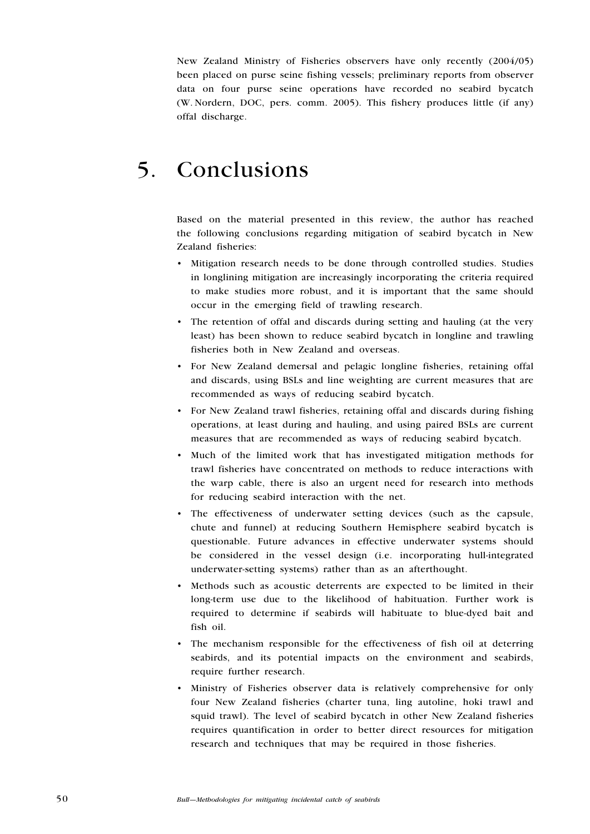New Zealand Ministry of Fisheries observers have only recently (2004/05) been placed on purse seine fishing vessels; preliminary reports from observer data on four purse seine operations have recorded no seabird bycatch (W. Nordern, DOC, pers. comm. 2005). This fishery produces little (if any) offal discharge.

# 5. Conclusions

Based on the material presented in this review, the author has reached the following conclusions regarding mitigation of seabird bycatch in New Zealand fisheries:

- Mitigation research needs to be done through controlled studies. Studies in longlining mitigation are increasingly incorporating the criteria required to make studies more robust, and it is important that the same should occur in the emerging field of trawling research.
- The retention of offal and discards during setting and hauling (at the very least) has been shown to reduce seabird bycatch in longline and trawling fisheries both in New Zealand and overseas. •
- For New Zealand demersal and pelagic longline fisheries, retaining offal and discards, using BSLs and line weighting are current measures that are recommended as ways of reducing seabird bycatch. •
- For New Zealand trawl fisheries, retaining offal and discards during fishing operations, at least during and hauling, and using paired BSLs are current measures that are recommended as ways of reducing seabird bycatch. •
- Much of the limited work that has investigated mitigation methods for trawl fisheries have concentrated on methods to reduce interactions with the warp cable, there is also an urgent need for research into methods for reducing seabird interaction with the net. •
- The effectiveness of underwater setting devices (such as the capsule, chute and funnel) at reducing Southern Hemisphere seabird bycatch is questionable. Future advances in effective underwater systems should be considered in the vessel design (i.e. incorporating hull-integrated underwater-setting systems) rather than as an afterthought.
- Methods such as acoustic deterrents are expected to be limited in their long-term use due to the likelihood of habituation. Further work is required to determine if seabirds will habituate to blue-dyed bait and fish oil. •
- The mechanism responsible for the effectiveness of fish oil at deterring seabirds, and its potential impacts on the environment and seabirds, require further research. •
- Ministry of Fisheries observer data is relatively comprehensive for only four New Zealand fisheries (charter tuna, ling autoline, hoki trawl and squid trawl). The level of seabird bycatch in other New Zealand fisheries requires quantification in order to better direct resources for mitigation research and techniques that may be required in those fisheries.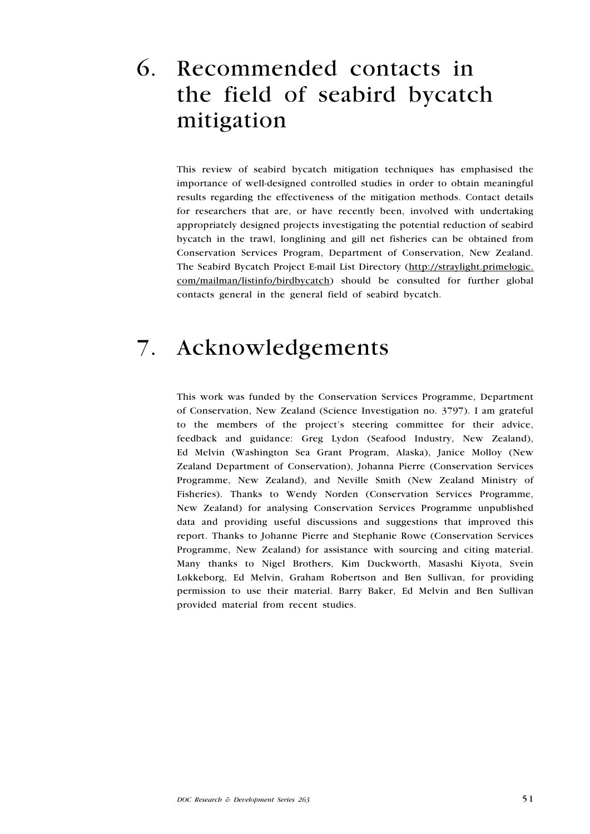# 6. Recommended contacts in the field of seabird bycatch mitigation

This review of seabird bycatch mitigation techniques has emphasised the importance of well-designed controlled studies in order to obtain meaningful results regarding the effectiveness of the mitigation methods. Contact details for researchers that are, or have recently been, involved with undertaking appropriately designed projects investigating the potential reduction of seabird bycatch in the trawl, longlining and gill net fisheries can be obtained from Conservation Services Program, Department of Conservation, New Zealand. The Seabird Bycatch Project E-mail List Directory (http://straylight.primelogic. com/mailman/listinfo/birdbycatch) should be consulted for further global contacts general in the general field of seabird bycatch.

# 7. Acknowledgements

This work was funded by the Conservation Services Programme, Department of Conservation, New Zealand (Science Investigation no. 3797). I am grateful to the members of the project's steering committee for their advice, feedback and guidance: Greg Lydon (Seafood Industry, New Zealand), Ed Melvin (Washington Sea Grant Program, Alaska), Janice Molloy (New Zealand Department of Conservation), Johanna Pierre (Conservation Services Programme, New Zealand), and Neville Smith (New Zealand Ministry of Fisheries). Thanks to Wendy Norden (Conservation Services Programme, New Zealand) for analysing Conservation Services Programme unpublished data and providing useful discussions and suggestions that improved this report. Thanks to Johanne Pierre and Stephanie Rowe (Conservation Services Programme, New Zealand) for assistance with sourcing and citing material. Many thanks to Nigel Brothers, Kim Duckworth, Masashi Kiyota, Svein Løkkeborg, Ed Melvin, Graham Robertson and Ben Sullivan, for providing permission to use their material. Barry Baker, Ed Melvin and Ben Sullivan provided material from recent studies.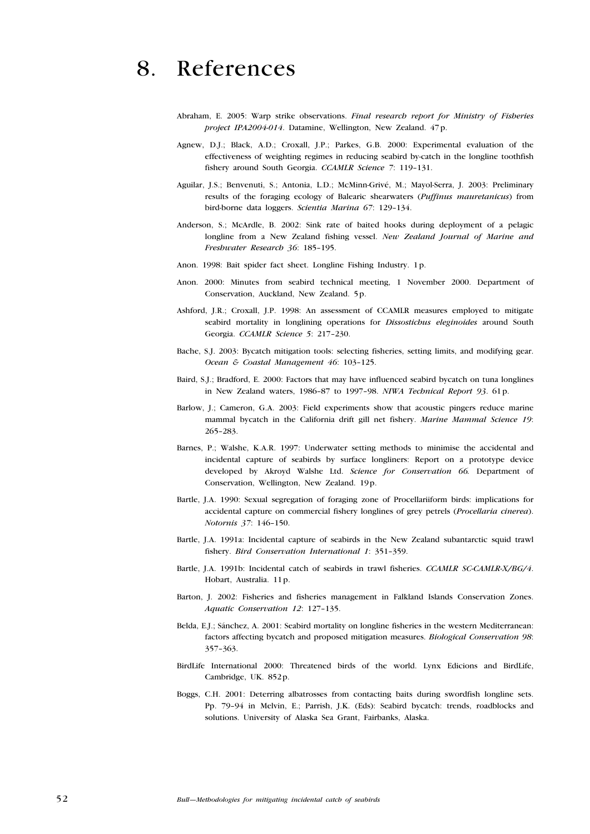## 8. References

- Abraham, E. 2005: Warp strike observations. Final research report for Ministry of Fisheries project IPA2004-014. Datamine, Wellington, New Zealand. 47p.
- Agnew, D.J.; Black, A.D.; Croxall, J.P.; Parkes, G.B. 2000: Experimental evaluation of the effectiveness of weighting regimes in reducing seabird by-catch in the longline toothfish fishery around South Georgia. CCAMLR Science 7: 119-131.
- Aguilar, J.S.; Benvenuti, S.; Antonia, L.D.; McMinn-Grivé, M.; Mayol-Serra, J. 2003: Preliminary results of the foraging ecology of Balearic shearwaters (Puffinus mauretanicus) from bird-borne data loggers. Scientia Marina 67: 129–134.
- Anderson, S.; McArdle, B. 2002: Sink rate of baited hooks during deployment of a pelagic longline from a New Zealand fishing vessel. New Zealand Journal of Marine and Freshwater Research 36: 185–195.
- Anon. 1998: Bait spider fact sheet. Longline Fishing Industry. 1p.
- Anon. 2000: Minutes from seabird technical meeting, 1 November 2000. Department of Conservation, Auckland, New Zealand. 5p.
- Ashford, J.R.; Croxall, J.P. 1998: An assessment of CCAMLR measures employed to mitigate seabird mortality in longlining operations for *Dissostichus eleginoides* around South Georgia. CCAMLR Science 5: 217–230.
- Bache, S.J. 2003: Bycatch mitigation tools: selecting fisheries, setting limits, and modifying gear. Ocean & Coastal Management 46: 103–125.
- Baird, S.J.; Bradford, E. 2000: Factors that may have influenced seabird bycatch on tuna longlines in New Zealand waters, 1986–87 to 1997–98. NIWA Technical Report 93. 61p.
- Barlow, J.; Cameron, G.A. 2003: Field experiments show that acoustic pingers reduce marine mammal bycatch in the California drift gill net fishery. Marine Mammal Science 19: 265–283.
- Barnes, P.; Walshe, K.A.R. 1997: Underwater setting methods to minimise the accidental and incidental capture of seabirds by surface longliners: Report on a prototype device developed by Akroyd Walshe Ltd. Science for Conservation 66. Department of Conservation, Wellington, New Zealand. 19p.
- Bartle, J.A. 1990: Sexual segregation of foraging zone of Procellariiform birds: implications for accidental capture on commercial fishery longlines of grey petrels (Procellaria cinerea). Notornis 37: 146–150.
- Bartle, J.A. 1991a: Incidental capture of seabirds in the New Zealand subantarctic squid trawl fishery. Bird Conservation International 1: 351–359.
- Bartle, J.A. 1991b: Incidental catch of seabirds in trawl fisheries. CCAMLR SC-CAMLR-X/BG/4. Hobart, Australia. 11p.
- Barton, J. 2002: Fisheries and fisheries management in Falkland Islands Conservation Zones. Aquatic Conservation 12: 127–135.
- Belda, E.J.; Sánchez, A. 2001: Seabird mortality on longline fisheries in the western Mediterranean: factors affecting bycatch and proposed mitigation measures. Biological Conservation 98: 357–363.
- BirdLife International 2000: Threatened birds of the world. Lynx Edicions and BirdLife, Cambridge, UK. 852p.
- Boggs, C.H. 2001: Deterring albatrosses from contacting baits during swordfish longline sets. Pp. 79–94 in Melvin, E.; Parrish, J.K. (Eds): Seabird bycatch: trends, roadblocks and solutions. University of Alaska Sea Grant, Fairbanks, Alaska.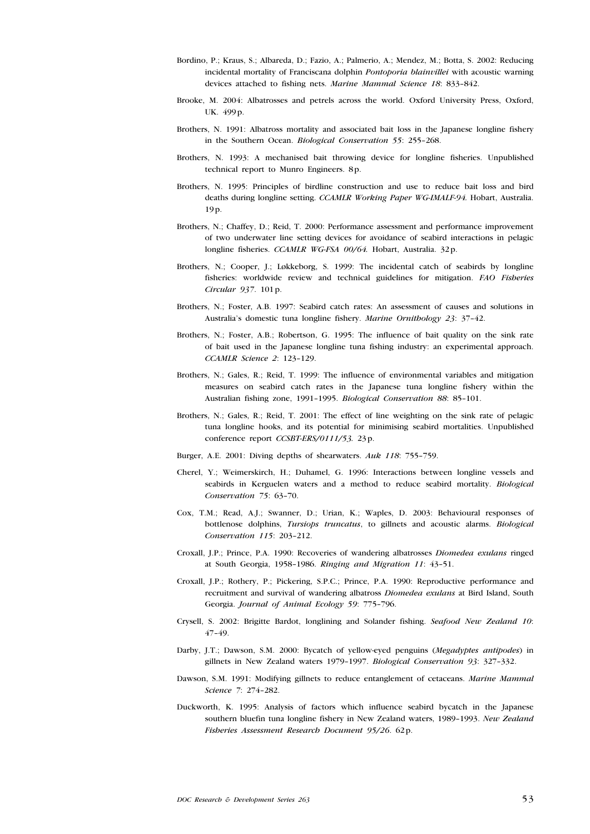- Bordino, P.; Kraus, S.; Albareda, D.; Fazio, A.; Palmerio, A.; Mendez, M.; Botta, S. 2002: Reducing incidental mortality of Franciscana dolphin Pontoporia blainvillei with acoustic warning devices attached to fishing nets. Marine Mammal Science 18: 833–842.
- Brooke, M. 2004: Albatrosses and petrels across the world. Oxford University Press, Oxford, UK. 499p.
- Brothers, N. 1991: Albatross mortality and associated bait loss in the Japanese longline fishery in the Southern Ocean. Biological Conservation 55: 255–268.
- Brothers, N. 1993: A mechanised bait throwing device for longline fisheries. Unpublished technical report to Munro Engineers. 8p.
- Brothers, N. 1995: Principles of birdline construction and use to reduce bait loss and bird deaths during longline setting. CCAMLR Working Paper WG-IMALF-94. Hobart, Australia. 19p.
- Brothers, N.; Chaffey, D.; Reid, T. 2000: Performance assessment and performance improvement of two underwater line setting devices for avoidance of seabird interactions in pelagic longline fisheries. CCAMLR WG-FSA 00/64. Hobart, Australia. 32p.
- Brothers, N.; Cooper, J.; Løkkeborg, S. 1999: The incidental catch of seabirds by longline fisheries: worldwide review and technical guidelines for mitigation. FAO Fisheries Circular 937. 101p.
- Brothers, N.; Foster, A.B. 1997: Seabird catch rates: An assessment of causes and solutions in Australia's domestic tuna longline fishery. Marine Ornithology 23: 37–42.
- Brothers, N.; Foster, A.B.; Robertson, G. 1995: The influence of bait quality on the sink rate of bait used in the Japanese longline tuna fishing industry: an experimental approach. CCAMLR Science 2: 123–129.
- Brothers, N.; Gales, R.; Reid, T. 1999: The influence of environmental variables and mitigation measures on seabird catch rates in the Japanese tuna longline fishery within the Australian fishing zone, 1991–1995. Biological Conservation 88: 85–101.
- Brothers, N.; Gales, R.; Reid, T. 2001: The effect of line weighting on the sink rate of pelagic tuna longline hooks, and its potential for minimising seabird mortalities. Unpublished conference report CCSBT-ERS/0111/53. 23p.
- Burger, A.E. 2001: Diving depths of shearwaters. Auk 118: 755–759.
- Cherel, Y.; Weimerskirch, H.; Duhamel, G. 1996: Interactions between longline vessels and seabirds in Kerguelen waters and a method to reduce seabird mortality. Biological Conservation 75: 63–70.
- Cox, T.M.; Read, A.J.; Swanner, D.; Urian, K.; Waples, D. 2003: Behavioural responses of bottlenose dolphins, Tursiops truncatus, to gillnets and acoustic alarms. Biological Conservation 115: 203–212.
- Croxall, J.P.; Prince, P.A. 1990: Recoveries of wandering albatrosses Diomedea exulans ringed at South Georgia, 1958–1986. Ringing and Migration 11: 43–51.
- Croxall, J.P.; Rothery, P.; Pickering, S.P.C.; Prince, P.A. 1990: Reproductive performance and recruitment and survival of wandering albatross Diomedea exulans at Bird Island, South Georgia. Journal of Animal Ecology 59: 775–796.
- Crysell, S. 2002: Brigitte Bardot, longlining and Solander fishing. Seafood New Zealand 10: 47–49.
- Darby, J.T.; Dawson, S.M. 2000: Bycatch of yellow-eyed penguins (Megadyptes antipodes) in gillnets in New Zealand waters 1979–1997. Biological Conservation 93: 327–332.
- Dawson, S.M. 1991: Modifying gillnets to reduce entanglement of cetaceans. Marine Mammal Science 7: 274–282.
- Duckworth, K. 1995: Analysis of factors which influence seabird bycatch in the Japanese southern bluefin tuna longline fishery in New Zealand waters, 1989–1993. New Zealand Fisheries Assessment Research Document 95/26. 62p.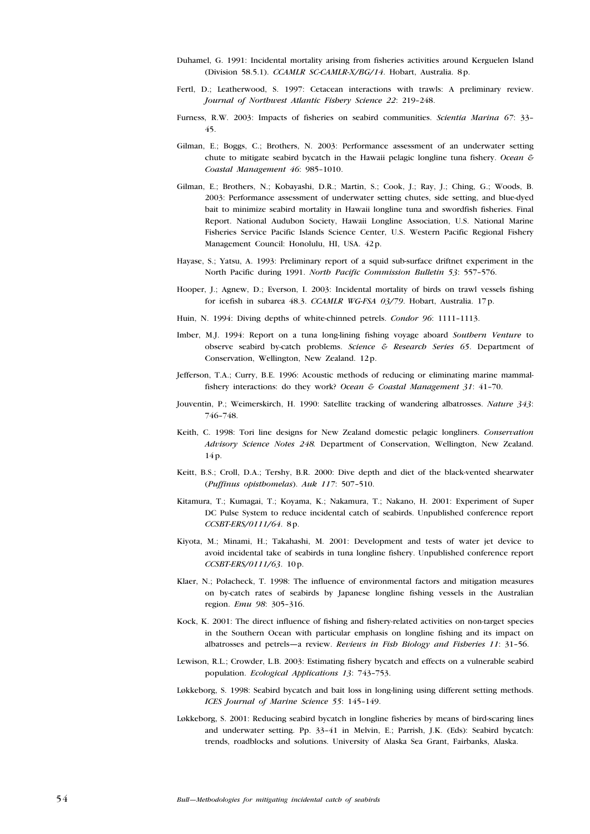- Duhamel, G. 1991: Incidental mortality arising from fisheries activities around Kerguelen Island (Division 58.5.1). CCAMLR SC-CAMLR-X/BG/14. Hobart, Australia. 8p.
- Fertl, D.; Leatherwood, S. 1997: Cetacean interactions with trawls: A preliminary review. Journal of Northwest Atlantic Fishery Science 22: 219–248.
- Furness, R.W. 2003: Impacts of fisheries on seabird communities. Scientia Marina 67: 33-45.
- Gilman, E.; Boggs, C.; Brothers, N. 2003: Performance assessment of an underwater setting chute to mitigate seabird bycatch in the Hawaii pelagic longline tuna fishery. Ocean & Coastal Management 46: 985–1010.
- Gilman, E.; Brothers, N.; Kobayashi, D.R.; Martin, S.; Cook, J.; Ray, J.; Ching, G.; Woods, B. 2003: Performance assessment of underwater setting chutes, side setting, and blue-dyed bait to minimize seabird mortality in Hawaii longline tuna and swordfish fisheries. Final Report. National Audubon Society, Hawaii Longline Association, U.S. National Marine Fisheries Service Pacific Islands Science Center, U.S. Western Pacific Regional Fishery Management Council: Honolulu, HI, USA. 42p.
- Hayase, S.; Yatsu, A. 1993: Preliminary report of a squid sub-surface driftnet experiment in the North Pacific during 1991. North Pacific Commission Bulletin 53: 557–576.
- Hooper, J.; Agnew, D.; Everson, I. 2003: Incidental mortality of birds on trawl vessels fishing for icefish in subarea 48.3. CCAMLR WG-FSA 03/79. Hobart, Australia. 17p.
- Huin, N. 1994: Diving depths of white-chinned petrels. Condor 96: 1111–1113.
- Imber, M.J. 1994: Report on a tuna long-lining fishing voyage aboard Southern Venture to observe seabird by-catch problems. Science & Research Series 65. Department of Conservation, Wellington, New Zealand. 12p.
- Jefferson, T.A.; Curry, B.E. 1996: Acoustic methods of reducing or eliminating marine mammalfishery interactions: do they work? Ocean & Coastal Management 31: 41-70.
- Jouventin, P.; Weimerskirch, H. 1990: Satellite tracking of wandering albatrosses. Nature 343: 746–748.
- Keith, C. 1998: Tori line designs for New Zealand domestic pelagic longliners. Conservation Advisory Science Notes 248. Department of Conservation, Wellington, New Zealand. 14p.
- Keitt, B.S.; Croll, D.A.; Tershy, B.R. 2000: Dive depth and diet of the black-vented shearwater (Puffinus opisthomelas). Auk 117: 507–510.
- Kitamura, T.; Kumagai, T.; Koyama, K.; Nakamura, T.; Nakano, H. 2001: Experiment of Super DC Pulse System to reduce incidental catch of seabirds. Unpublished conference report CCSBT-ERS/0111/64. 8p.
- Kiyota, M.; Minami, H.; Takahashi, M. 2001: Development and tests of water jet device to avoid incidental take of seabirds in tuna longline fishery. Unpublished conference report CCSBT-ERS/0111/63. 10p.
- Klaer, N.; Polacheck, T. 1998: The influence of environmental factors and mitigation measures on by-catch rates of seabirds by Japanese longline fishing vessels in the Australian region. Emu 98: 305–316.
- Kock, K. 2001: The direct influence of fishing and fishery-related activities on non-target species in the Southern Ocean with particular emphasis on longline fishing and its impact on albatrosses and petrels—a review. Reviews in Fish Biology and Fisheries 11: 31–56.
- Lewison, R.L.; Crowder, L.B. 2003: Estimating fishery bycatch and effects on a vulnerable seabird population. Ecological Applications 13: 743–753.
- Løkkeborg, S. 1998: Seabird bycatch and bait loss in long-lining using different setting methods. ICES Journal of Marine Science 55: 145–149.
- Løkkeborg, S. 2001: Reducing seabird bycatch in longline fisheries by means of bird-scaring lines and underwater setting. Pp. 33–41 in Melvin, E.; Parrish, J.K. (Eds): Seabird bycatch: trends, roadblocks and solutions. University of Alaska Sea Grant, Fairbanks, Alaska.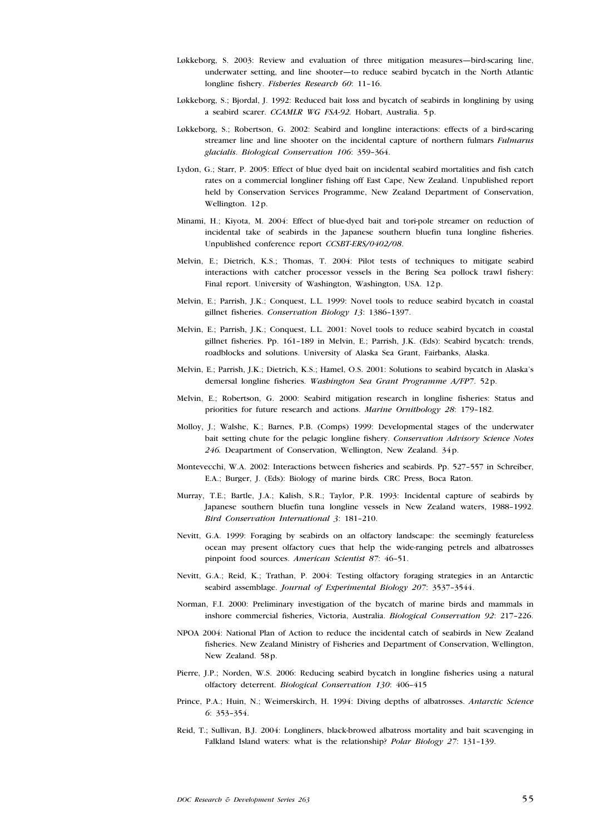- Løkkeborg, S. 2003: Review and evaluation of three mitigation measures—bird-scaring line, underwater setting, and line shooter—to reduce seabird bycatch in the North Atlantic longline fishery. Fisheries Research 60: 11-16.
- Løkkeborg, S.; Bjordal, J. 1992: Reduced bait loss and bycatch of seabirds in longlining by using a seabird scarer. CCAMLR WG FSA-92. Hobart, Australia. 5p.
- Løkkeborg, S.; Robertson, G. 2002: Seabird and longline interactions: effects of a bird-scaring streamer line and line shooter on the incidental capture of northern fulmars Fulmarus glacialis. Biological Conservation 106: 359–364.
- Lydon, G.; Starr, P. 2005: Effect of blue dyed bait on incidental seabird mortalities and fish catch rates on a commercial longliner fishing off East Cape, New Zealand. Unpublished report held by Conservation Services Programme, New Zealand Department of Conservation, Wellington. 12p.
- Minami, H.; Kiyota, M. 2004: Effect of blue-dyed bait and tori-pole streamer on reduction of incidental take of seabirds in the Japanese southern bluefin tuna longline fisheries. Unpublished conference report CCSBT-ERS/0402/08.
- Melvin, E.; Dietrich, K.S.; Thomas, T. 2004: Pilot tests of techniques to mitigate seabird interactions with catcher processor vessels in the Bering Sea pollock trawl fishery: Final report. University of Washington, Washington, USA. 12p.
- Melvin, E.; Parrish, J.K.; Conquest, L.L. 1999: Novel tools to reduce seabird bycatch in coastal gillnet fisheries. Conservation Biology 13: 1386–1397.
- Melvin, E.; Parrish, J.K.; Conquest, L.L. 2001: Novel tools to reduce seabird bycatch in coastal gillnet fisheries. Pp. 161–189 in Melvin, E.; Parrish, J.K. (Eds): Seabird bycatch: trends, roadblocks and solutions. University of Alaska Sea Grant, Fairbanks, Alaska.
- Melvin, E.; Parrish, J.K.; Dietrich, K.S.; Hamel, O.S. 2001: Solutions to seabird bycatch in Alaska's demersal longline fisheries. Washington Sea Grant Programme A/FP7. 52p.
- Melvin, E.; Robertson, G. 2000: Seabird mitigation research in longline fisheries: Status and priorities for future research and actions. Marine Ornithology 28: 179–182.
- Molloy, J.; Walshe, K.; Barnes, P.B. (Comps) 1999: Developmental stages of the underwater bait setting chute for the pelagic longline fishery. Conservation Advisory Science Notes 246. Deapartment of Conservation, Wellington, New Zealand. 34p.
- Montevecchi, W.A. 2002: Interactions between fisheries and seabirds. Pp. 527–557 in Schreiber, E.A.; Burger, J. (Eds): Biology of marine birds. CRC Press, Boca Raton.
- Murray, T.E.; Bartle, J.A.; Kalish, S.R.; Taylor, P.R. 1993: Incidental capture of seabirds by Japanese southern bluefin tuna longline vessels in New Zealand waters, 1988–1992. Bird Conservation International 3: 181–210.
- Nevitt, G.A. 1999: Foraging by seabirds on an olfactory landscape: the seemingly featureless ocean may present olfactory cues that help the wide-ranging petrels and albatrosses pinpoint food sources. American Scientist 87: 46–51.
- Nevitt, G.A.; Reid, K.; Trathan, P. 2004: Testing olfactory foraging strategies in an Antarctic seabird assemblage. Journal of Experimental Biology 207: 3537-3544.
- Norman, F.I. 2000: Preliminary investigation of the bycatch of marine birds and mammals in inshore commercial fisheries, Victoria, Australia. Biological Conservation 92: 217–226.
- NPOA 2004: National Plan of Action to reduce the incidental catch of seabirds in New Zealand fisheries. New Zealand Ministry of Fisheries and Department of Conservation, Wellington, New Zealand. 58p.
- Pierre, J.P.; Norden, W.S. 2006: Reducing seabird bycatch in longline fisheries using a natural olfactory deterrent. Biological Conservation 130: 406–415
- Prince, P.A.; Huin, N.; Weimerskirch, H. 1994: Diving depths of albatrosses. Antarctic Science 6: 353–354.
- Reid, T.; Sullivan, B.J. 2004: Longliners, black-browed albatross mortality and bait scavenging in Falkland Island waters: what is the relationship? Polar Biology 27: 131–139.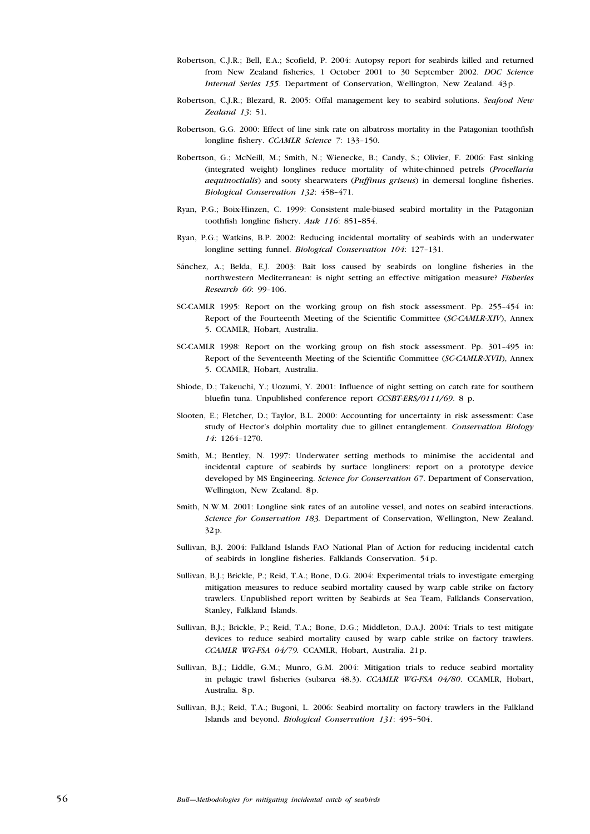- Robertson, C.J.R.; Bell, E.A.; Scofield, P. 2004: Autopsy report for seabirds killed and returned from New Zealand fisheries, 1 October 2001 to 30 September 2002. DOC Science Internal Series 155. Department of Conservation, Wellington, New Zealand. 43p.
- Robertson, C.J.R.; Blezard, R. 2005: Offal management key to seabird solutions. Seafood New Zealand 13: 51.
- Robertson, G.G. 2000: Effect of line sink rate on albatross mortality in the Patagonian toothfish longline fishery. CCAMLR Science 7: 133–150.
- Robertson, G.; McNeill, M.; Smith, N.; Wienecke, B.; Candy, S.; Olivier, F. 2006: Fast sinking (integrated weight) longlines reduce mortality of white-chinned petrels (Procellaria aequinoctialis) and sooty shearwaters (Puffinus griseus) in demersal longline fisheries. Biological Conservation 132: 458–471.
- Ryan, P.G.; Boix-Hinzen, C. 1999: Consistent male-biased seabird mortality in the Patagonian toothfish longline fishery. Auk 116: 851–854.
- Ryan, P.G.; Watkins, B.P. 2002: Reducing incidental mortality of seabirds with an underwater longline setting funnel. Biological Conservation 104: 127–131.
- Sánchez, A.; Belda, E.J. 2003: Bait loss caused by seabirds on longline fisheries in the northwestern Mediterranean: is night setting an effective mitigation measure? Fisheries Research 60: 99–106.
- SC-CAMLR 1995: Report on the working group on fish stock assessment. Pp. 255–454 in: Report of the Fourteenth Meeting of the Scientific Committee (SC-CAMLR-XIV), Annex 5. CCAMLR, Hobart, Australia.
- SC-CAMLR 1998: Report on the working group on fish stock assessment. Pp. 301–495 in: Report of the Seventeenth Meeting of the Scientific Committee (SC-CAMLR-XVII), Annex 5. CCAMLR, Hobart, Australia.
- Shiode, D.; Takeuchi, Y.; Uozumi, Y. 2001: Influence of night setting on catch rate for southern bluefin tuna. Unpublished conference report CCSBT-ERS/0111/69. 8 p.
- Slooten, E.; Fletcher, D.; Taylor, B.L. 2000: Accounting for uncertainty in risk assessment: Case study of Hector's dolphin mortality due to gillnet entanglement. Conservation Biology 14: 1264–1270.
- Smith, M.; Bentley, N. 1997: Underwater setting methods to minimise the accidental and incidental capture of seabirds by surface longliners: report on a prototype device developed by MS Engineering. Science for Conservation 67. Department of Conservation, Wellington, New Zealand. 8p.
- Smith, N.W.M. 2001: Longline sink rates of an autoline vessel, and notes on seabird interactions. Science for Conservation 183. Department of Conservation, Wellington, New Zealand. 32p.
- Sullivan, B.J. 2004: Falkland Islands FAO National Plan of Action for reducing incidental catch of seabirds in longline fisheries. Falklands Conservation. 54p.
- Sullivan, B.J.; Brickle, P.; Reid, T.A.; Bone, D.G. 2004: Experimental trials to investigate emerging mitigation measures to reduce seabird mortality caused by warp cable strike on factory trawlers. Unpublished report written by Seabirds at Sea Team, Falklands Conservation, Stanley, Falkland Islands.
- Sullivan, B.J.; Brickle, P.; Reid, T.A.; Bone, D.G.; Middleton, D.A.J. 2004: Trials to test mitigate devices to reduce seabird mortality caused by warp cable strike on factory trawlers. CCAMLR WG-FSA 04/79. CCAMLR, Hobart, Australia. 21p.
- Sullivan, B.J.; Liddle, G.M.; Munro, G.M. 2004: Mitigation trials to reduce seabird mortality in pelagic trawl fisheries (subarea 48.3). CCAMLR WG-FSA 04/80. CCAMLR, Hobart, Australia. 8p.
- Sullivan, B.J.; Reid, T.A.; Bugoni, L. 2006: Seabird mortality on factory trawlers in the Falkland Islands and beyond. Biological Conservation 131: 495–504.